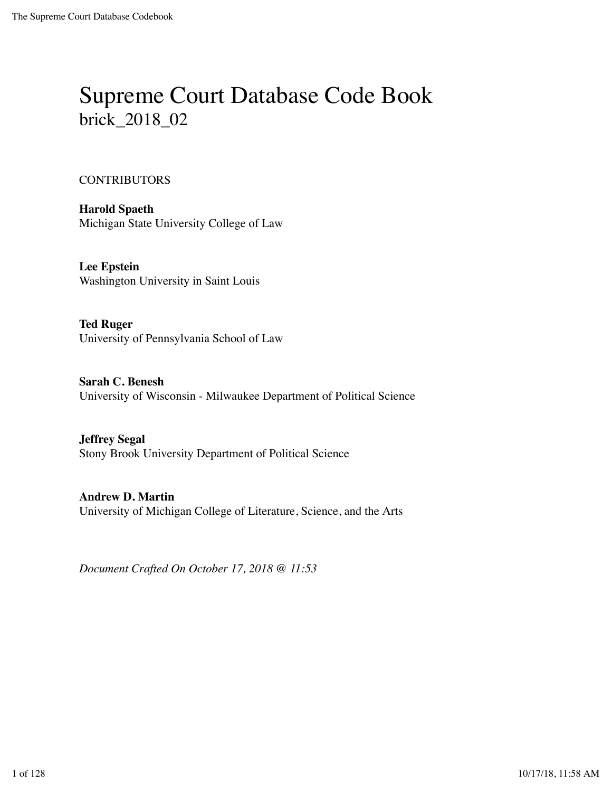# Supreme Court Database Code Book brick\_2018\_02

#### CONTRIBUTORS

**Harold Spaeth** Michigan State University College of Law

**Lee Epstein** Washington University in Saint Louis

**Ted Ruger** University of Pennsylvania School of Law

**Sarah C. Benesh** University of Wisconsin - Milwaukee Department of Political Science

**Jeffrey Segal** Stony Brook University Department of Political Science

**Andrew D. Martin** University of Michigan College of Literature, Science, and the Arts

*Document Crafted On October 17, 2018 @ 11:53*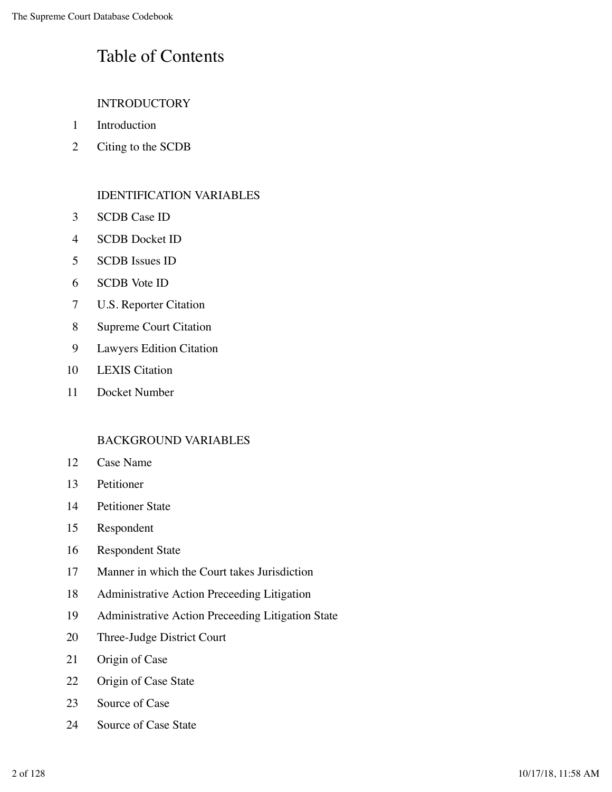# Table of Contents

### INTRODUCTORY

- Introduction
- Citing to the SCDB

#### IDENTIFICATION VARIABLES

- SCDB Case ID
- SCDB Docket ID
- SCDB Issues ID
- SCDB Vote ID
- U.S. Reporter Citation
- Supreme Court Citation
- Lawyers Edition Citation
- LEXIS Citation
- Docket Number

#### BACKGROUND VARIABLES

- Case Name
- Petitioner
- Petitioner State
- Respondent
- Respondent State
- Manner in which the Court takes Jurisdiction
- Administrative Action Preceeding Litigation
- Administrative Action Preceeding Litigation State
- Three-Judge District Court
- Origin of Case
- Origin of Case State
- 23 Source of Case
- Source of Case State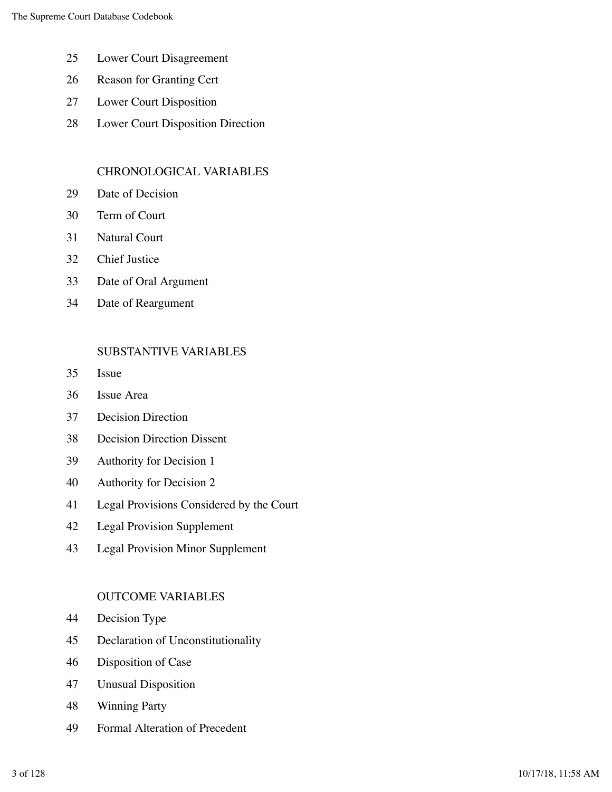- Lower Court Disagreement
- Reason for Granting Cert
- Lower Court Disposition
- Lower Court Disposition Direction

### CHRONOLOGICAL VARIABLES

- Date of Decision
- Term of Court
- Natural Court
- Chief Justice
- Date of Oral Argument
- Date of Reargument

### SUBSTANTIVE VARIABLES

- Issue
- Issue Area
- Decision Direction
- Decision Direction Dissent
- Authority for Decision 1
- Authority for Decision 2
- Legal Provisions Considered by the Court
- Legal Provision Supplement
- Legal Provision Minor Supplement

### OUTCOME VARIABLES

- Decision Type
- Declaration of Unconstitutionality
- Disposition of Case
- Unusual Disposition
- Winning Party
- Formal Alteration of Precedent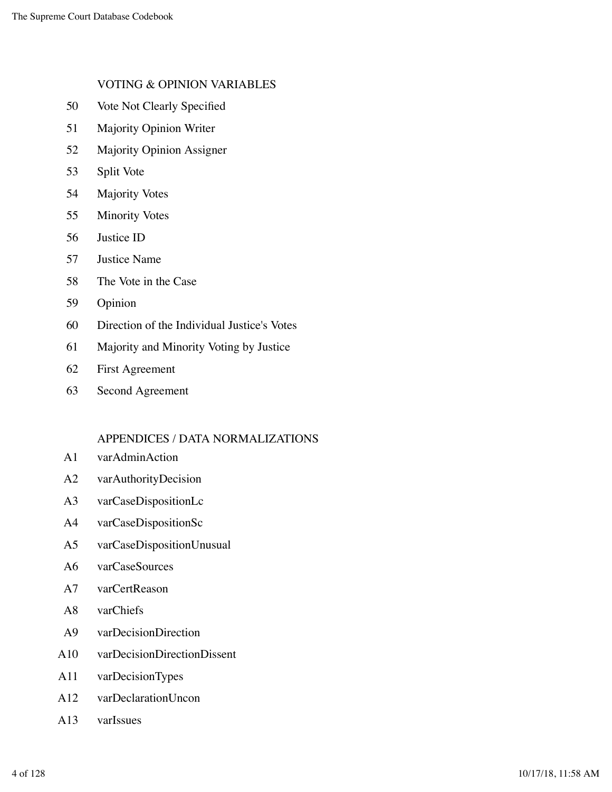#### VOTING & OPINION VARIABLES

- 50 Vote Not Clearly Specified
- 51 Majority Opinion Writer
- 52 Majority Opinion Assigner
- 53 Split Vote
- 54 Majority Votes
- 55 Minority Votes
- 56 Justice ID
- 57 Justice Name
- 58 The Vote in the Case
- 59 Opinion
- 60 Direction of the Individual Justice's Votes
- 61 Majority and Minority Voting by Justice
- 62 First Agreement
- 63 Second Agreement

#### APPENDICES / DATA NORMALIZATIONS

- A1 varAdminAction
- A2 varAuthorityDecision
- A3 varCaseDispositionLc
- A4 varCaseDispositionSc
- A5 varCaseDispositionUnusual
- A6 varCaseSources
- A7 varCertReason
- A8 varChiefs
- A9 varDecisionDirection
- A10 varDecisionDirectionDissent
- A11 varDecisionTypes
- A12 varDeclarationUncon
- A13 varIssues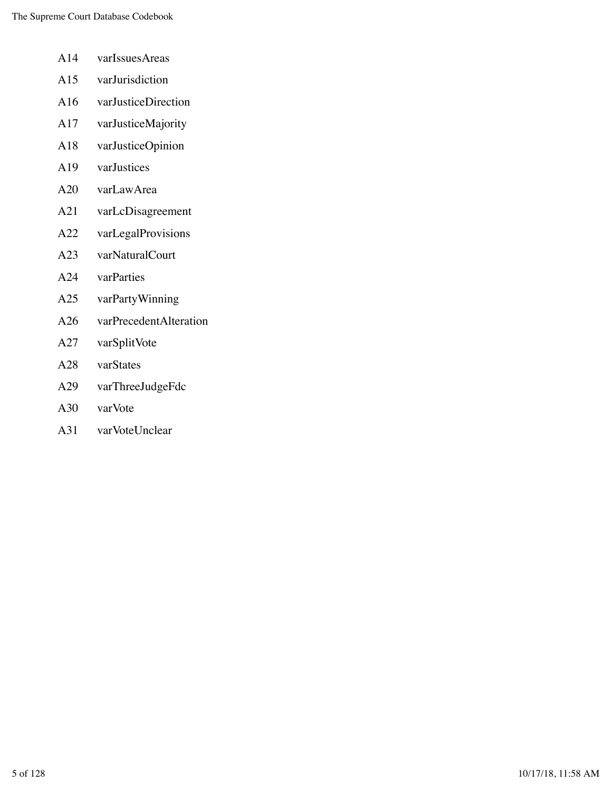- A14 varIssuesAreas
- A15 varJurisdiction
- A16 varJusticeDirection
- A17 varJusticeMajority
- A18 varJusticeOpinion
- A19 varJustices
- A20 varLawArea
- A21 varLcDisagreement
- A22 varLegalProvisions
- A23 varNaturalCourt
- A24 varParties
- A25 varPartyWinning
- A26 varPrecedentAlteration
- A27 varSplitVote
- A28 varStates
- A29 varThreeJudgeFdc
- A30 varVote
- A31 varVoteUnclear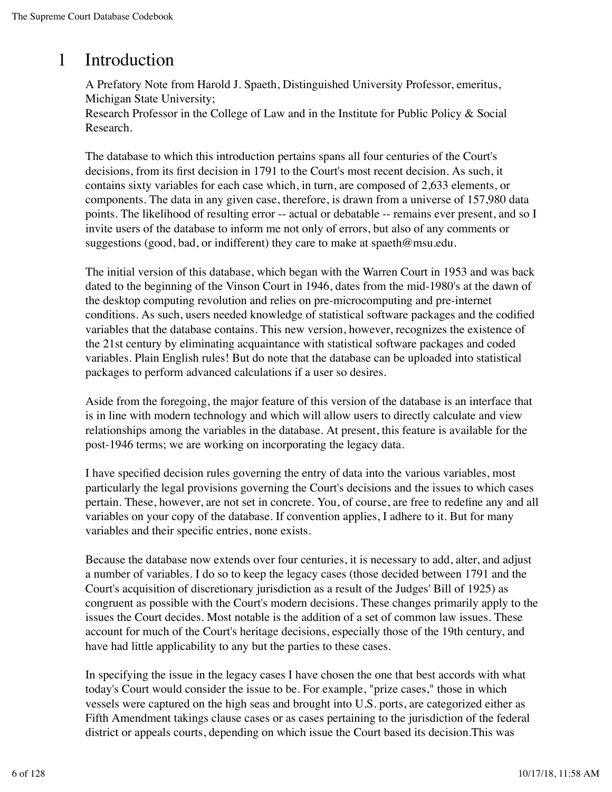## 1 Introduction

A Prefatory Note from Harold J. Spaeth, Distinguished University Professor, emeritus, Michigan State University; Research Professor in the College of Law and in the Institute for Public Policy & Social Research.

The database to which this introduction pertains spans all four centuries of the Court's decisions, from its first decision in 1791 to the Court's most recent decision. As such, it contains sixty variables for each case which, in turn, are composed of 2,633 elements, or components. The data in any given case, therefore, is drawn from a universe of 157,980 data points. The likelihood of resulting error -- actual or debatable -- remains ever present, and so I invite users of the database to inform me not only of errors, but also of any comments or suggestions (good, bad, or indifferent) they care to make at spaeth@msu.edu.

The initial version of this database, which began with the Warren Court in 1953 and was back dated to the beginning of the Vinson Court in 1946, dates from the mid-1980's at the dawn of the desktop computing revolution and relies on pre-microcomputing and pre-internet conditions. As such, users needed knowledge of statistical software packages and the codified variables that the database contains. This new version, however, recognizes the existence of the 21st century by eliminating acquaintance with statistical software packages and coded variables. Plain English rules! But do note that the database can be uploaded into statistical packages to perform advanced calculations if a user so desires.

Aside from the foregoing, the major feature of this version of the database is an interface that is in line with modern technology and which will allow users to directly calculate and view relationships among the variables in the database. At present, this feature is available for the post-1946 terms; we are working on incorporating the legacy data.

I have specified decision rules governing the entry of data into the various variables, most particularly the legal provisions governing the Court's decisions and the issues to which cases pertain. These, however, are not set in concrete. You, of course, are free to redefine any and all variables on your copy of the database. If convention applies, I adhere to it. But for many variables and their specific entries, none exists.

Because the database now extends over four centuries, it is necessary to add, alter, and adjust a number of variables. I do so to keep the legacy cases (those decided between 1791 and the Court's acquisition of discretionary jurisdiction as a result of the Judges' Bill of 1925) as congruent as possible with the Court's modern decisions. These changes primarily apply to the issues the Court decides. Most notable is the addition of a set of common law issues. These account for much of the Court's heritage decisions, especially those of the 19th century, and have had little applicability to any but the parties to these cases.

In specifying the issue in the legacy cases I have chosen the one that best accords with what today's Court would consider the issue to be. For example, "prize cases," those in which vessels were captured on the high seas and brought into U.S. ports, are categorized either as Fifth Amendment takings clause cases or as cases pertaining to the jurisdiction of the federal district or appeals courts, depending on which issue the Court based its decision.This was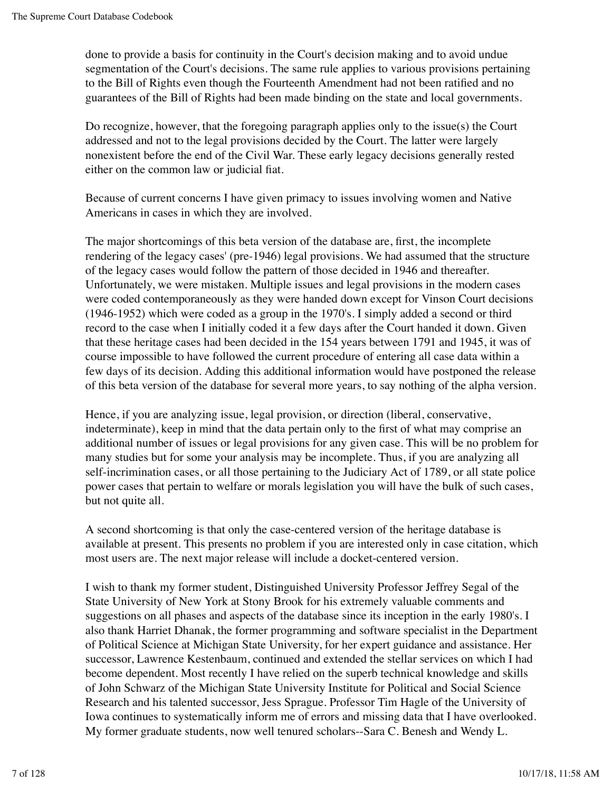done to provide a basis for continuity in the Court's decision making and to avoid undue segmentation of the Court's decisions. The same rule applies to various provisions pertaining to the Bill of Rights even though the Fourteenth Amendment had not been ratified and no guarantees of the Bill of Rights had been made binding on the state and local governments.

Do recognize, however, that the foregoing paragraph applies only to the issue(s) the Court addressed and not to the legal provisions decided by the Court. The latter were largely nonexistent before the end of the Civil War. These early legacy decisions generally rested either on the common law or judicial fiat.

Because of current concerns I have given primacy to issues involving women and Native Americans in cases in which they are involved.

The major shortcomings of this beta version of the database are, first, the incomplete rendering of the legacy cases' (pre-1946) legal provisions. We had assumed that the structure of the legacy cases would follow the pattern of those decided in 1946 and thereafter. Unfortunately, we were mistaken. Multiple issues and legal provisions in the modern cases were coded contemporaneously as they were handed down except for Vinson Court decisions (1946-1952) which were coded as a group in the 1970's. I simply added a second or third record to the case when I initially coded it a few days after the Court handed it down. Given that these heritage cases had been decided in the 154 years between 1791 and 1945, it was of course impossible to have followed the current procedure of entering all case data within a few days of its decision. Adding this additional information would have postponed the release of this beta version of the database for several more years, to say nothing of the alpha version.

Hence, if you are analyzing issue, legal provision, or direction (liberal, conservative, indeterminate), keep in mind that the data pertain only to the first of what may comprise an additional number of issues or legal provisions for any given case. This will be no problem for many studies but for some your analysis may be incomplete. Thus, if you are analyzing all self-incrimination cases, or all those pertaining to the Judiciary Act of 1789, or all state police power cases that pertain to welfare or morals legislation you will have the bulk of such cases, but not quite all.

A second shortcoming is that only the case-centered version of the heritage database is available at present. This presents no problem if you are interested only in case citation, which most users are. The next major release will include a docket-centered version.

I wish to thank my former student, Distinguished University Professor Jeffrey Segal of the State University of New York at Stony Brook for his extremely valuable comments and suggestions on all phases and aspects of the database since its inception in the early 1980's. I also thank Harriet Dhanak, the former programming and software specialist in the Department of Political Science at Michigan State University, for her expert guidance and assistance. Her successor, Lawrence Kestenbaum, continued and extended the stellar services on which I had become dependent. Most recently I have relied on the superb technical knowledge and skills of John Schwarz of the Michigan State University Institute for Political and Social Science Research and his talented successor, Jess Sprague. Professor Tim Hagle of the University of Iowa continues to systematically inform me of errors and missing data that I have overlooked. My former graduate students, now well tenured scholars--Sara C. Benesh and Wendy L.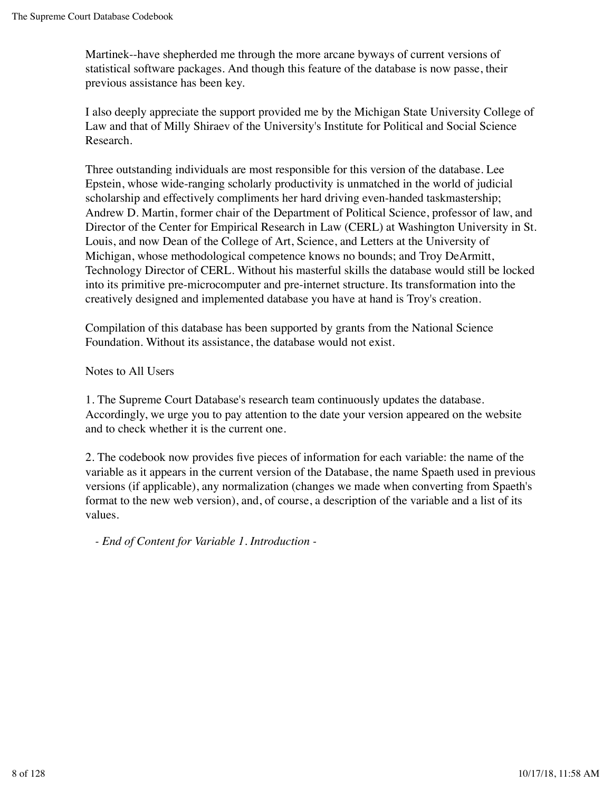Martinek--have shepherded me through the more arcane byways of current versions of statistical software packages. And though this feature of the database is now passe, their previous assistance has been key.

I also deeply appreciate the support provided me by the Michigan State University College of Law and that of Milly Shiraev of the University's Institute for Political and Social Science Research.

Three outstanding individuals are most responsible for this version of the database. Lee Epstein, whose wide-ranging scholarly productivity is unmatched in the world of judicial scholarship and effectively compliments her hard driving even-handed taskmastership; Andrew D. Martin, former chair of the Department of Political Science, professor of law, and Director of the Center for Empirical Research in Law (CERL) at Washington University in St. Louis, and now Dean of the College of Art, Science, and Letters at the University of Michigan, whose methodological competence knows no bounds; and Troy DeArmitt, Technology Director of CERL. Without his masterful skills the database would still be locked into its primitive pre-microcomputer and pre-internet structure. Its transformation into the creatively designed and implemented database you have at hand is Troy's creation.

Compilation of this database has been supported by grants from the National Science Foundation. Without its assistance, the database would not exist.

Notes to All Users

1. The Supreme Court Database's research team continuously updates the database. Accordingly, we urge you to pay attention to the date your version appeared on the website and to check whether it is the current one.

2. The codebook now provides five pieces of information for each variable: the name of the variable as it appears in the current version of the Database, the name Spaeth used in previous versions (if applicable), any normalization (changes we made when converting from Spaeth's format to the new web version), and, of course, a description of the variable and a list of its values.

*- End of Content for Variable 1. Introduction -*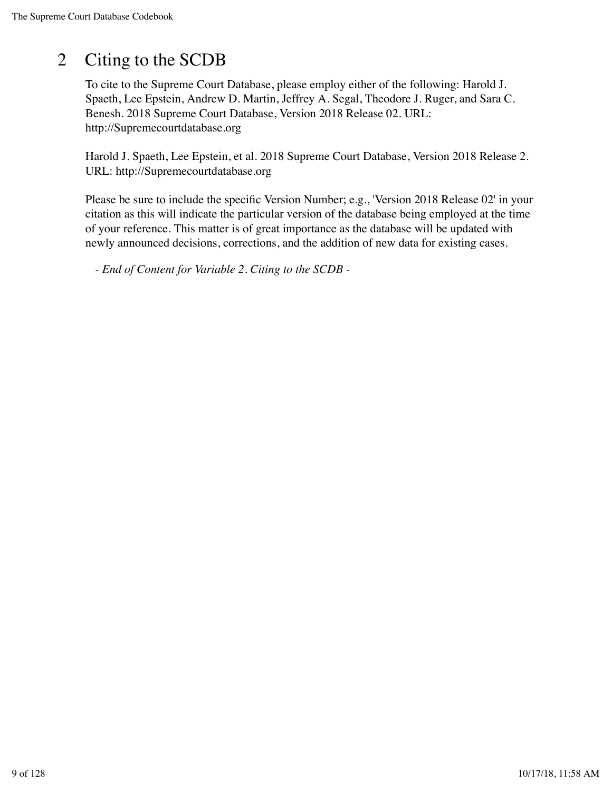# 2 Citing to the SCDB

To cite to the Supreme Court Database, please employ either of the following: Harold J. Spaeth, Lee Epstein, Andrew D. Martin, Jeffrey A. Segal, Theodore J. Ruger, and Sara C. Benesh. 2018 Supreme Court Database, Version 2018 Release 02. URL: http://Supremecourtdatabase.org

Harold J. Spaeth, Lee Epstein, et al. 2018 Supreme Court Database, Version 2018 Release 2. URL: http://Supremecourtdatabase.org

Please be sure to include the specific Version Number; e.g., 'Version 2018 Release 02' in your citation as this will indicate the particular version of the database being employed at the time of your reference. This matter is of great importance as the database will be updated with newly announced decisions, corrections, and the addition of new data for existing cases.

*- End of Content for Variable 2. Citing to the SCDB -*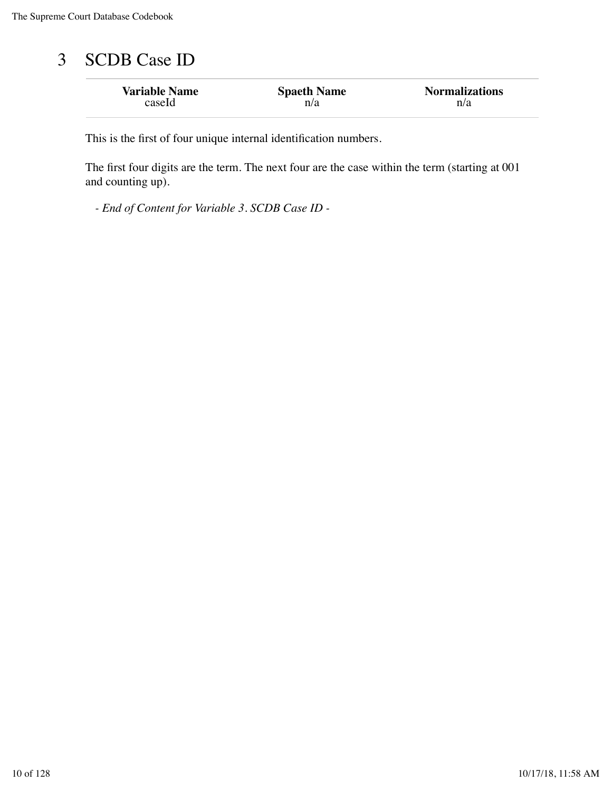# 3 SCDB Case ID

| <b>Variable Name</b> | <b>Spaeth Name</b> | <b>Normalizations</b> |
|----------------------|--------------------|-----------------------|
| caseId               | n/a                | n/a                   |

This is the first of four unique internal identification numbers.

The first four digits are the term. The next four are the case within the term (starting at 001 and counting up).

*- End of Content for Variable 3. SCDB Case ID -*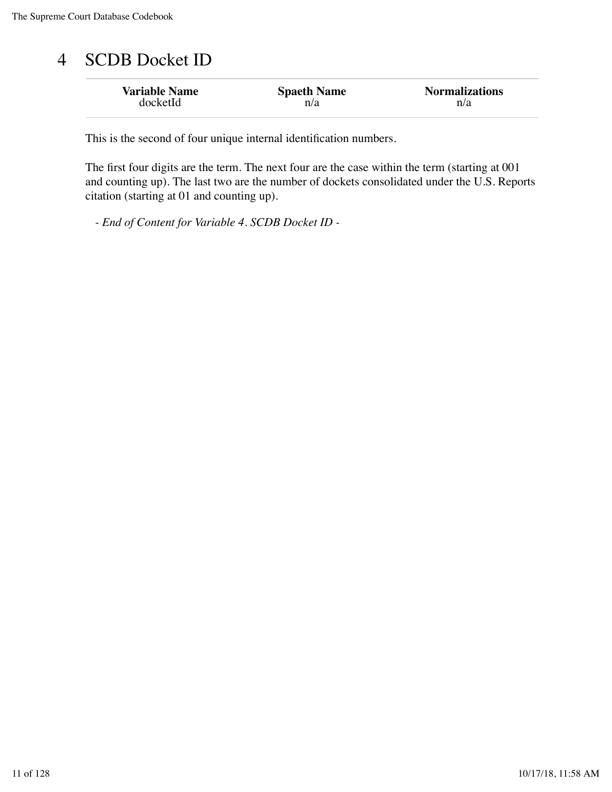## 4 SCDB Docket ID

| <b>Variable Name</b> | <b>Spaeth Name</b> | <b>Normalizations</b> |
|----------------------|--------------------|-----------------------|
| docketId             | n/a                | n/a                   |

This is the second of four unique internal identification numbers.

The first four digits are the term. The next four are the case within the term (starting at 001 and counting up). The last two are the number of dockets consolidated under the U.S. Reports citation (starting at 01 and counting up).

*- End of Content for Variable 4. SCDB Docket ID -*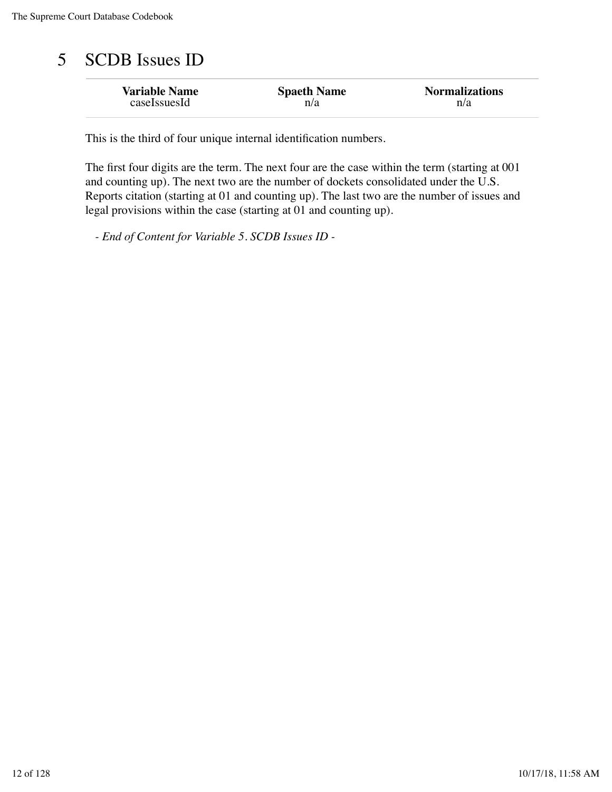# 5 SCDB Issues ID

| <b>Variable Name</b> | <b>Spaeth Name</b> | <b>Normalizations</b> |
|----------------------|--------------------|-----------------------|
| caseIssuesId         | n/a                | n/a                   |

This is the third of four unique internal identification numbers.

The first four digits are the term. The next four are the case within the term (starting at 001 and counting up). The next two are the number of dockets consolidated under the U.S. Reports citation (starting at 01 and counting up). The last two are the number of issues and legal provisions within the case (starting at 01 and counting up).

*- End of Content for Variable 5. SCDB Issues ID -*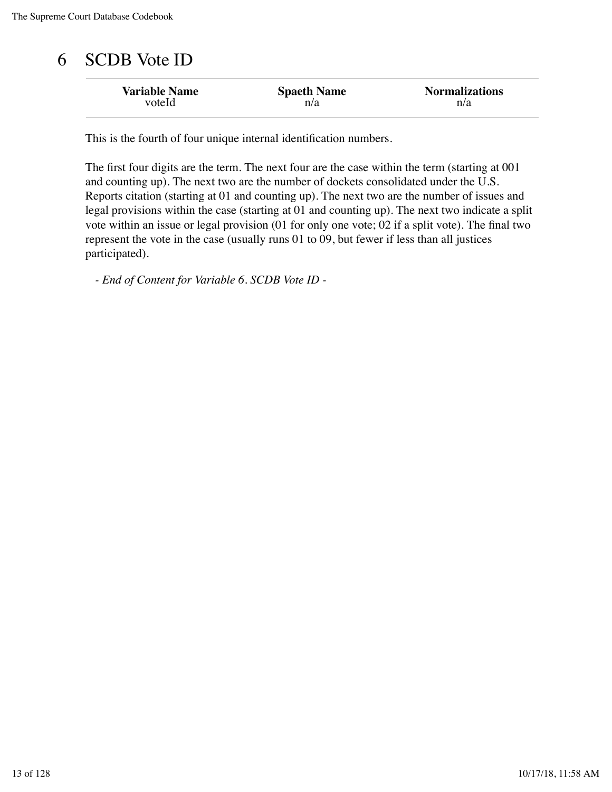## 6 SCDB Vote ID

| <b>Variable Name</b> | <b>Spaeth Name</b> | <b>Normalizations</b> |
|----------------------|--------------------|-----------------------|
| voteld               | n/a                | n/a                   |

This is the fourth of four unique internal identification numbers.

The first four digits are the term. The next four are the case within the term (starting at 001 and counting up). The next two are the number of dockets consolidated under the U.S. Reports citation (starting at 01 and counting up). The next two are the number of issues and legal provisions within the case (starting at 01 and counting up). The next two indicate a split vote within an issue or legal provision (01 for only one vote; 02 if a split vote). The final two represent the vote in the case (usually runs 01 to 09, but fewer if less than all justices participated).

*- End of Content for Variable 6. SCDB Vote ID -*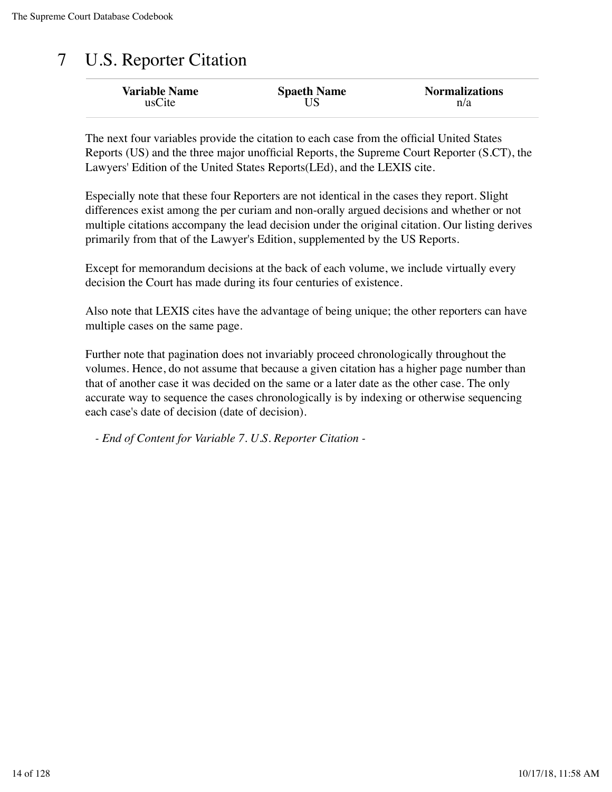# 7 U.S. Reporter Citation

| <b>Variable Name</b> | <b>Spaeth Name</b> | <b>Normalizations</b> |
|----------------------|--------------------|-----------------------|
| usCite               |                    | n/a                   |

The next four variables provide the citation to each case from the official United States Reports (US) and the three major unofficial Reports, the Supreme Court Reporter (S.CT), the Lawyers' Edition of the United States Reports(LEd), and the LEXIS cite.

Especially note that these four Reporters are not identical in the cases they report. Slight differences exist among the per curiam and non-orally argued decisions and whether or not multiple citations accompany the lead decision under the original citation. Our listing derives primarily from that of the Lawyer's Edition, supplemented by the US Reports.

Except for memorandum decisions at the back of each volume, we include virtually every decision the Court has made during its four centuries of existence.

Also note that LEXIS cites have the advantage of being unique; the other reporters can have multiple cases on the same page.

Further note that pagination does not invariably proceed chronologically throughout the volumes. Hence, do not assume that because a given citation has a higher page number than that of another case it was decided on the same or a later date as the other case. The only accurate way to sequence the cases chronologically is by indexing or otherwise sequencing each case's date of decision (date of decision).

*- End of Content for Variable 7. U.S. Reporter Citation -*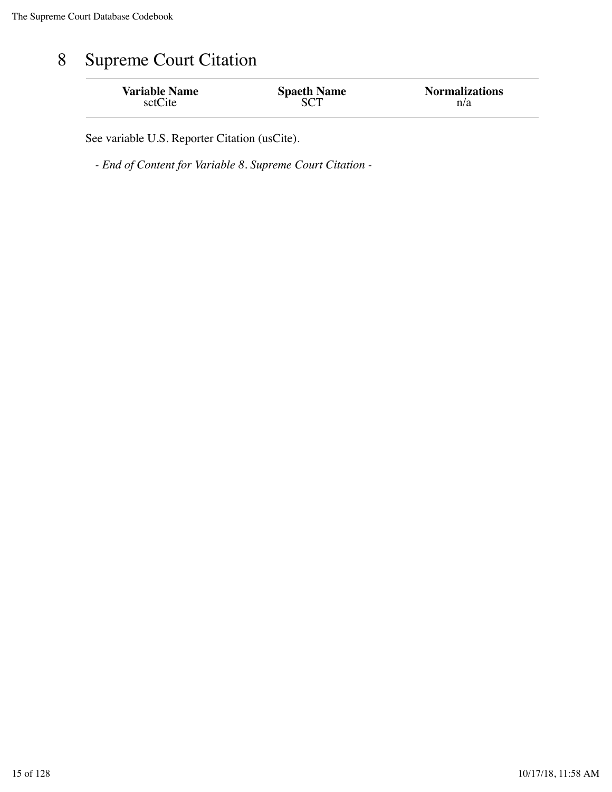# 8 Supreme Court Citation

| <b>Variable Name</b> | <b>Spaeth Name</b> | <b>Normalizations</b> |
|----------------------|--------------------|-----------------------|
| sctCite              |                    | n/a                   |

See variable U.S. Reporter Citation (usCite).

*- End of Content for Variable 8. Supreme Court Citation -*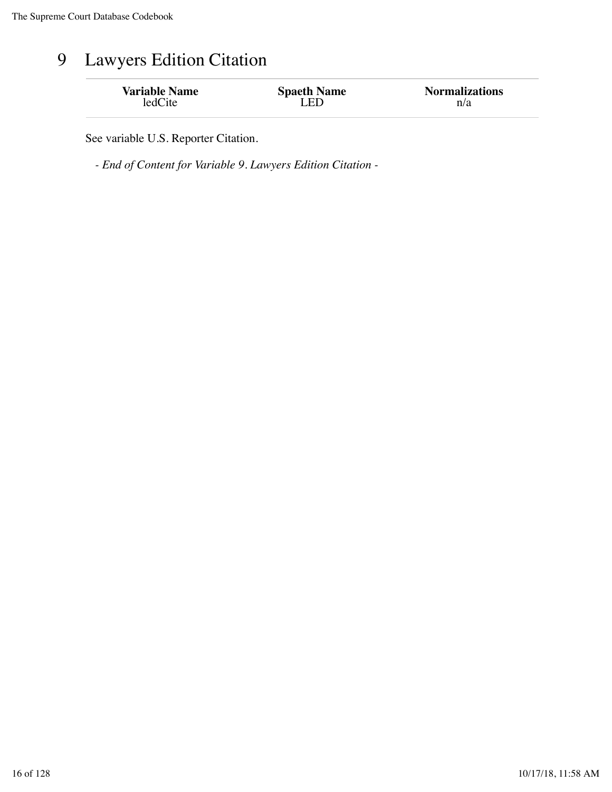# 9 Lawyers Edition Citation

| <b>Variable Name</b> | <b>Spaeth Name</b> | <b>Normalizations</b> |
|----------------------|--------------------|-----------------------|
| ledCite              | LED                | n/a                   |
|                      |                    |                       |

See variable U.S. Reporter Citation.

*- End of Content for Variable 9. Lawyers Edition Citation -*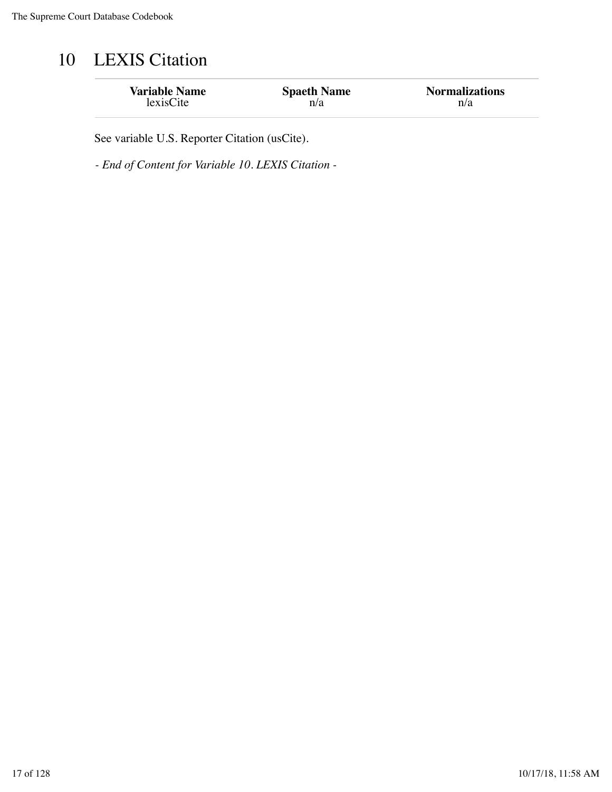# 10 LEXIS Citation

| <b>Variable Name</b> | <b>Spaeth Name</b> | <b>Normalizations</b> |
|----------------------|--------------------|-----------------------|
| lexisCite            | n/a                | n/a                   |

See variable U.S. Reporter Citation (usCite).

*- End of Content for Variable 10. LEXIS Citation -*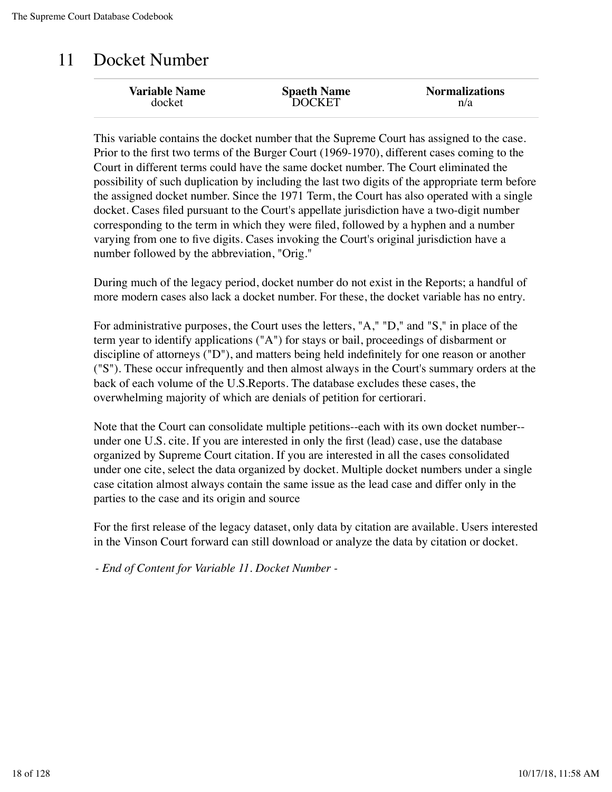### 11 Docket Number

| <b>Variable Name</b> | <b>Spaeth Name</b> | <b>Normalizations</b> |
|----------------------|--------------------|-----------------------|
| docket               | <b>DOCKET</b>      | n/a                   |
|                      |                    |                       |

This variable contains the docket number that the Supreme Court has assigned to the case. Prior to the first two terms of the Burger Court (1969-1970), different cases coming to the Court in different terms could have the same docket number. The Court eliminated the possibility of such duplication by including the last two digits of the appropriate term before the assigned docket number. Since the 1971 Term, the Court has also operated with a single docket. Cases filed pursuant to the Court's appellate jurisdiction have a two-digit number corresponding to the term in which they were filed, followed by a hyphen and a number varying from one to five digits. Cases invoking the Court's original jurisdiction have a number followed by the abbreviation, "Orig."

During much of the legacy period, docket number do not exist in the Reports; a handful of more modern cases also lack a docket number. For these, the docket variable has no entry.

For administrative purposes, the Court uses the letters, "A," "D," and "S," in place of the term year to identify applications ("A") for stays or bail, proceedings of disbarment or discipline of attorneys ("D"), and matters being held indefinitely for one reason or another ("S"). These occur infrequently and then almost always in the Court's summary orders at the back of each volume of the U.S.Reports. The database excludes these cases, the overwhelming majority of which are denials of petition for certiorari.

Note that the Court can consolidate multiple petitions--each with its own docket number- under one U.S. cite. If you are interested in only the first (lead) case, use the database organized by Supreme Court citation. If you are interested in all the cases consolidated under one cite, select the data organized by docket. Multiple docket numbers under a single case citation almost always contain the same issue as the lead case and differ only in the parties to the case and its origin and source

For the first release of the legacy dataset, only data by citation are available. Users interested in the Vinson Court forward can still download or analyze the data by citation or docket.

*- End of Content for Variable 11. Docket Number -*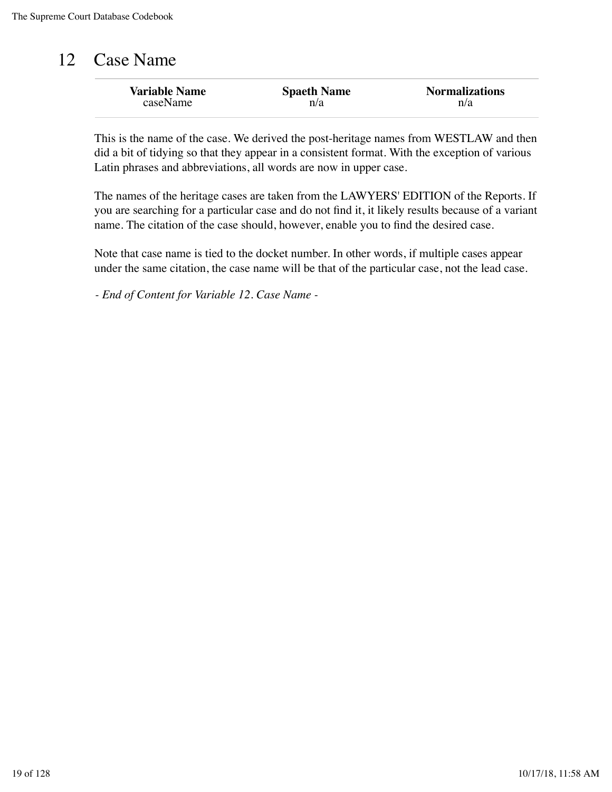### 12 Case Name

| <b>Variable Name</b> | <b>Spaeth Name</b> | <b>Normalizations</b> |
|----------------------|--------------------|-----------------------|
| caseName             | n/a                | n/a                   |

This is the name of the case. We derived the post-heritage names from WESTLAW and then did a bit of tidying so that they appear in a consistent format. With the exception of various Latin phrases and abbreviations, all words are now in upper case.

The names of the heritage cases are taken from the LAWYERS' EDITION of the Reports. If you are searching for a particular case and do not find it, it likely results because of a variant name. The citation of the case should, however, enable you to find the desired case.

Note that case name is tied to the docket number. In other words, if multiple cases appear under the same citation, the case name will be that of the particular case, not the lead case.

*- End of Content for Variable 12. Case Name -*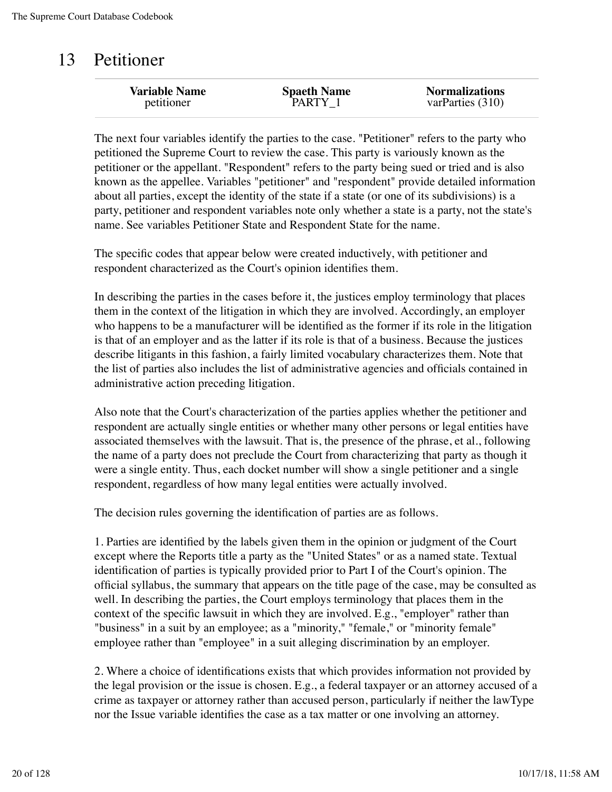### 13 Petitioner

| <b>Variable Name</b> | <b>Spaeth Name</b> | <b>Normalizations</b> |
|----------------------|--------------------|-----------------------|
| petitioner           | PARTY 1            | varParties (310)      |
|                      |                    |                       |

The next four variables identify the parties to the case. "Petitioner" refers to the party who petitioned the Supreme Court to review the case. This party is variously known as the petitioner or the appellant. "Respondent" refers to the party being sued or tried and is also known as the appellee. Variables "petitioner" and "respondent" provide detailed information about all parties, except the identity of the state if a state (or one of its subdivisions) is a party, petitioner and respondent variables note only whether a state is a party, not the state's name. See variables Petitioner State and Respondent State for the name.

The specific codes that appear below were created inductively, with petitioner and respondent characterized as the Court's opinion identifies them.

In describing the parties in the cases before it, the justices employ terminology that places them in the context of the litigation in which they are involved. Accordingly, an employer who happens to be a manufacturer will be identified as the former if its role in the litigation is that of an employer and as the latter if its role is that of a business. Because the justices describe litigants in this fashion, a fairly limited vocabulary characterizes them. Note that the list of parties also includes the list of administrative agencies and officials contained in administrative action preceding litigation.

Also note that the Court's characterization of the parties applies whether the petitioner and respondent are actually single entities or whether many other persons or legal entities have associated themselves with the lawsuit. That is, the presence of the phrase, et al., following the name of a party does not preclude the Court from characterizing that party as though it were a single entity. Thus, each docket number will show a single petitioner and a single respondent, regardless of how many legal entities were actually involved.

The decision rules governing the identification of parties are as follows.

1. Parties are identified by the labels given them in the opinion or judgment of the Court except where the Reports title a party as the "United States" or as a named state. Textual identification of parties is typically provided prior to Part I of the Court's opinion. The official syllabus, the summary that appears on the title page of the case, may be consulted as well. In describing the parties, the Court employs terminology that places them in the context of the specific lawsuit in which they are involved. E.g., "employer" rather than "business" in a suit by an employee; as a "minority," "female," or "minority female" employee rather than "employee" in a suit alleging discrimination by an employer.

2. Where a choice of identifications exists that which provides information not provided by the legal provision or the issue is chosen. E.g., a federal taxpayer or an attorney accused of a crime as taxpayer or attorney rather than accused person, particularly if neither the lawType nor the Issue variable identifies the case as a tax matter or one involving an attorney.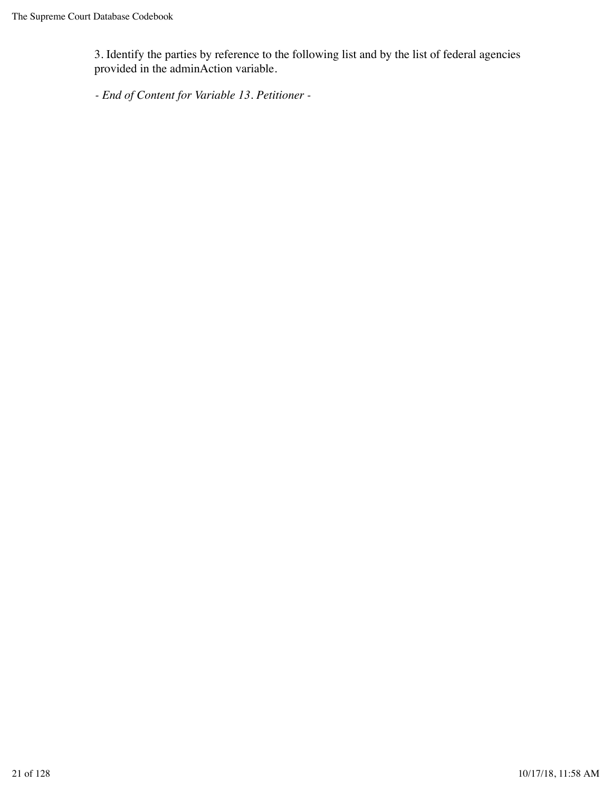3. Identify the parties by reference to the following list and by the list of federal agencies provided in the adminAction variable.

*- End of Content for Variable 13. Petitioner -*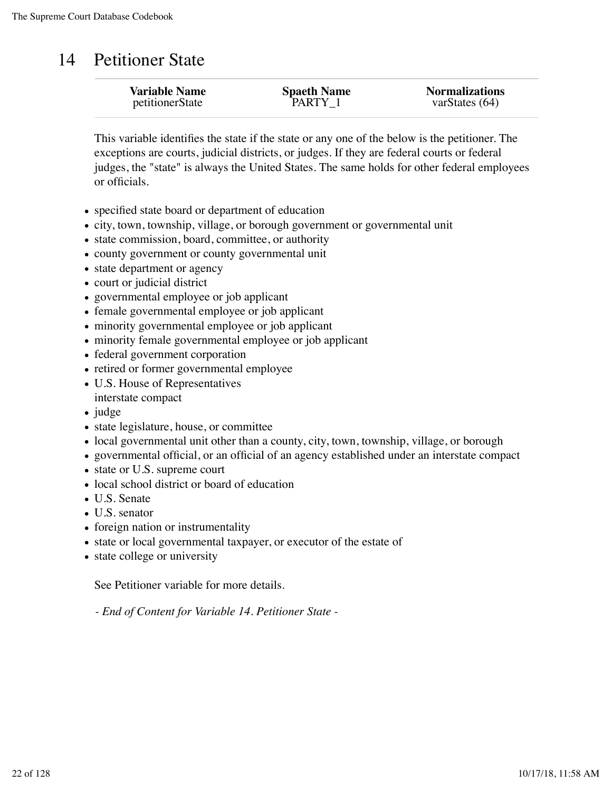### 14 Petitioner State

| <b>Variable Name</b> | <b>Spaeth Name</b> | <b>Normalizations</b> |
|----------------------|--------------------|-----------------------|
| petitionerState      | PARTY 1            | varStates $(64)$      |
|                      |                    |                       |

This variable identifies the state if the state or any one of the below is the petitioner. The exceptions are courts, judicial districts, or judges. If they are federal courts or federal judges, the "state" is always the United States. The same holds for other federal employees or officials.

- specified state board or department of education
- city, town, township, village, or borough government or governmental unit
- state commission, board, committee, or authority
- county government or county governmental unit
- state department or agency
- court or judicial district
- governmental employee or job applicant
- female governmental employee or job applicant
- minority governmental employee or job applicant
- minority female governmental employee or job applicant
- federal government corporation
- retired or former governmental employee
- U.S. House of Representatives interstate compact
- $\bullet$  judge
- state legislature, house, or committee
- local governmental unit other than a county, city, town, township, village, or borough
- governmental official, or an official of an agency established under an interstate compact
- state or U.S. supreme court
- local school district or board of education
- U.S. Senate
- U.S. senator
- foreign nation or instrumentality
- state or local governmental taxpayer, or executor of the estate of
- state college or university

See Petitioner variable for more details.

*- End of Content for Variable 14. Petitioner State -*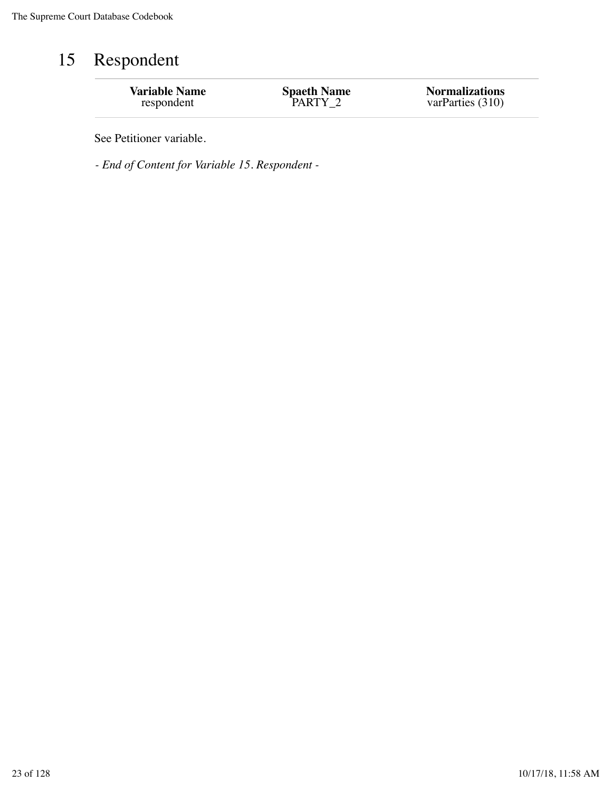# 15 Respondent

| <b>Variable Name</b> | <b>Spaeth Name</b> | <b>Normalizations</b> |
|----------------------|--------------------|-----------------------|
| respondent           | PARTY 2            | varParties (310)      |
|                      |                    |                       |

See Petitioner variable.

*- End of Content for Variable 15. Respondent -*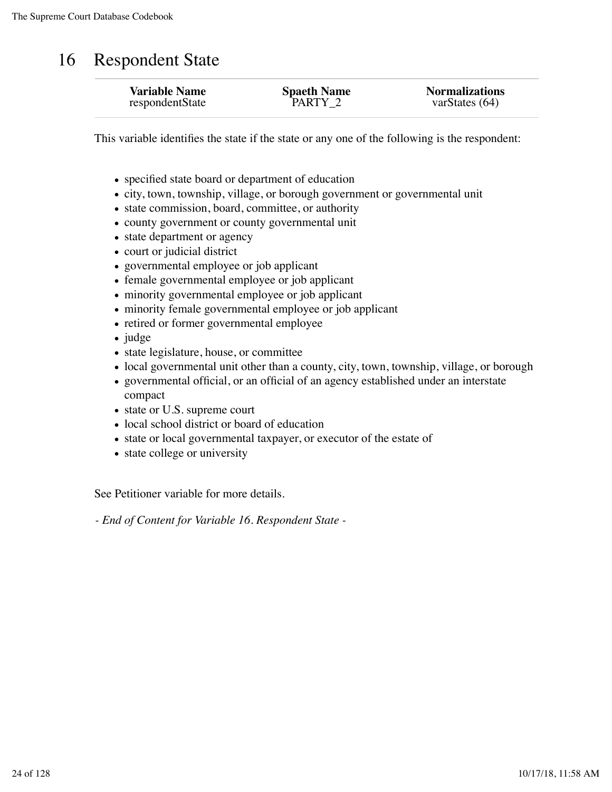### 16 Respondent State

| <b>Variable Name</b> | <b>Spaeth Name</b> | <b>Normalizations</b> |
|----------------------|--------------------|-----------------------|
| respondentState      | PARTY 2            | varStates $(64)$      |
|                      |                    |                       |

This variable identifies the state if the state or any one of the following is the respondent:

- specified state board or department of education
- city, town, township, village, or borough government or governmental unit
- state commission, board, committee, or authority
- county government or county governmental unit
- state department or agency
- court or judicial district
- governmental employee or job applicant
- female governmental employee or job applicant
- minority governmental employee or job applicant
- minority female governmental employee or job applicant
- retired or former governmental employee
- judge
- state legislature, house, or committee
- local governmental unit other than a county, city, town, township, village, or borough
- governmental official, or an official of an agency established under an interstate compact
- state or U.S. supreme court
- local school district or board of education
- state or local governmental taxpayer, or executor of the estate of
- state college or university

See Petitioner variable for more details.

*- End of Content for Variable 16. Respondent State -*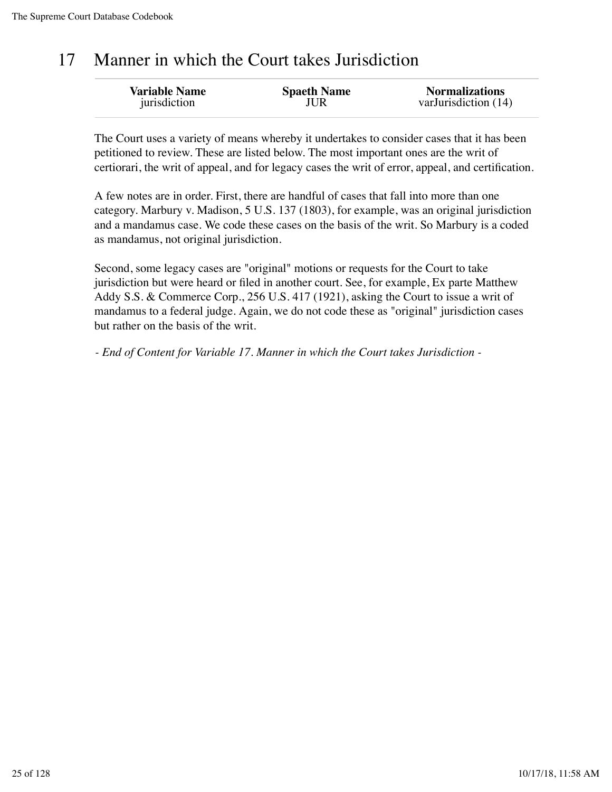## 17 Manner in which the Court takes Jurisdiction

The Court uses a variety of means whereby it undertakes to consider cases that it has been petitioned to review. These are listed below. The most important ones are the writ of certiorari, the writ of appeal, and for legacy cases the writ of error, appeal, and certification.

A few notes are in order. First, there are handful of cases that fall into more than one category. Marbury v. Madison, 5 U.S. 137 (1803), for example, was an original jurisdiction and a mandamus case. We code these cases on the basis of the writ. So Marbury is a coded as mandamus, not original jurisdiction.

Second, some legacy cases are "original" motions or requests for the Court to take jurisdiction but were heard or filed in another court. See, for example, Ex parte Matthew Addy S.S. & Commerce Corp., 256 U.S. 417 (1921), asking the Court to issue a writ of mandamus to a federal judge. Again, we do not code these as "original" jurisdiction cases but rather on the basis of the writ.

*- End of Content for Variable 17. Manner in which the Court takes Jurisdiction -*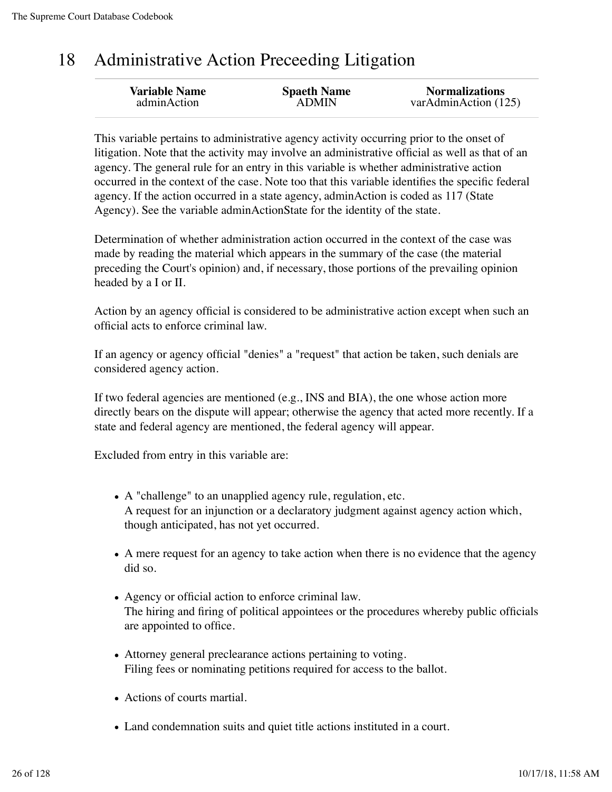# 18 Administrative Action Preceeding Litigation

| <b>Variable Name</b> | <b>Spaeth Name</b> | <b>Normalizations</b> |
|----------------------|--------------------|-----------------------|
| adminAction          | <b>ADMIN</b>       | varAdminAction (125)  |
|                      |                    |                       |

This variable pertains to administrative agency activity occurring prior to the onset of litigation. Note that the activity may involve an administrative official as well as that of an agency. The general rule for an entry in this variable is whether administrative action occurred in the context of the case. Note too that this variable identifies the specific federal agency. If the action occurred in a state agency, adminAction is coded as 117 (State Agency). See the variable adminActionState for the identity of the state.

Determination of whether administration action occurred in the context of the case was made by reading the material which appears in the summary of the case (the material preceding the Court's opinion) and, if necessary, those portions of the prevailing opinion headed by a I or II.

Action by an agency official is considered to be administrative action except when such an official acts to enforce criminal law.

If an agency or agency official "denies" a "request" that action be taken, such denials are considered agency action.

If two federal agencies are mentioned (e.g., INS and BIA), the one whose action more directly bears on the dispute will appear; otherwise the agency that acted more recently. If a state and federal agency are mentioned, the federal agency will appear.

Excluded from entry in this variable are:

- A "challenge" to an unapplied agency rule, regulation, etc. A request for an injunction or a declaratory judgment against agency action which, though anticipated, has not yet occurred.
- A mere request for an agency to take action when there is no evidence that the agency did so.
- Agency or official action to enforce criminal law. The hiring and firing of political appointees or the procedures whereby public officials are appointed to office.
- Attorney general preclearance actions pertaining to voting. Filing fees or nominating petitions required for access to the ballot.
- Actions of courts martial.
- Land condemnation suits and quiet title actions instituted in a court.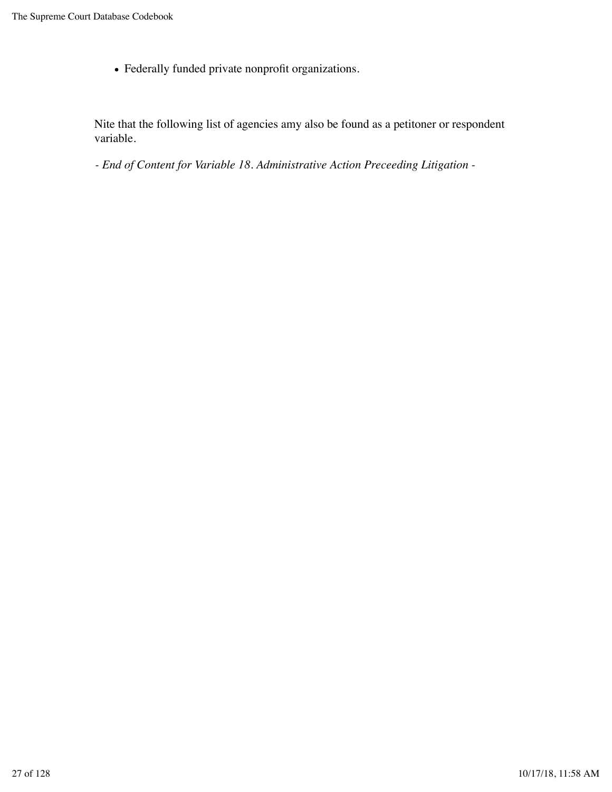Federally funded private nonprofit organizations.

Nite that the following list of agencies amy also be found as a petitoner or respondent variable.

*- End of Content for Variable 18. Administrative Action Preceeding Litigation -*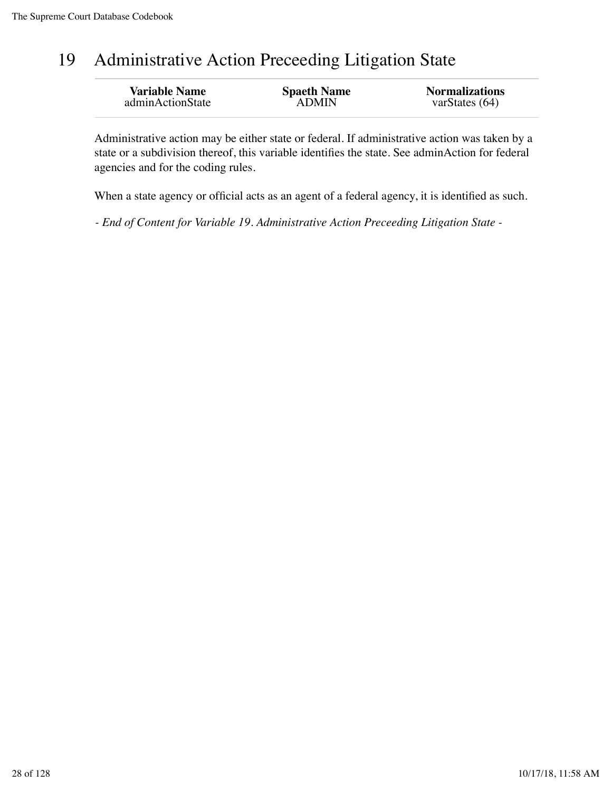# 19 Administrative Action Preceeding Litigation State

| <b>Variable Name</b> | <b>Spaeth Name</b> | <b>Normalizations</b> |
|----------------------|--------------------|-----------------------|
| adminActionState     | <b>ADMIN</b>       | varStates $(64)$      |
|                      |                    |                       |

Administrative action may be either state or federal. If administrative action was taken by a state or a subdivision thereof, this variable identifies the state. See adminAction for federal agencies and for the coding rules.

When a state agency or official acts as an agent of a federal agency, it is identified as such.

*- End of Content for Variable 19. Administrative Action Preceeding Litigation State -*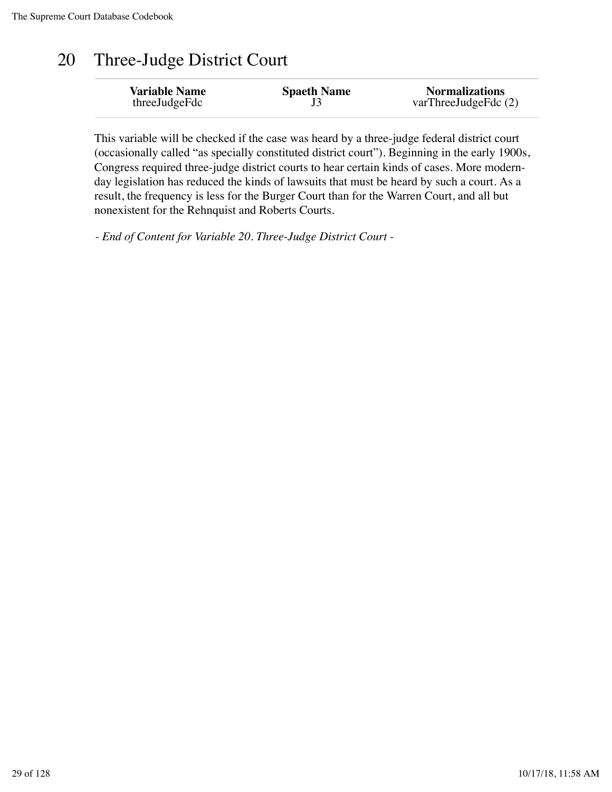# 20 Three-Judge District Court

This variable will be checked if the case was heard by a three-judge federal district court (occasionally called "as specially constituted district court"). Beginning in the early 1900s, Congress required three-judge district courts to hear certain kinds of cases. More modernday legislation has reduced the kinds of lawsuits that must be heard by such a court. As a result, the frequency is less for the Burger Court than for the Warren Court, and all but nonexistent for the Rehnquist and Roberts Courts.

*- End of Content for Variable 20. Three-Judge District Court -*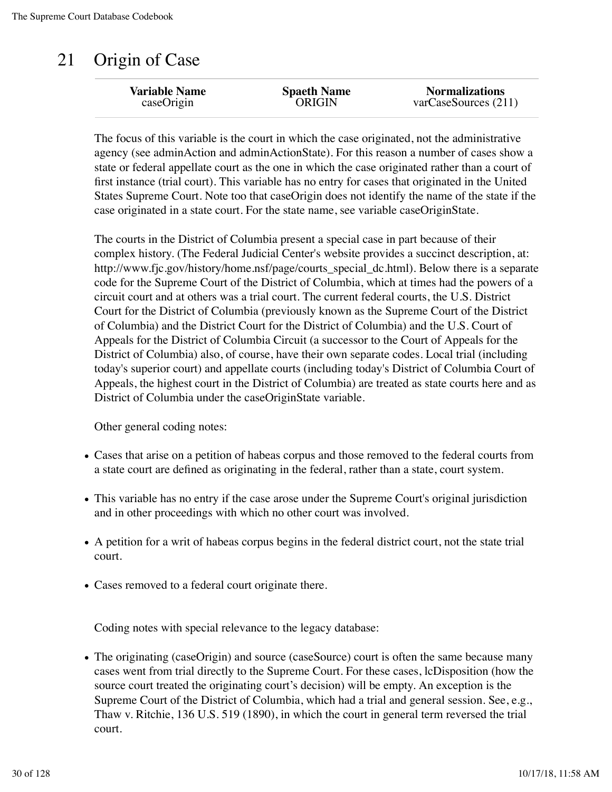# 21 Origin of Case

| <b>Variable Name</b> | <b>Spaeth Name</b> | <b>Normalizations</b> |
|----------------------|--------------------|-----------------------|
| caseOrigin           | <b>ORIGIN</b>      | varCase Sources (211) |
|                      |                    |                       |

The focus of this variable is the court in which the case originated, not the administrative agency (see adminAction and adminActionState). For this reason a number of cases show a state or federal appellate court as the one in which the case originated rather than a court of first instance (trial court). This variable has no entry for cases that originated in the United States Supreme Court. Note too that caseOrigin does not identify the name of the state if the case originated in a state court. For the state name, see variable caseOriginState.

The courts in the District of Columbia present a special case in part because of their complex history. (The Federal Judicial Center's website provides a succinct description, at: http://www.fjc.gov/history/home.nsf/page/courts\_special\_dc.html). Below there is a separate code for the Supreme Court of the District of Columbia, which at times had the powers of a circuit court and at others was a trial court. The current federal courts, the U.S. District Court for the District of Columbia (previously known as the Supreme Court of the District of Columbia) and the District Court for the District of Columbia) and the U.S. Court of Appeals for the District of Columbia Circuit (a successor to the Court of Appeals for the District of Columbia) also, of course, have their own separate codes. Local trial (including today's superior court) and appellate courts (including today's District of Columbia Court of Appeals, the highest court in the District of Columbia) are treated as state courts here and as District of Columbia under the caseOriginState variable.

Other general coding notes:

- Cases that arise on a petition of habeas corpus and those removed to the federal courts from a state court are defined as originating in the federal, rather than a state, court system.
- This variable has no entry if the case arose under the Supreme Court's original jurisdiction and in other proceedings with which no other court was involved.
- A petition for a writ of habeas corpus begins in the federal district court, not the state trial court.
- Cases removed to a federal court originate there.

Coding notes with special relevance to the legacy database:

• The originating (caseOrigin) and source (caseSource) court is often the same because many cases went from trial directly to the Supreme Court. For these cases, lcDisposition (how the source court treated the originating court's decision) will be empty. An exception is the Supreme Court of the District of Columbia, which had a trial and general session. See, e.g., Thaw v. Ritchie, 136 U.S. 519 (1890), in which the court in general term reversed the trial court.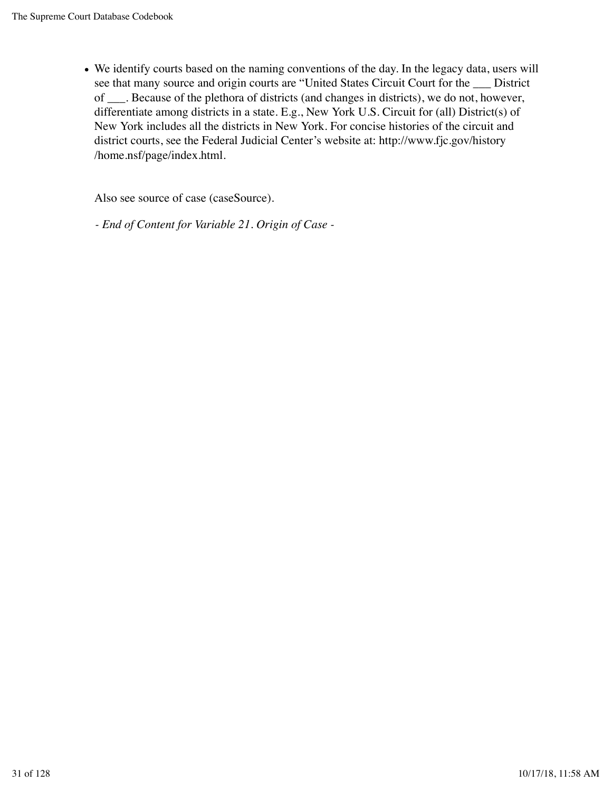We identify courts based on the naming conventions of the day. In the legacy data, users will see that many source and origin courts are "United States Circuit Court for the \_\_\_ District of \_\_\_. Because of the plethora of districts (and changes in districts), we do not, however, differentiate among districts in a state. E.g., New York U.S. Circuit for (all) District(s) of New York includes all the districts in New York. For concise histories of the circuit and district courts, see the Federal Judicial Center's website at: http://www.fjc.gov/history /home.nsf/page/index.html.

Also see source of case (caseSource).

*- End of Content for Variable 21. Origin of Case -*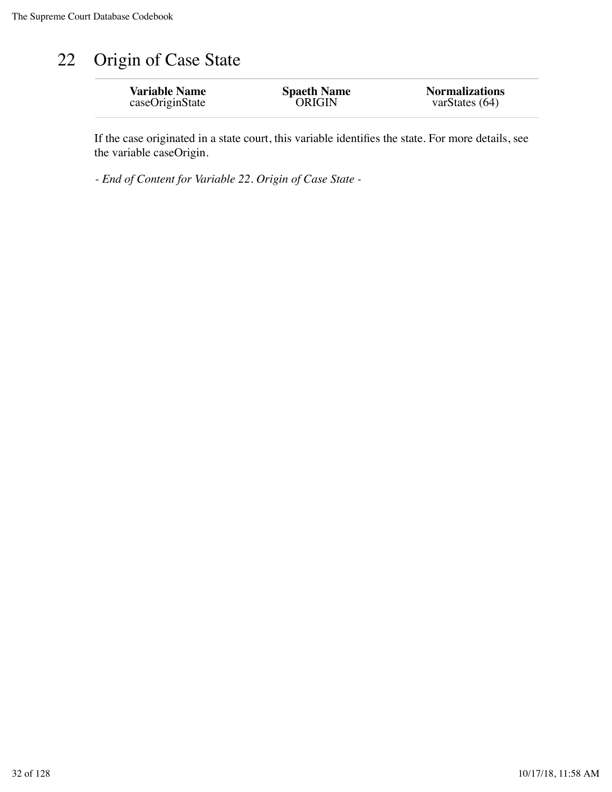# 22 Origin of Case State

| <b>Variable Name</b> | <b>Spaeth Name</b> | <b>Normalizations</b> |
|----------------------|--------------------|-----------------------|
| caseOriginState      | <b>ORIGIN</b>      | varStates $(64)$      |
|                      |                    |                       |

If the case originated in a state court, this variable identifies the state. For more details, see the variable caseOrigin.

*- End of Content for Variable 22. Origin of Case State -*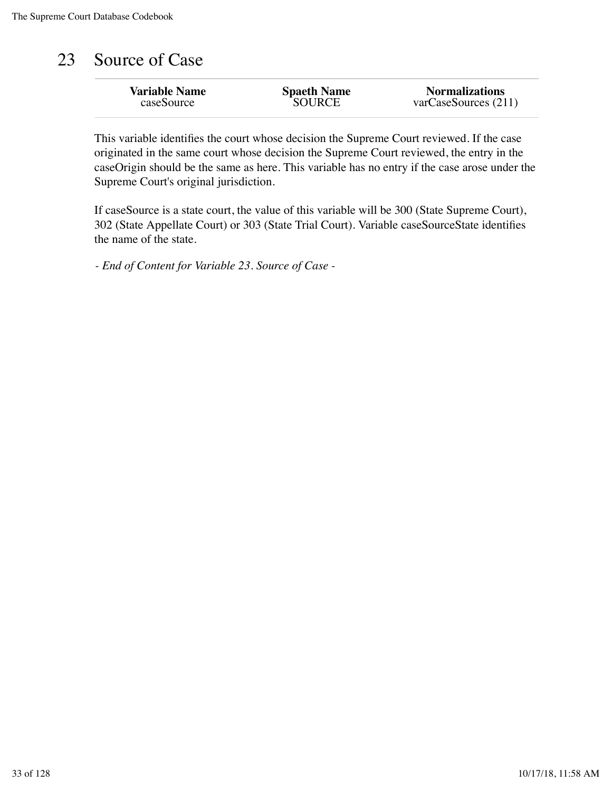## 23 Source of Case

| <b>Variable Name</b> | <b>Spaeth Name</b> | <b>Normalizations</b> |
|----------------------|--------------------|-----------------------|
| caseSource           | <b>SOURCE</b>      | varCase Sources (211) |
|                      |                    |                       |

This variable identifies the court whose decision the Supreme Court reviewed. If the case originated in the same court whose decision the Supreme Court reviewed, the entry in the caseOrigin should be the same as here. This variable has no entry if the case arose under the Supreme Court's original jurisdiction.

If caseSource is a state court, the value of this variable will be 300 (State Supreme Court), 302 (State Appellate Court) or 303 (State Trial Court). Variable caseSourceState identifies the name of the state.

*- End of Content for Variable 23. Source of Case -*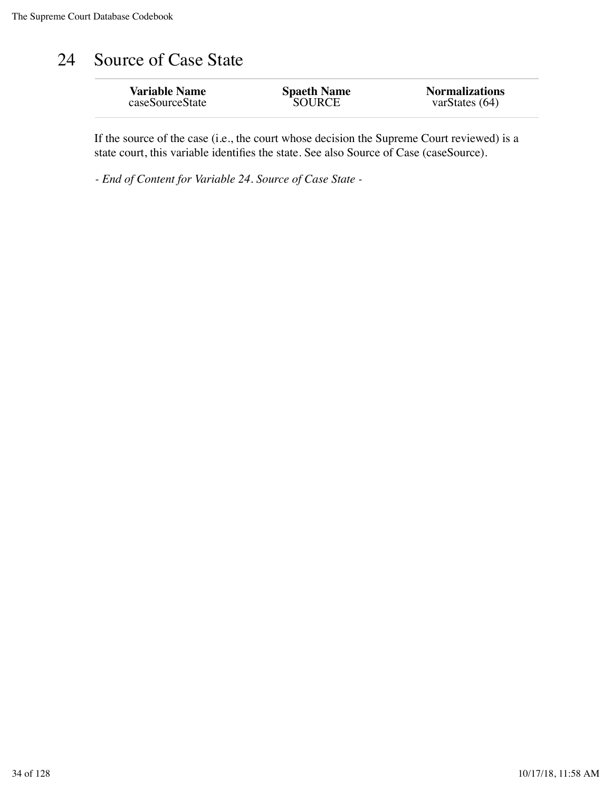# 24 Source of Case State

| <b>Variable Name</b> | <b>Spaeth Name</b> | <b>Normalizations</b> |
|----------------------|--------------------|-----------------------|
| caseSourceState      | SOURCE             | varStates $(64)$      |
|                      |                    |                       |

If the source of the case (i.e., the court whose decision the Supreme Court reviewed) is a state court, this variable identifies the state. See also Source of Case (caseSource).

*- End of Content for Variable 24. Source of Case State -*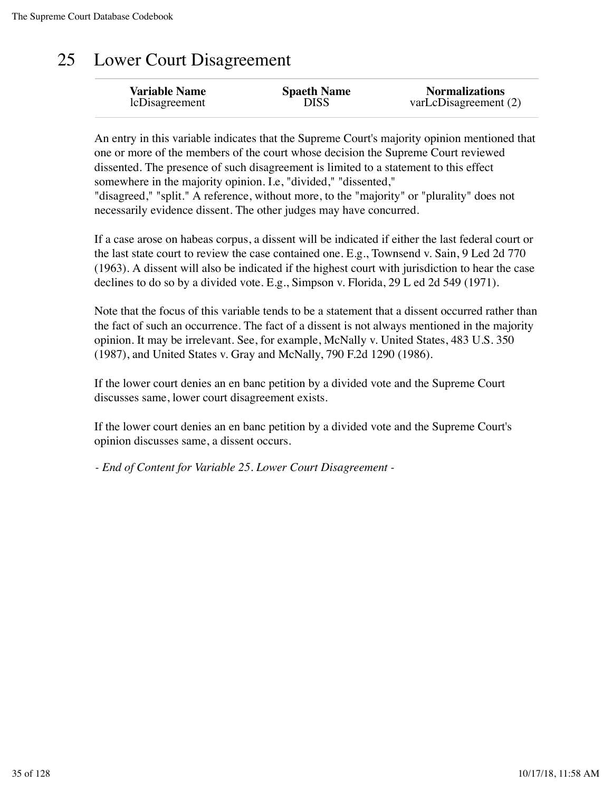# 25 Lower Court Disagreement

| <b>Variable Name</b> | <b>Spaeth Name</b> | <b>Normalizations</b> |
|----------------------|--------------------|-----------------------|
| lcDisagreement       | DISS               | varLcDisagreement (2) |
|                      |                    |                       |

An entry in this variable indicates that the Supreme Court's majority opinion mentioned that one or more of the members of the court whose decision the Supreme Court reviewed dissented. The presence of such disagreement is limited to a statement to this effect somewhere in the majority opinion. I.e, "divided," "dissented," "disagreed," "split." A reference, without more, to the "majority" or "plurality" does not necessarily evidence dissent. The other judges may have concurred.

If a case arose on habeas corpus, a dissent will be indicated if either the last federal court or the last state court to review the case contained one. E.g., Townsend v. Sain, 9 Led 2d 770 (1963). A dissent will also be indicated if the highest court with jurisdiction to hear the case declines to do so by a divided vote. E.g., Simpson v. Florida, 29 L ed 2d 549 (1971).

Note that the focus of this variable tends to be a statement that a dissent occurred rather than the fact of such an occurrence. The fact of a dissent is not always mentioned in the majority opinion. It may be irrelevant. See, for example, McNally v. United States, 483 U.S. 350 (1987), and United States v. Gray and McNally, 790 F.2d 1290 (1986).

If the lower court denies an en banc petition by a divided vote and the Supreme Court discusses same, lower court disagreement exists.

If the lower court denies an en banc petition by a divided vote and the Supreme Court's opinion discusses same, a dissent occurs.

*- End of Content for Variable 25. Lower Court Disagreement -*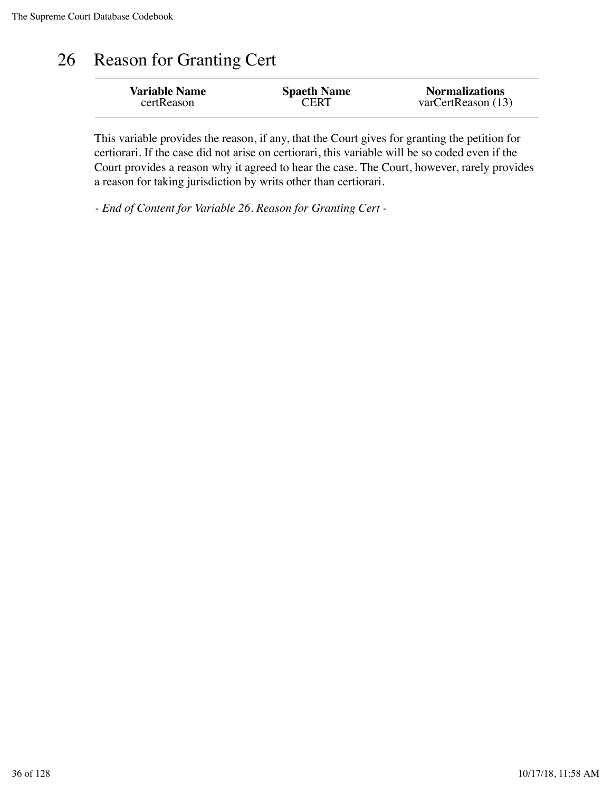# 26 Reason for Granting Cert

This variable provides the reason, if any, that the Court gives for granting the petition for certiorari. If the case did not arise on certiorari, this variable will be so coded even if the Court provides a reason why it agreed to hear the case. The Court, however, rarely provides a reason for taking jurisdiction by writs other than certiorari.

*- End of Content for Variable 26. Reason for Granting Cert -*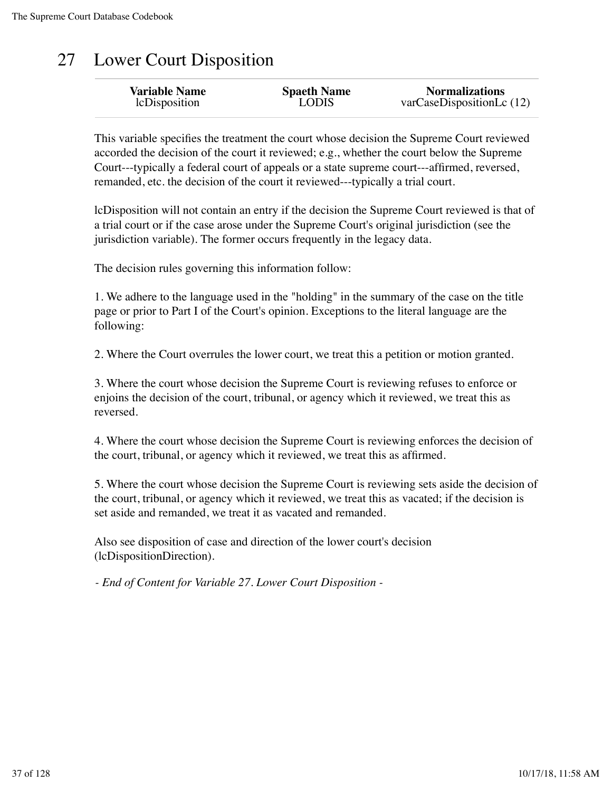### 27 Lower Court Disposition

This variable specifies the treatment the court whose decision the Supreme Court reviewed accorded the decision of the court it reviewed; e.g., whether the court below the Supreme Court---typically a federal court of appeals or a state supreme court---affirmed, reversed, remanded, etc. the decision of the court it reviewed---typically a trial court.

lcDisposition will not contain an entry if the decision the Supreme Court reviewed is that of a trial court or if the case arose under the Supreme Court's original jurisdiction (see the jurisdiction variable). The former occurs frequently in the legacy data.

The decision rules governing this information follow:

1. We adhere to the language used in the "holding" in the summary of the case on the title page or prior to Part I of the Court's opinion. Exceptions to the literal language are the following:

2. Where the Court overrules the lower court, we treat this a petition or motion granted.

3. Where the court whose decision the Supreme Court is reviewing refuses to enforce or enjoins the decision of the court, tribunal, or agency which it reviewed, we treat this as reversed.

4. Where the court whose decision the Supreme Court is reviewing enforces the decision of the court, tribunal, or agency which it reviewed, we treat this as affirmed.

5. Where the court whose decision the Supreme Court is reviewing sets aside the decision of the court, tribunal, or agency which it reviewed, we treat this as vacated; if the decision is set aside and remanded, we treat it as vacated and remanded.

Also see disposition of case and direction of the lower court's decision (lcDispositionDirection).

*- End of Content for Variable 27. Lower Court Disposition -*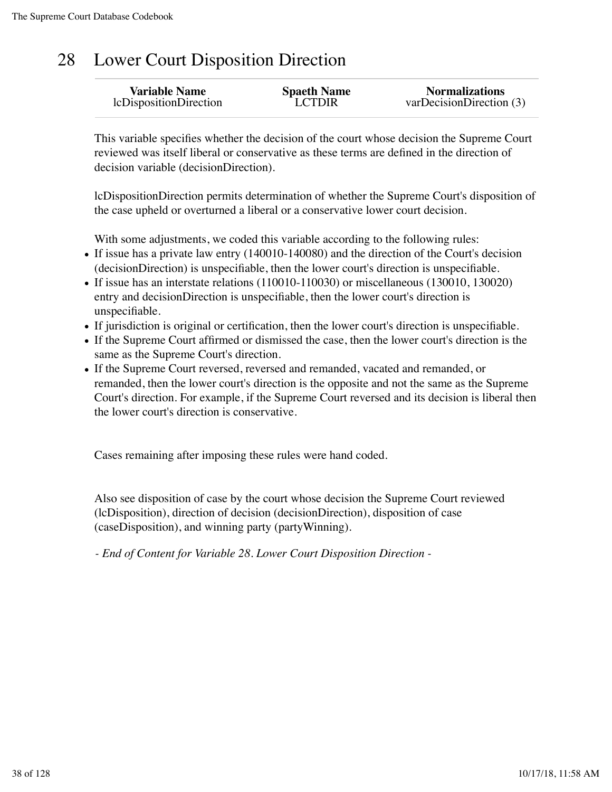### 28 Lower Court Disposition Direction

| <b>Variable Name</b>   | <b>Spaeth Name</b> | <b>Normalizations</b>   |
|------------------------|--------------------|-------------------------|
| lcDispositionDirection | <b>LCTDIR</b>      | varDecisionDirection(3) |

This variable specifies whether the decision of the court whose decision the Supreme Court reviewed was itself liberal or conservative as these terms are defined in the direction of decision variable (decisionDirection).

lcDispositionDirection permits determination of whether the Supreme Court's disposition of the case upheld or overturned a liberal or a conservative lower court decision.

With some adjustments, we coded this variable according to the following rules:

- If issue has a private law entry (140010-140080) and the direction of the Court's decision (decisionDirection) is unspecifiable, then the lower court's direction is unspecifiable.
- If issue has an interstate relations (110010-110030) or miscellaneous (130010, 130020) entry and decisionDirection is unspecifiable, then the lower court's direction is unspecifiable.
- If jurisdiction is original or certification, then the lower court's direction is unspecifiable.
- If the Supreme Court affirmed or dismissed the case, then the lower court's direction is the same as the Supreme Court's direction.
- If the Supreme Court reversed, reversed and remanded, vacated and remanded, or remanded, then the lower court's direction is the opposite and not the same as the Supreme Court's direction. For example, if the Supreme Court reversed and its decision is liberal then the lower court's direction is conservative.

Cases remaining after imposing these rules were hand coded.

Also see disposition of case by the court whose decision the Supreme Court reviewed (lcDisposition), direction of decision (decisionDirection), disposition of case (caseDisposition), and winning party (partyWinning).

*- End of Content for Variable 28. Lower Court Disposition Direction -*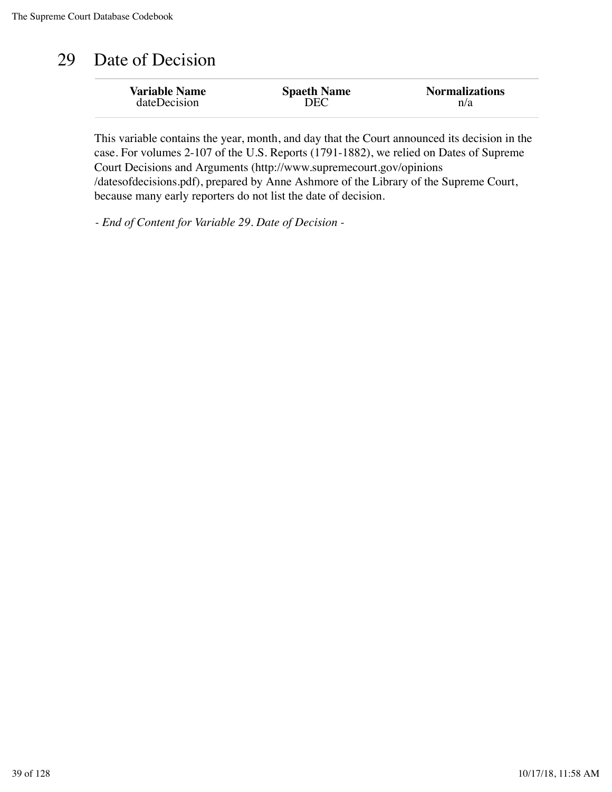#### 29 Date of Decision

| <b>Variable Name</b> | <b>Spaeth Name</b> | <b>Normalizations</b> |
|----------------------|--------------------|-----------------------|
| dateDecision         | DEC                | n/a                   |
|                      |                    |                       |

This variable contains the year, month, and day that the Court announced its decision in the case. For volumes 2-107 of the U.S. Reports (1791-1882), we relied on Dates of Supreme Court Decisions and Arguments (http://www.supremecourt.gov/opinions /datesofdecisions.pdf), prepared by Anne Ashmore of the Library of the Supreme Court, because many early reporters do not list the date of decision.

*- End of Content for Variable 29. Date of Decision -*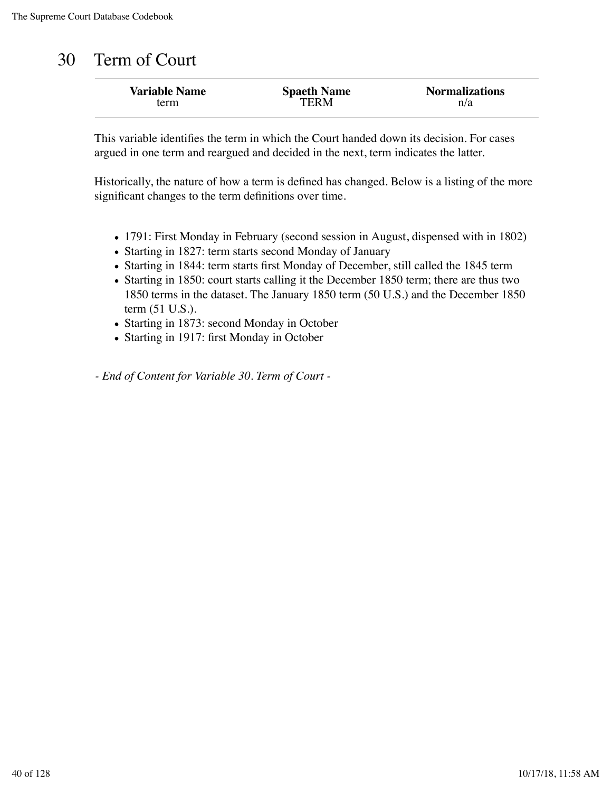#### 30 Term of Court

| <b>Variable Name</b> | <b>Spaeth Name</b> | <b>Normalizations</b> |
|----------------------|--------------------|-----------------------|
| term                 | TER M              | n/a                   |

This variable identifies the term in which the Court handed down its decision. For cases argued in one term and reargued and decided in the next, term indicates the latter.

Historically, the nature of how a term is defined has changed. Below is a listing of the more significant changes to the term definitions over time.

- 1791: First Monday in February (second session in August, dispensed with in 1802)
- Starting in 1827: term starts second Monday of January
- Starting in 1844: term starts first Monday of December, still called the 1845 term
- Starting in 1850: court starts calling it the December 1850 term; there are thus two 1850 terms in the dataset. The January 1850 term (50 U.S.) and the December 1850 term (51 U.S.).
- Starting in 1873: second Monday in October
- Starting in 1917: first Monday in October

*- End of Content for Variable 30. Term of Court -*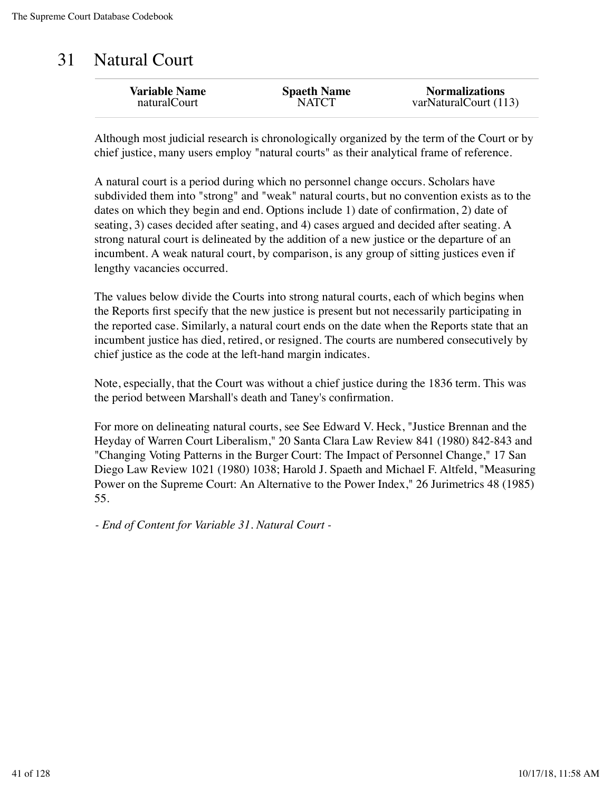#### 31 Natural Court

| <b>Variable Name</b> | <b>Spaeth Name</b> | <b>Normalizations</b> |
|----------------------|--------------------|-----------------------|
| naturalCourt         | <b>NATCT</b>       | varNaturalCourt (113) |
|                      |                    |                       |

Although most judicial research is chronologically organized by the term of the Court or by chief justice, many users employ "natural courts" as their analytical frame of reference.

A natural court is a period during which no personnel change occurs. Scholars have subdivided them into "strong" and "weak" natural courts, but no convention exists as to the dates on which they begin and end. Options include 1) date of confirmation, 2) date of seating, 3) cases decided after seating, and 4) cases argued and decided after seating. A strong natural court is delineated by the addition of a new justice or the departure of an incumbent. A weak natural court, by comparison, is any group of sitting justices even if lengthy vacancies occurred.

The values below divide the Courts into strong natural courts, each of which begins when the Reports first specify that the new justice is present but not necessarily participating in the reported case. Similarly, a natural court ends on the date when the Reports state that an incumbent justice has died, retired, or resigned. The courts are numbered consecutively by chief justice as the code at the left-hand margin indicates.

Note, especially, that the Court was without a chief justice during the 1836 term. This was the period between Marshall's death and Taney's confirmation.

For more on delineating natural courts, see See Edward V. Heck, "Justice Brennan and the Heyday of Warren Court Liberalism," 20 Santa Clara Law Review 841 (1980) 842-843 and "Changing Voting Patterns in the Burger Court: The Impact of Personnel Change," 17 San Diego Law Review 1021 (1980) 1038; Harold J. Spaeth and Michael F. Altfeld, "Measuring Power on the Supreme Court: An Alternative to the Power Index," 26 Jurimetrics 48 (1985) 55.

*- End of Content for Variable 31. Natural Court -*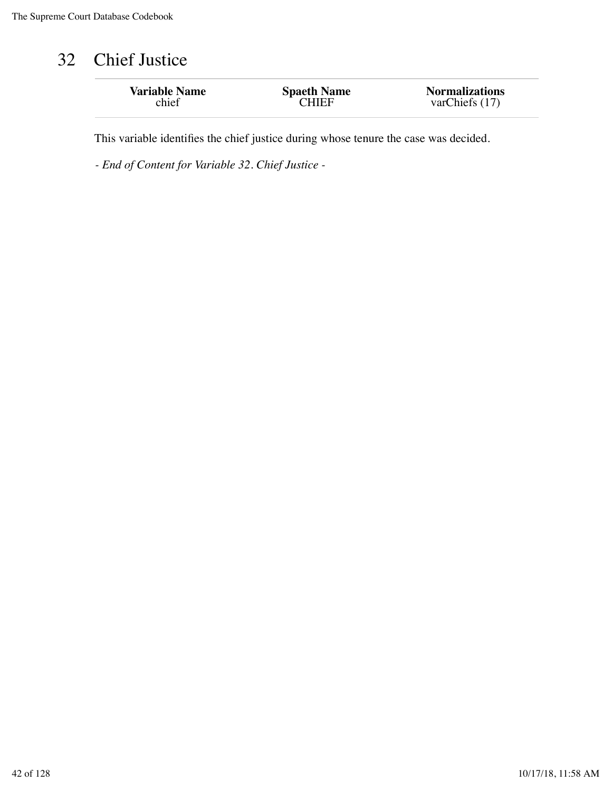## 32 Chief Justice

| <b>Variable Name</b> | <b>Spaeth Name</b> | <b>Normalizations</b> |
|----------------------|--------------------|-----------------------|
| chief                | <b>CHIEF</b>       | varChiefs $(17)$      |
|                      |                    |                       |

This variable identifies the chief justice during whose tenure the case was decided.

*- End of Content for Variable 32. Chief Justice -*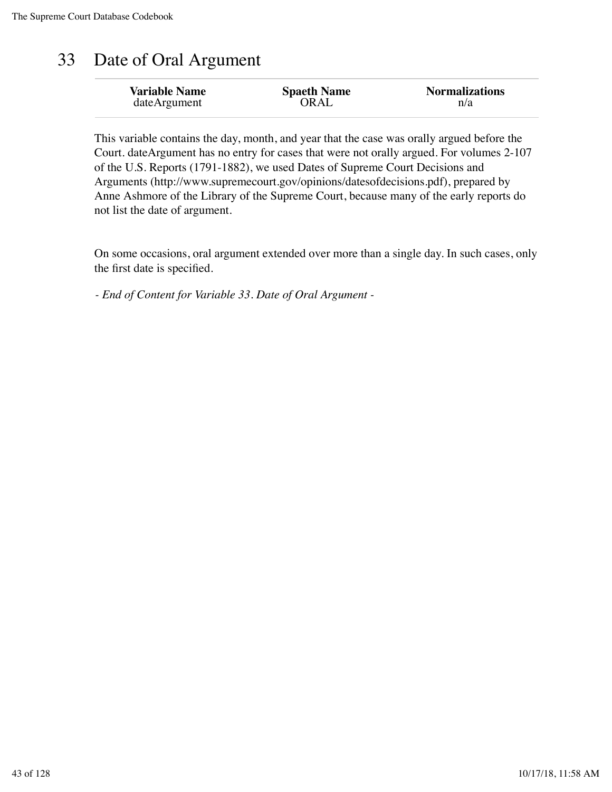### 33 Date of Oral Argument

| OR AL<br>dateArgument<br>n/a | <b>Variable Name</b> | <b>Spaeth Name</b> | <b>Normalizations</b> |
|------------------------------|----------------------|--------------------|-----------------------|
|------------------------------|----------------------|--------------------|-----------------------|

This variable contains the day, month, and year that the case was orally argued before the Court. dateArgument has no entry for cases that were not orally argued. For volumes 2-107 of the U.S. Reports (1791-1882), we used Dates of Supreme Court Decisions and Arguments (http://www.supremecourt.gov/opinions/datesofdecisions.pdf), prepared by Anne Ashmore of the Library of the Supreme Court, because many of the early reports do not list the date of argument.

On some occasions, oral argument extended over more than a single day. In such cases, only the first date is specified.

*- End of Content for Variable 33. Date of Oral Argument -*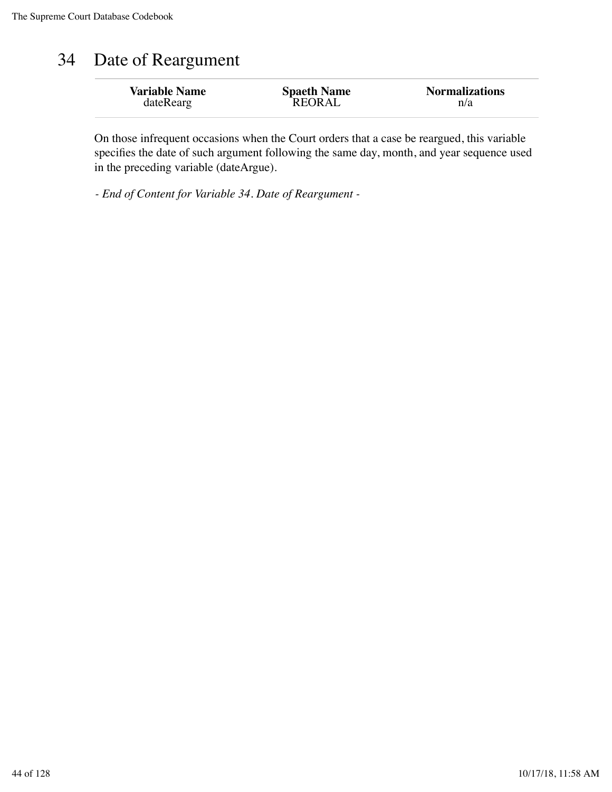#### 34 Date of Reargument

| n/a | <b>Variable Name</b><br>dateRearg | <b>Spaeth Name</b><br><b>REORAL</b> | <b>Normalizations</b> |
|-----|-----------------------------------|-------------------------------------|-----------------------|
|-----|-----------------------------------|-------------------------------------|-----------------------|

On those infrequent occasions when the Court orders that a case be reargued, this variable specifies the date of such argument following the same day, month, and year sequence used in the preceding variable (dateArgue).

*- End of Content for Variable 34. Date of Reargument -*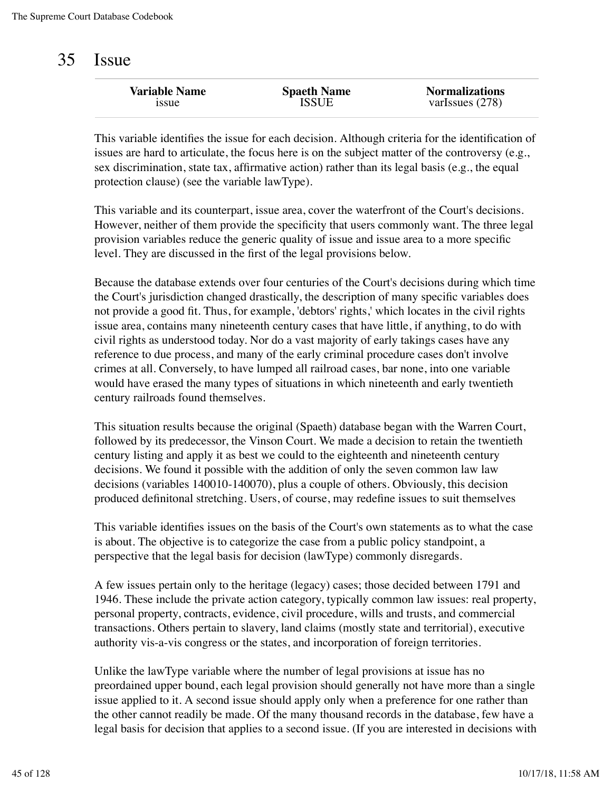#### 35 Issue

| <b>Spaeth Name</b><br>ISSUE | <b>Normalizations</b><br>varIssues $(278)$ |
|-----------------------------|--------------------------------------------|
|                             |                                            |
|                             |                                            |

This variable identifies the issue for each decision. Although criteria for the identification of issues are hard to articulate, the focus here is on the subject matter of the controversy (e.g., sex discrimination, state tax, affirmative action) rather than its legal basis (e.g., the equal protection clause) (see the variable lawType).

This variable and its counterpart, issue area, cover the waterfront of the Court's decisions. However, neither of them provide the specificity that users commonly want. The three legal provision variables reduce the generic quality of issue and issue area to a more specific level. They are discussed in the first of the legal provisions below.

Because the database extends over four centuries of the Court's decisions during which time the Court's jurisdiction changed drastically, the description of many specific variables does not provide a good fit. Thus, for example, 'debtors' rights,' which locates in the civil rights issue area, contains many nineteenth century cases that have little, if anything, to do with civil rights as understood today. Nor do a vast majority of early takings cases have any reference to due process, and many of the early criminal procedure cases don't involve crimes at all. Conversely, to have lumped all railroad cases, bar none, into one variable would have erased the many types of situations in which nineteenth and early twentieth century railroads found themselves.

This situation results because the original (Spaeth) database began with the Warren Court, followed by its predecessor, the Vinson Court. We made a decision to retain the twentieth century listing and apply it as best we could to the eighteenth and nineteenth century decisions. We found it possible with the addition of only the seven common law law decisions (variables 140010-140070), plus a couple of others. Obviously, this decision produced definitonal stretching. Users, of course, may redefine issues to suit themselves

This variable identifies issues on the basis of the Court's own statements as to what the case is about. The objective is to categorize the case from a public policy standpoint, a perspective that the legal basis for decision (lawType) commonly disregards.

A few issues pertain only to the heritage (legacy) cases; those decided between 1791 and 1946. These include the private action category, typically common law issues: real property, personal property, contracts, evidence, civil procedure, wills and trusts, and commercial transactions. Others pertain to slavery, land claims (mostly state and territorial), executive authority vis-a-vis congress or the states, and incorporation of foreign territories.

Unlike the lawType variable where the number of legal provisions at issue has no preordained upper bound, each legal provision should generally not have more than a single issue applied to it. A second issue should apply only when a preference for one rather than the other cannot readily be made. Of the many thousand records in the database, few have a legal basis for decision that applies to a second issue. (If you are interested in decisions with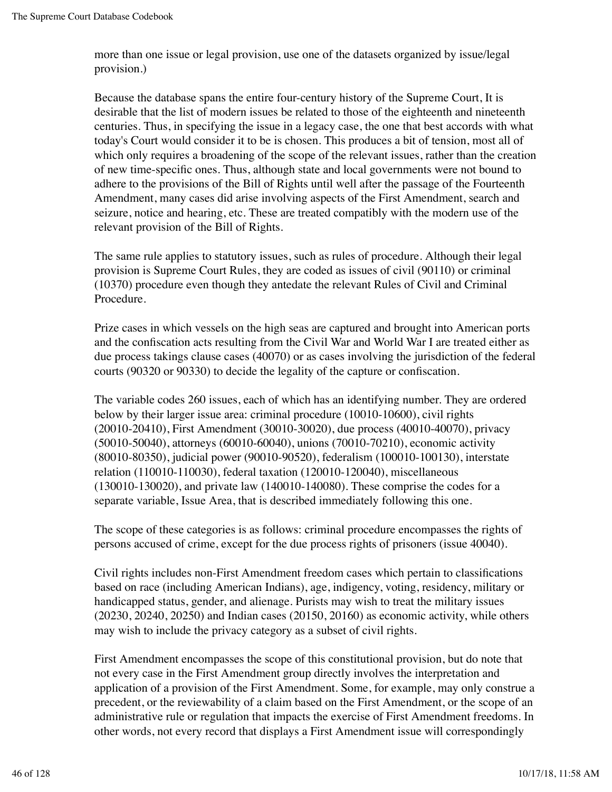more than one issue or legal provision, use one of the datasets organized by issue/legal provision.)

Because the database spans the entire four-century history of the Supreme Court, It is desirable that the list of modern issues be related to those of the eighteenth and nineteenth centuries. Thus, in specifying the issue in a legacy case, the one that best accords with what today's Court would consider it to be is chosen. This produces a bit of tension, most all of which only requires a broadening of the scope of the relevant issues, rather than the creation of new time-specific ones. Thus, although state and local governments were not bound to adhere to the provisions of the Bill of Rights until well after the passage of the Fourteenth Amendment, many cases did arise involving aspects of the First Amendment, search and seizure, notice and hearing, etc. These are treated compatibly with the modern use of the relevant provision of the Bill of Rights.

The same rule applies to statutory issues, such as rules of procedure. Although their legal provision is Supreme Court Rules, they are coded as issues of civil (90110) or criminal (10370) procedure even though they antedate the relevant Rules of Civil and Criminal Procedure.

Prize cases in which vessels on the high seas are captured and brought into American ports and the confiscation acts resulting from the Civil War and World War I are treated either as due process takings clause cases (40070) or as cases involving the jurisdiction of the federal courts (90320 or 90330) to decide the legality of the capture or confiscation.

The variable codes 260 issues, each of which has an identifying number. They are ordered below by their larger issue area: criminal procedure (10010-10600), civil rights (20010-20410), First Amendment (30010-30020), due process (40010-40070), privacy (50010-50040), attorneys (60010-60040), unions (70010-70210), economic activity (80010-80350), judicial power (90010-90520), federalism (100010-100130), interstate relation (110010-110030), federal taxation (120010-120040), miscellaneous (130010-130020), and private law (140010-140080). These comprise the codes for a separate variable, Issue Area, that is described immediately following this one.

The scope of these categories is as follows: criminal procedure encompasses the rights of persons accused of crime, except for the due process rights of prisoners (issue 40040).

Civil rights includes non-First Amendment freedom cases which pertain to classifications based on race (including American Indians), age, indigency, voting, residency, military or handicapped status, gender, and alienage. Purists may wish to treat the military issues (20230, 20240, 20250) and Indian cases (20150, 20160) as economic activity, while others may wish to include the privacy category as a subset of civil rights.

First Amendment encompasses the scope of this constitutional provision, but do note that not every case in the First Amendment group directly involves the interpretation and application of a provision of the First Amendment. Some, for example, may only construe a precedent, or the reviewability of a claim based on the First Amendment, or the scope of an administrative rule or regulation that impacts the exercise of First Amendment freedoms. In other words, not every record that displays a First Amendment issue will correspondingly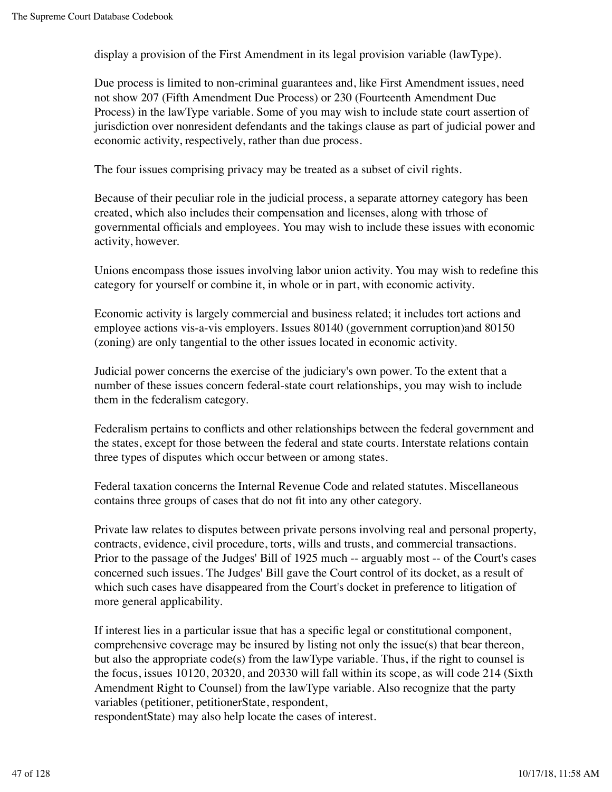display a provision of the First Amendment in its legal provision variable (lawType).

Due process is limited to non-criminal guarantees and, like First Amendment issues, need not show 207 (Fifth Amendment Due Process) or 230 (Fourteenth Amendment Due Process) in the lawType variable. Some of you may wish to include state court assertion of jurisdiction over nonresident defendants and the takings clause as part of judicial power and economic activity, respectively, rather than due process.

The four issues comprising privacy may be treated as a subset of civil rights.

Because of their peculiar role in the judicial process, a separate attorney category has been created, which also includes their compensation and licenses, along with trhose of governmental officials and employees. You may wish to include these issues with economic activity, however.

Unions encompass those issues involving labor union activity. You may wish to redefine this category for yourself or combine it, in whole or in part, with economic activity.

Economic activity is largely commercial and business related; it includes tort actions and employee actions vis-a-vis employers. Issues 80140 (government corruption)and 80150 (zoning) are only tangential to the other issues located in economic activity.

Judicial power concerns the exercise of the judiciary's own power. To the extent that a number of these issues concern federal-state court relationships, you may wish to include them in the federalism category.

Federalism pertains to conflicts and other relationships between the federal government and the states, except for those between the federal and state courts. Interstate relations contain three types of disputes which occur between or among states.

Federal taxation concerns the Internal Revenue Code and related statutes. Miscellaneous contains three groups of cases that do not fit into any other category.

Private law relates to disputes between private persons involving real and personal property, contracts, evidence, civil procedure, torts, wills and trusts, and commercial transactions. Prior to the passage of the Judges' Bill of 1925 much -- arguably most -- of the Court's cases concerned such issues. The Judges' Bill gave the Court control of its docket, as a result of which such cases have disappeared from the Court's docket in preference to litigation of more general applicability.

If interest lies in a particular issue that has a specific legal or constitutional component, comprehensive coverage may be insured by listing not only the issue(s) that bear thereon, but also the appropriate code(s) from the lawType variable. Thus, if the right to counsel is the focus, issues 10120, 20320, and 20330 will fall within its scope, as will code 214 (Sixth Amendment Right to Counsel) from the lawType variable. Also recognize that the party variables (petitioner, petitionerState, respondent,

respondentState) may also help locate the cases of interest.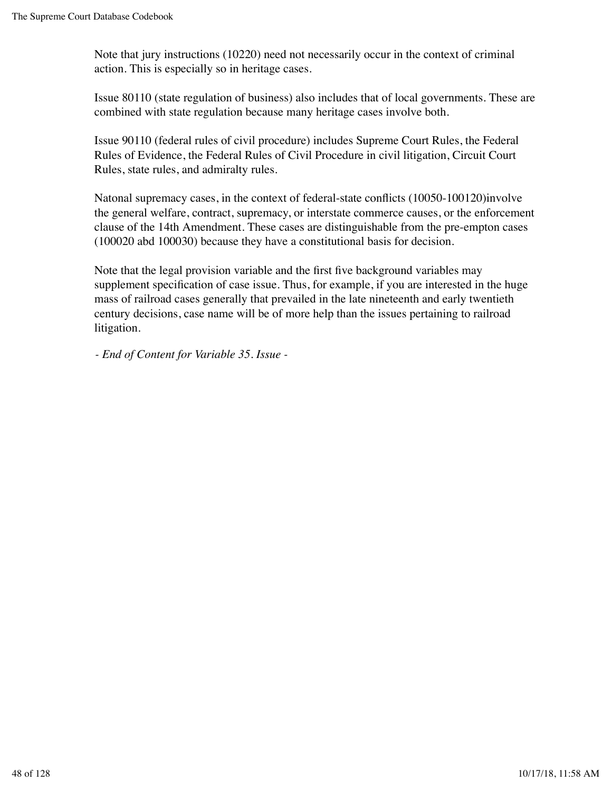Note that jury instructions (10220) need not necessarily occur in the context of criminal action. This is especially so in heritage cases.

Issue 80110 (state regulation of business) also includes that of local governments. These are combined with state regulation because many heritage cases involve both.

Issue 90110 (federal rules of civil procedure) includes Supreme Court Rules, the Federal Rules of Evidence, the Federal Rules of Civil Procedure in civil litigation, Circuit Court Rules, state rules, and admiralty rules.

Natonal supremacy cases, in the context of federal-state conflicts (10050-100120)involve the general welfare, contract, supremacy, or interstate commerce causes, or the enforcement clause of the 14th Amendment. These cases are distinguishable from the pre-empton cases (100020 abd 100030) because they have a constitutional basis for decision.

Note that the legal provision variable and the first five background variables may supplement specification of case issue. Thus, for example, if you are interested in the huge mass of railroad cases generally that prevailed in the late nineteenth and early twentieth century decisions, case name will be of more help than the issues pertaining to railroad litigation.

*- End of Content for Variable 35. Issue -*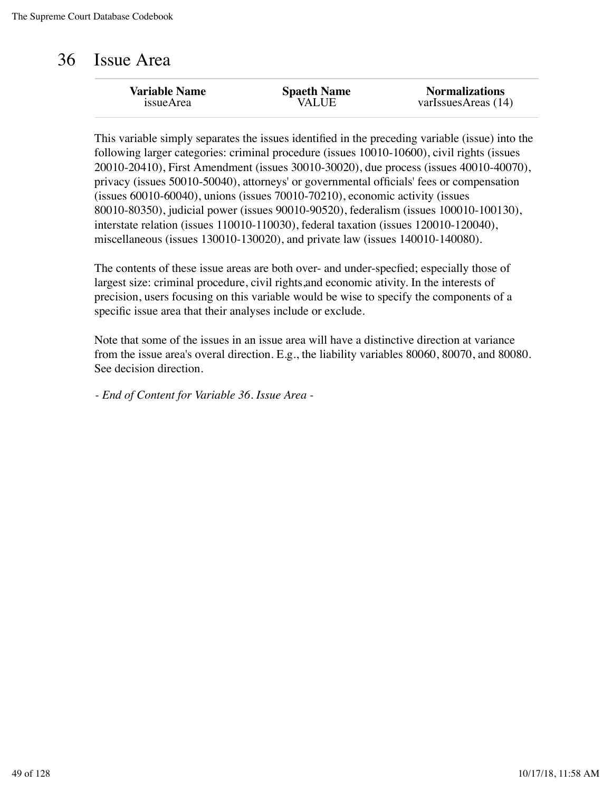#### 36 Issue Area

| <b>Variable Name</b> | <b>Spaeth Name</b> | <b>Normalizations</b> |
|----------------------|--------------------|-----------------------|
| issueArea            | VALUE              | varIssuesAreas (14)   |
|                      |                    |                       |

This variable simply separates the issues identified in the preceding variable (issue) into the following larger categories: criminal procedure (issues 10010-10600), civil rights (issues 20010-20410), First Amendment (issues 30010-30020), due process (issues 40010-40070), privacy (issues 50010-50040), attorneys' or governmental officials' fees or compensation (issues 60010-60040), unions (issues 70010-70210), economic activity (issues 80010-80350), judicial power (issues 90010-90520), federalism (issues 100010-100130), interstate relation (issues 110010-110030), federal taxation (issues 120010-120040), miscellaneous (issues 130010-130020), and private law (issues 140010-140080).

The contents of these issue areas are both over- and under-specfied; especially those of largest size: criminal procedure, civil rights,and economic ativity. In the interests of precision, users focusing on this variable would be wise to specify the components of a specific issue area that their analyses include or exclude.

Note that some of the issues in an issue area will have a distinctive direction at variance from the issue area's overal direction. E.g., the liability variables 80060, 80070, and 80080. See decision direction.

*- End of Content for Variable 36. Issue Area -*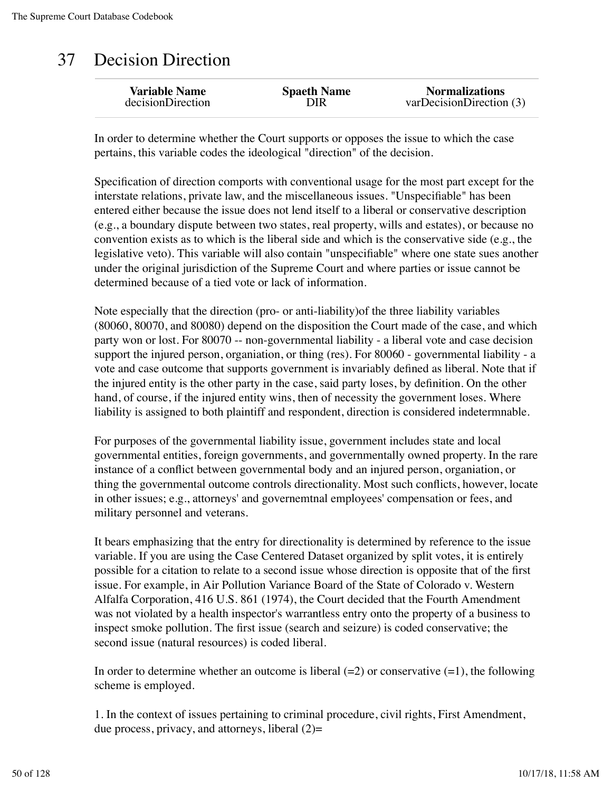### 37 Decision Direction

In order to determine whether the Court supports or opposes the issue to which the case pertains, this variable codes the ideological "direction" of the decision.

Specification of direction comports with conventional usage for the most part except for the interstate relations, private law, and the miscellaneous issues. "Unspecifiable" has been entered either because the issue does not lend itself to a liberal or conservative description (e.g., a boundary dispute between two states, real property, wills and estates), or because no convention exists as to which is the liberal side and which is the conservative side (e.g., the legislative veto). This variable will also contain "unspecifiable" where one state sues another under the original jurisdiction of the Supreme Court and where parties or issue cannot be determined because of a tied vote or lack of information.

Note especially that the direction (pro- or anti-liability)of the three liability variables (80060, 80070, and 80080) depend on the disposition the Court made of the case, and which party won or lost. For 80070 -- non-governmental liability - a liberal vote and case decision support the injured person, organiation, or thing (res). For 80060 - governmental liability - a vote and case outcome that supports government is invariably defined as liberal. Note that if the injured entity is the other party in the case, said party loses, by definition. On the other hand, of course, if the injured entity wins, then of necessity the government loses. Where liability is assigned to both plaintiff and respondent, direction is considered indetermnable.

For purposes of the governmental liability issue, government includes state and local governmental entities, foreign governments, and governmentally owned property. In the rare instance of a conflict between governmental body and an injured person, organiation, or thing the governmental outcome controls directionality. Most such conflicts, however, locate in other issues; e.g., attorneys' and governemtnal employees' compensation or fees, and military personnel and veterans.

It bears emphasizing that the entry for directionality is determined by reference to the issue variable. If you are using the Case Centered Dataset organized by split votes, it is entirely possible for a citation to relate to a second issue whose direction is opposite that of the first issue. For example, in Air Pollution Variance Board of the State of Colorado v. Western Alfalfa Corporation, 416 U.S. 861 (1974), the Court decided that the Fourth Amendment was not violated by a health inspector's warrantless entry onto the property of a business to inspect smoke pollution. The first issue (search and seizure) is coded conservative; the second issue (natural resources) is coded liberal.

In order to determine whether an outcome is liberal  $(=2)$  or conservative  $(=1)$ , the following scheme is employed.

1. In the context of issues pertaining to criminal procedure, civil rights, First Amendment, due process, privacy, and attorneys, liberal  $(2)$ =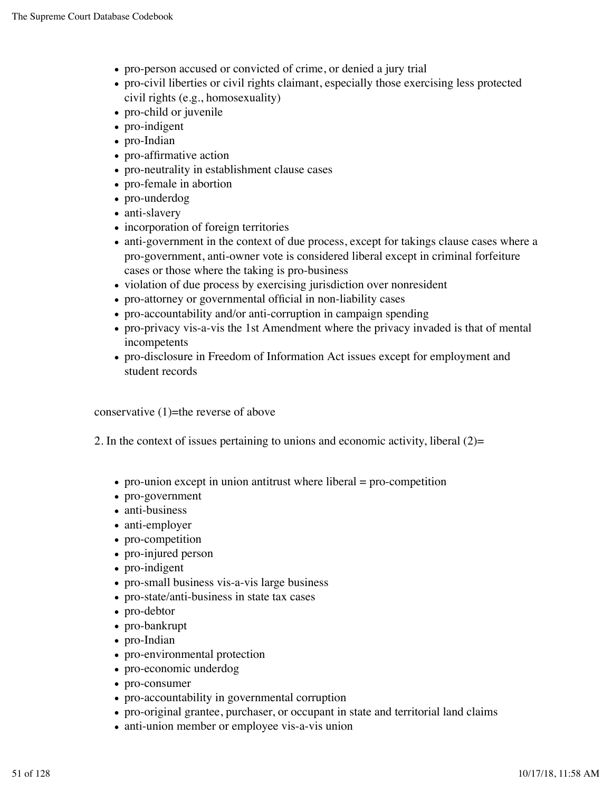- pro-person accused or convicted of crime, or denied a jury trial
- pro-civil liberties or civil rights claimant, especially those exercising less protected civil rights (e.g., homosexuality)
- pro-child or juvenile
- pro-indigent
- pro-Indian
- pro-affirmative action
- pro-neutrality in establishment clause cases
- pro-female in abortion
- pro-underdog
- anti-slavery
- incorporation of foreign territories
- anti-government in the context of due process, except for takings clause cases where a pro-government, anti-owner vote is considered liberal except in criminal forfeiture cases or those where the taking is pro-business
- violation of due process by exercising jurisdiction over nonresident
- pro-attorney or governmental official in non-liability cases
- pro-accountability and/or anti-corruption in campaign spending
- pro-privacy vis-a-vis the 1st Amendment where the privacy invaded is that of mental incompetents
- pro-disclosure in Freedom of Information Act issues except for employment and student records

conservative  $(1)$ =the reverse of above

- 2. In the context of issues pertaining to unions and economic activity, liberal (2)=
	- $\bullet$  pro-union except in union antitrust where liberal = pro-competition
	- pro-government
	- anti-business
	- anti-employer
	- pro-competition
	- pro-injured person
	- pro-indigent
	- pro-small business vis-a-vis large business
	- pro-state/anti-business in state tax cases
	- pro-debtor
	- pro-bankrupt
	- pro-Indian
	- pro-environmental protection
	- pro-economic underdog
	- pro-consumer
	- pro-accountability in governmental corruption
	- pro-original grantee, purchaser, or occupant in state and territorial land claims
	- anti-union member or employee vis-a-vis union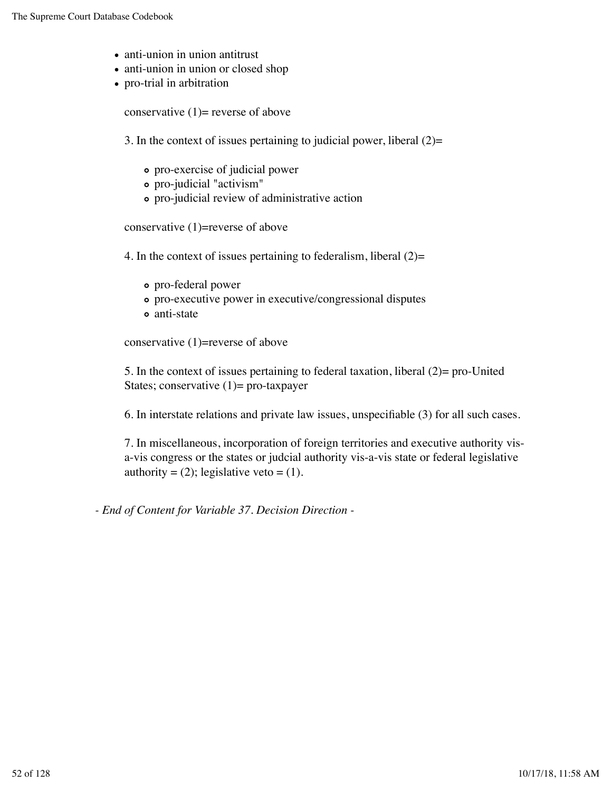- anti-union in union antitrust
- anti-union in union or closed shop
- pro-trial in arbitration

conservative  $(1)$ = reverse of above

3. In the context of issues pertaining to judicial power, liberal  $(2)=$ 

- pro-exercise of judicial power
- pro-judicial "activism"
- pro-judicial review of administrative action

conservative (1)=reverse of above

4. In the context of issues pertaining to federalism, liberal  $(2)=$ 

- pro-federal power
- pro-executive power in executive/congressional disputes
- anti-state

conservative (1)=reverse of above

5. In the context of issues pertaining to federal taxation, liberal (2)= pro-United States; conservative  $(1)$ = pro-taxpayer

6. In interstate relations and private law issues, unspecifiable (3) for all such cases.

7. In miscellaneous, incorporation of foreign territories and executive authority visa-vis congress or the states or judcial authority vis-a-vis state or federal legislative authority =  $(2)$ ; legislative veto =  $(1)$ .

*- End of Content for Variable 37. Decision Direction -*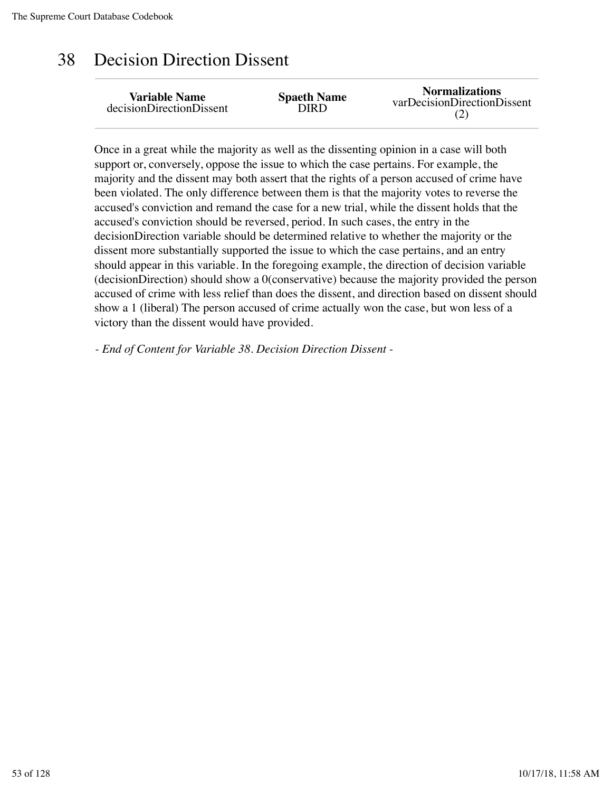### 38 Decision Direction Dissent

| <b>Variable Name</b>     | <b>Spaeth Name</b> | <b>Normalizations</b>       |
|--------------------------|--------------------|-----------------------------|
| decisionDirectionDissent | OIRD               | varDecisionDirectionDissent |

Once in a great while the majority as well as the dissenting opinion in a case will both support or, conversely, oppose the issue to which the case pertains. For example, the majority and the dissent may both assert that the rights of a person accused of crime have been violated. The only difference between them is that the majority votes to reverse the accused's conviction and remand the case for a new trial, while the dissent holds that the accused's conviction should be reversed, period. In such cases, the entry in the decisionDirection variable should be determined relative to whether the majority or the dissent more substantially supported the issue to which the case pertains, and an entry should appear in this variable. In the foregoing example, the direction of decision variable (decisionDirection) should show a 0(conservative) because the majority provided the person accused of crime with less relief than does the dissent, and direction based on dissent should show a 1 (liberal) The person accused of crime actually won the case, but won less of a victory than the dissent would have provided.

*- End of Content for Variable 38. Decision Direction Dissent -*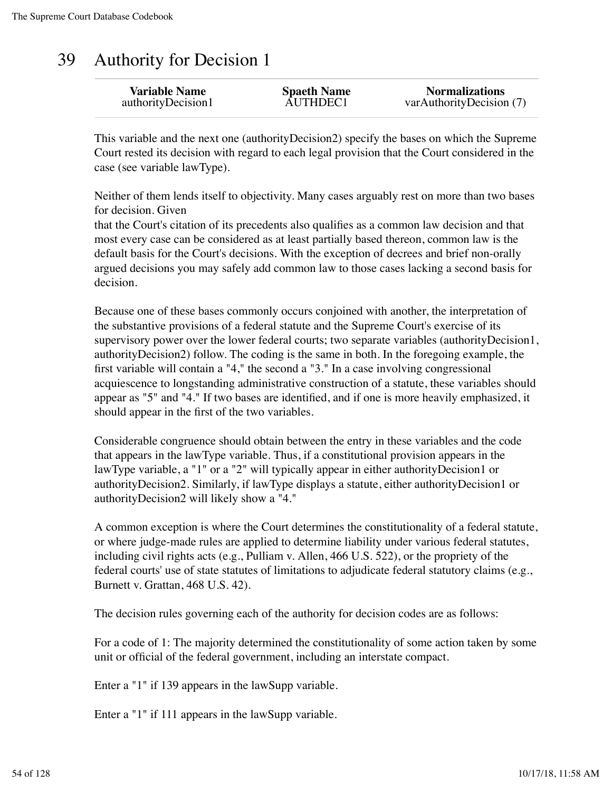#### 39 Authority for Decision 1

| <b>Variable Name</b> | <b>Spaeth Name</b> | <b>Normalizations</b>    |
|----------------------|--------------------|--------------------------|
| authorityDecision1   | AUTHDEC1           | varAuthorityDecision (7) |
|                      |                    |                          |

This variable and the next one (authorityDecision2) specify the bases on which the Supreme Court rested its decision with regard to each legal provision that the Court considered in the case (see variable lawType).

Neither of them lends itself to objectivity. Many cases arguably rest on more than two bases for decision. Given

that the Court's citation of its precedents also qualifies as a common law decision and that most every case can be considered as at least partially based thereon, common law is the default basis for the Court's decisions. With the exception of decrees and brief non-orally argued decisions you may safely add common law to those cases lacking a second basis for decision.

Because one of these bases commonly occurs conjoined with another, the interpretation of the substantive provisions of a federal statute and the Supreme Court's exercise of its supervisory power over the lower federal courts; two separate variables (authorityDecision1, authorityDecision2) follow. The coding is the same in both. In the foregoing example, the first variable will contain a "4," the second a "3." In a case involving congressional acquiescence to longstanding administrative construction of a statute, these variables should appear as "5" and "4." If two bases are identified, and if one is more heavily emphasized, it should appear in the first of the two variables.

Considerable congruence should obtain between the entry in these variables and the code that appears in the lawType variable. Thus, if a constitutional provision appears in the lawType variable, a "1" or a "2" will typically appear in either authorityDecision1 or authorityDecision2. Similarly, if lawType displays a statute, either authorityDecision1 or authorityDecision2 will likely show a "4."

A common exception is where the Court determines the constitutionality of a federal statute, or where judge-made rules are applied to determine liability under various federal statutes, including civil rights acts (e.g., Pulliam v. Allen, 466 U.S. 522), or the propriety of the federal courts' use of state statutes of limitations to adjudicate federal statutory claims (e.g., Burnett v. Grattan, 468 U.S. 42).

The decision rules governing each of the authority for decision codes are as follows:

For a code of 1: The majority determined the constitutionality of some action taken by some unit or official of the federal government, including an interstate compact.

Enter a "1" if 139 appears in the lawSupp variable.

Enter a "1" if 111 appears in the lawSupp variable.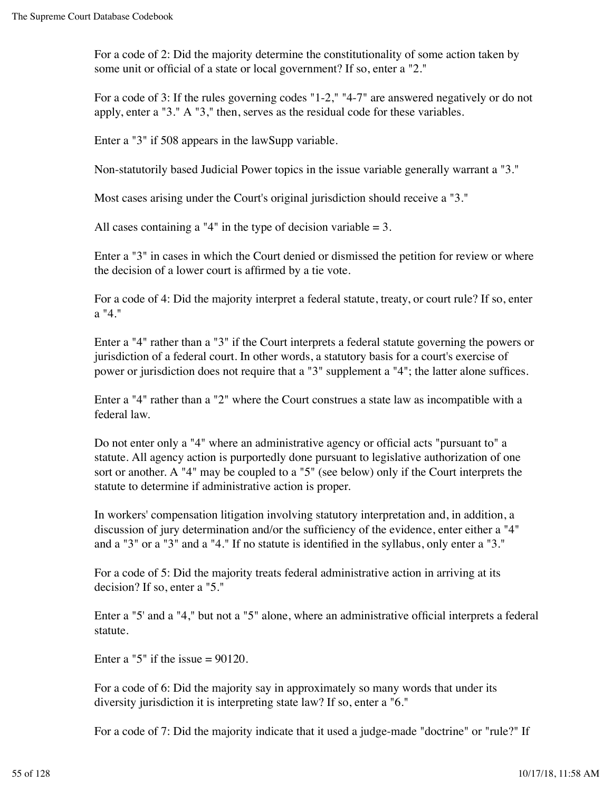For a code of 2: Did the majority determine the constitutionality of some action taken by some unit or official of a state or local government? If so, enter a "2."

For a code of 3: If the rules governing codes "1-2," "4-7" are answered negatively or do not apply, enter a "3." A "3," then, serves as the residual code for these variables.

Enter a "3" if 508 appears in the lawSupp variable.

Non-statutorily based Judicial Power topics in the issue variable generally warrant a "3."

Most cases arising under the Court's original jurisdiction should receive a "3."

All cases containing a "4" in the type of decision variable  $= 3$ .

Enter a "3" in cases in which the Court denied or dismissed the petition for review or where the decision of a lower court is affirmed by a tie vote.

For a code of 4: Did the majority interpret a federal statute, treaty, or court rule? If so, enter a "4."

Enter a "4" rather than a "3" if the Court interprets a federal statute governing the powers or jurisdiction of a federal court. In other words, a statutory basis for a court's exercise of power or jurisdiction does not require that a "3" supplement a "4"; the latter alone suffices.

Enter a "4" rather than a "2" where the Court construes a state law as incompatible with a federal law.

Do not enter only a "4" where an administrative agency or official acts "pursuant to" a statute. All agency action is purportedly done pursuant to legislative authorization of one sort or another. A "4" may be coupled to a "5" (see below) only if the Court interprets the statute to determine if administrative action is proper.

In workers' compensation litigation involving statutory interpretation and, in addition, a discussion of jury determination and/or the sufficiency of the evidence, enter either a "4" and a "3" or a "3" and a "4." If no statute is identified in the syllabus, only enter a "3."

For a code of 5: Did the majority treats federal administrative action in arriving at its decision? If so, enter a "5."

Enter a "5' and a "4," but not a "5" alone, where an administrative official interprets a federal statute.

Enter a "5" if the issue  $= 90120$ .

For a code of 6: Did the majority say in approximately so many words that under its diversity jurisdiction it is interpreting state law? If so, enter a "6."

For a code of 7: Did the majority indicate that it used a judge-made "doctrine" or "rule?" If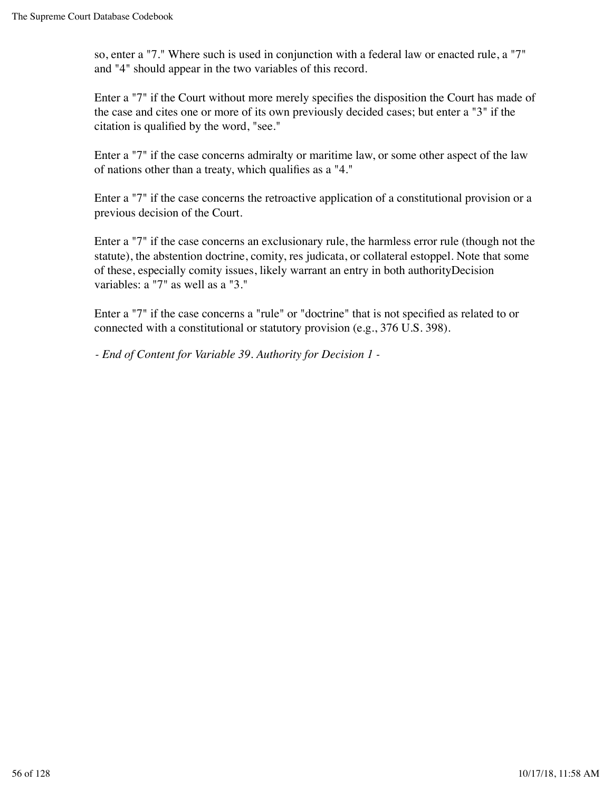so, enter a "7." Where such is used in conjunction with a federal law or enacted rule, a "7" and "4" should appear in the two variables of this record.

Enter a "7" if the Court without more merely specifies the disposition the Court has made of the case and cites one or more of its own previously decided cases; but enter a "3" if the citation is qualified by the word, "see."

Enter a "7" if the case concerns admiralty or maritime law, or some other aspect of the law of nations other than a treaty, which qualifies as a "4."

Enter a "7" if the case concerns the retroactive application of a constitutional provision or a previous decision of the Court.

Enter a "7" if the case concerns an exclusionary rule, the harmless error rule (though not the statute), the abstention doctrine, comity, res judicata, or collateral estoppel. Note that some of these, especially comity issues, likely warrant an entry in both authorityDecision variables: a "7" as well as a "3."

Enter a "7" if the case concerns a "rule" or "doctrine" that is not specified as related to or connected with a constitutional or statutory provision (e.g., 376 U.S. 398).

*- End of Content for Variable 39. Authority for Decision 1 -*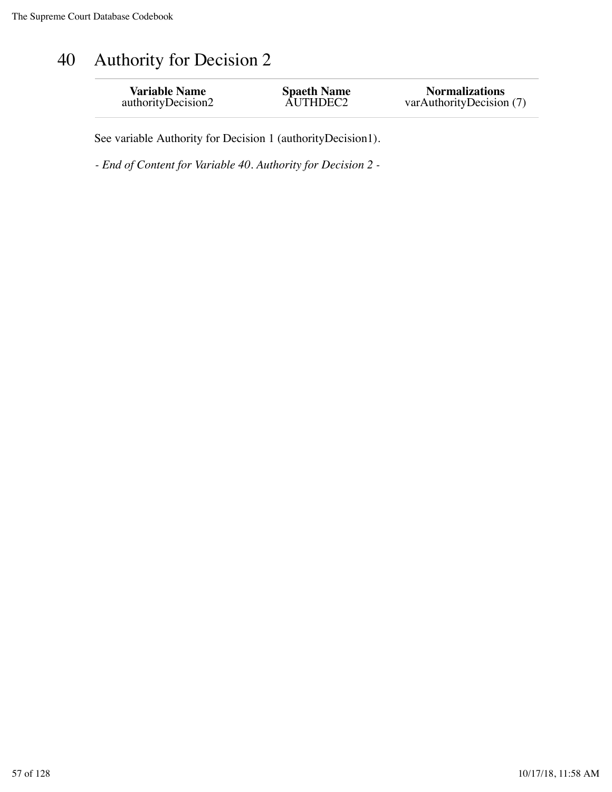# 40 Authority for Decision 2

| <b>Variable Name</b> | <b>Spaeth Name</b> | <b>Normalizations</b>    |
|----------------------|--------------------|--------------------------|
| authorityDecision2   | AUTHDEC2           | varAuthorityDecision (7) |
|                      |                    |                          |

See variable Authority for Decision 1 (authorityDecision1).

*- End of Content for Variable 40. Authority for Decision 2 -*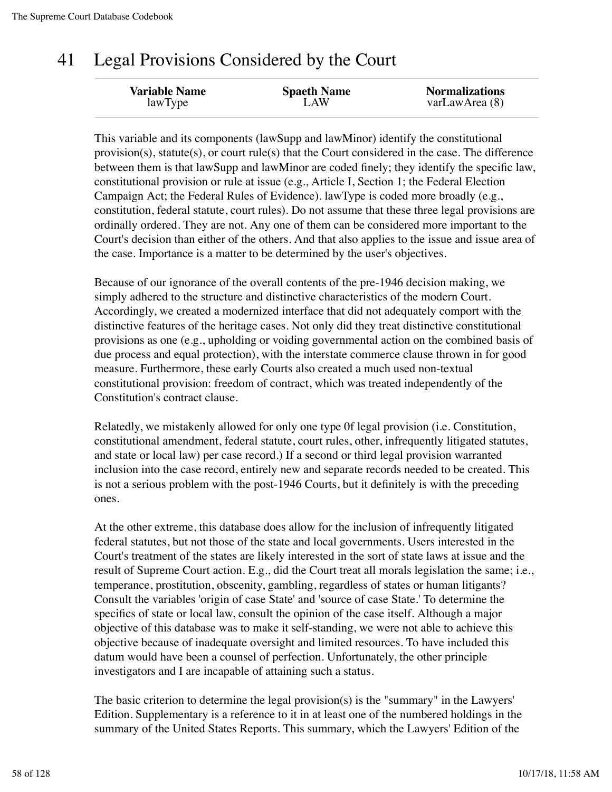### 41 Legal Provisions Considered by the Court

| <b>Variable Name</b> | <b>Spaeth Name</b> | <b>Normalizations</b> |
|----------------------|--------------------|-----------------------|
| lawType              | LAW                | varLawArea (8)        |
|                      |                    |                       |

This variable and its components (lawSupp and lawMinor) identify the constitutional provision(s), statute(s), or court rule(s) that the Court considered in the case. The difference between them is that lawSupp and lawMinor are coded finely; they identify the specific law, constitutional provision or rule at issue (e.g., Article I, Section 1; the Federal Election Campaign Act; the Federal Rules of Evidence). lawType is coded more broadly (e.g., constitution, federal statute, court rules). Do not assume that these three legal provisions are ordinally ordered. They are not. Any one of them can be considered more important to the Court's decision than either of the others. And that also applies to the issue and issue area of the case. Importance is a matter to be determined by the user's objectives.

Because of our ignorance of the overall contents of the pre-1946 decision making, we simply adhered to the structure and distinctive characteristics of the modern Court. Accordingly, we created a modernized interface that did not adequately comport with the distinctive features of the heritage cases. Not only did they treat distinctive constitutional provisions as one (e.g., upholding or voiding governmental action on the combined basis of due process and equal protection), with the interstate commerce clause thrown in for good measure. Furthermore, these early Courts also created a much used non-textual constitutional provision: freedom of contract, which was treated independently of the Constitution's contract clause.

Relatedly, we mistakenly allowed for only one type 0f legal provision (i.e. Constitution, constitutional amendment, federal statute, court rules, other, infrequently litigated statutes, and state or local law) per case record.) If a second or third legal provision warranted inclusion into the case record, entirely new and separate records needed to be created. This is not a serious problem with the post-1946 Courts, but it definitely is with the preceding ones.

At the other extreme, this database does allow for the inclusion of infrequently litigated federal statutes, but not those of the state and local governments. Users interested in the Court's treatment of the states are likely interested in the sort of state laws at issue and the result of Supreme Court action. E.g., did the Court treat all morals legislation the same; i.e., temperance, prostitution, obscenity, gambling, regardless of states or human litigants? Consult the variables 'origin of case State' and 'source of case State.' To determine the specifics of state or local law, consult the opinion of the case itself. Although a major objective of this database was to make it self-standing, we were not able to achieve this objective because of inadequate oversight and limited resources. To have included this datum would have been a counsel of perfection. Unfortunately, the other principle investigators and I are incapable of attaining such a status.

The basic criterion to determine the legal provision(s) is the "summary" in the Lawyers' Edition. Supplementary is a reference to it in at least one of the numbered holdings in the summary of the United States Reports. This summary, which the Lawyers' Edition of the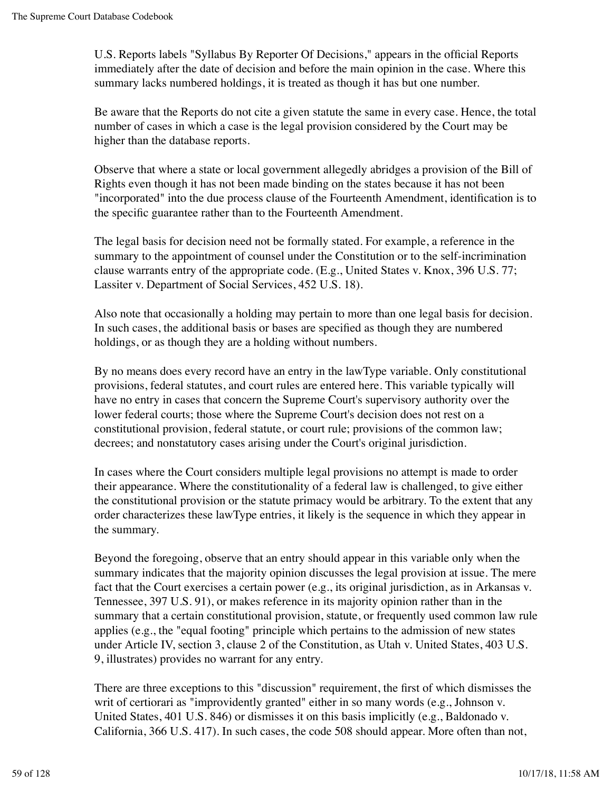U.S. Reports labels "Syllabus By Reporter Of Decisions," appears in the official Reports immediately after the date of decision and before the main opinion in the case. Where this summary lacks numbered holdings, it is treated as though it has but one number.

Be aware that the Reports do not cite a given statute the same in every case. Hence, the total number of cases in which a case is the legal provision considered by the Court may be higher than the database reports.

Observe that where a state or local government allegedly abridges a provision of the Bill of Rights even though it has not been made binding on the states because it has not been "incorporated" into the due process clause of the Fourteenth Amendment, identification is to the specific guarantee rather than to the Fourteenth Amendment.

The legal basis for decision need not be formally stated. For example, a reference in the summary to the appointment of counsel under the Constitution or to the self-incrimination clause warrants entry of the appropriate code. (E.g., United States v. Knox, 396 U.S. 77; Lassiter v. Department of Social Services, 452 U.S. 18).

Also note that occasionally a holding may pertain to more than one legal basis for decision. In such cases, the additional basis or bases are specified as though they are numbered holdings, or as though they are a holding without numbers.

By no means does every record have an entry in the lawType variable. Only constitutional provisions, federal statutes, and court rules are entered here. This variable typically will have no entry in cases that concern the Supreme Court's supervisory authority over the lower federal courts; those where the Supreme Court's decision does not rest on a constitutional provision, federal statute, or court rule; provisions of the common law; decrees; and nonstatutory cases arising under the Court's original jurisdiction.

In cases where the Court considers multiple legal provisions no attempt is made to order their appearance. Where the constitutionality of a federal law is challenged, to give either the constitutional provision or the statute primacy would be arbitrary. To the extent that any order characterizes these lawType entries, it likely is the sequence in which they appear in the summary.

Beyond the foregoing, observe that an entry should appear in this variable only when the summary indicates that the majority opinion discusses the legal provision at issue. The mere fact that the Court exercises a certain power (e.g., its original jurisdiction, as in Arkansas v. Tennessee, 397 U.S. 91), or makes reference in its majority opinion rather than in the summary that a certain constitutional provision, statute, or frequently used common law rule applies (e.g., the "equal footing" principle which pertains to the admission of new states under Article IV, section 3, clause 2 of the Constitution, as Utah v. United States, 403 U.S. 9, illustrates) provides no warrant for any entry.

There are three exceptions to this "discussion" requirement, the first of which dismisses the writ of certiorari as "improvidently granted" either in so many words (e.g., Johnson v. United States, 401 U.S. 846) or dismisses it on this basis implicitly (e.g., Baldonado v. California, 366 U.S. 417). In such cases, the code 508 should appear. More often than not,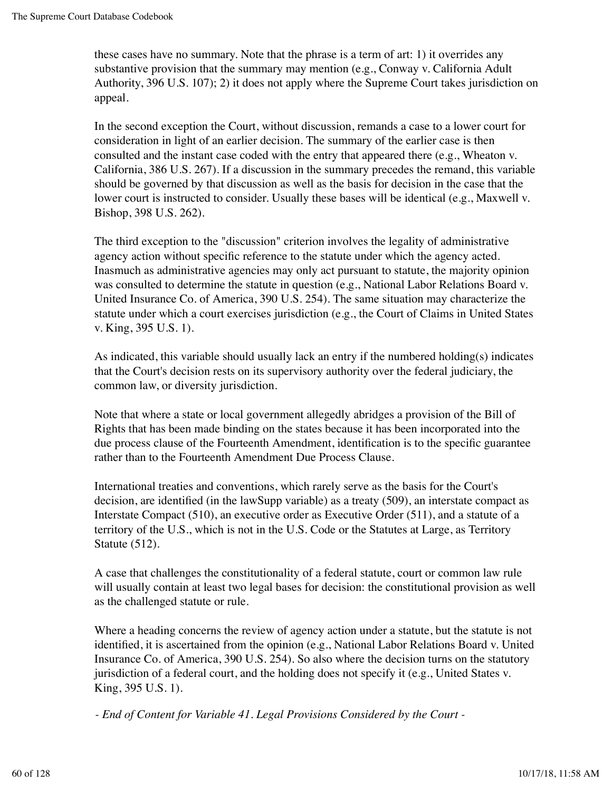these cases have no summary. Note that the phrase is a term of art: 1) it overrides any substantive provision that the summary may mention (e.g., Conway v. California Adult Authority, 396 U.S. 107); 2) it does not apply where the Supreme Court takes jurisdiction on appeal.

In the second exception the Court, without discussion, remands a case to a lower court for consideration in light of an earlier decision. The summary of the earlier case is then consulted and the instant case coded with the entry that appeared there (e.g., Wheaton v. California, 386 U.S. 267). If a discussion in the summary precedes the remand, this variable should be governed by that discussion as well as the basis for decision in the case that the lower court is instructed to consider. Usually these bases will be identical (e.g., Maxwell v. Bishop, 398 U.S. 262).

The third exception to the "discussion" criterion involves the legality of administrative agency action without specific reference to the statute under which the agency acted. Inasmuch as administrative agencies may only act pursuant to statute, the majority opinion was consulted to determine the statute in question (e.g., National Labor Relations Board v. United Insurance Co. of America, 390 U.S. 254). The same situation may characterize the statute under which a court exercises jurisdiction (e.g., the Court of Claims in United States v. King, 395 U.S. 1).

As indicated, this variable should usually lack an entry if the numbered holding(s) indicates that the Court's decision rests on its supervisory authority over the federal judiciary, the common law, or diversity jurisdiction.

Note that where a state or local government allegedly abridges a provision of the Bill of Rights that has been made binding on the states because it has been incorporated into the due process clause of the Fourteenth Amendment, identification is to the specific guarantee rather than to the Fourteenth Amendment Due Process Clause.

International treaties and conventions, which rarely serve as the basis for the Court's decision, are identified (in the lawSupp variable) as a treaty (509), an interstate compact as Interstate Compact (510), an executive order as Executive Order (511), and a statute of a territory of the U.S., which is not in the U.S. Code or the Statutes at Large, as Territory Statute (512).

A case that challenges the constitutionality of a federal statute, court or common law rule will usually contain at least two legal bases for decision: the constitutional provision as well as the challenged statute or rule.

Where a heading concerns the review of agency action under a statute, but the statute is not identified, it is ascertained from the opinion (e.g., National Labor Relations Board v. United Insurance Co. of America, 390 U.S. 254). So also where the decision turns on the statutory jurisdiction of a federal court, and the holding does not specify it (e.g., United States v. King, 395 U.S. 1).

*- End of Content for Variable 41. Legal Provisions Considered by the Court -*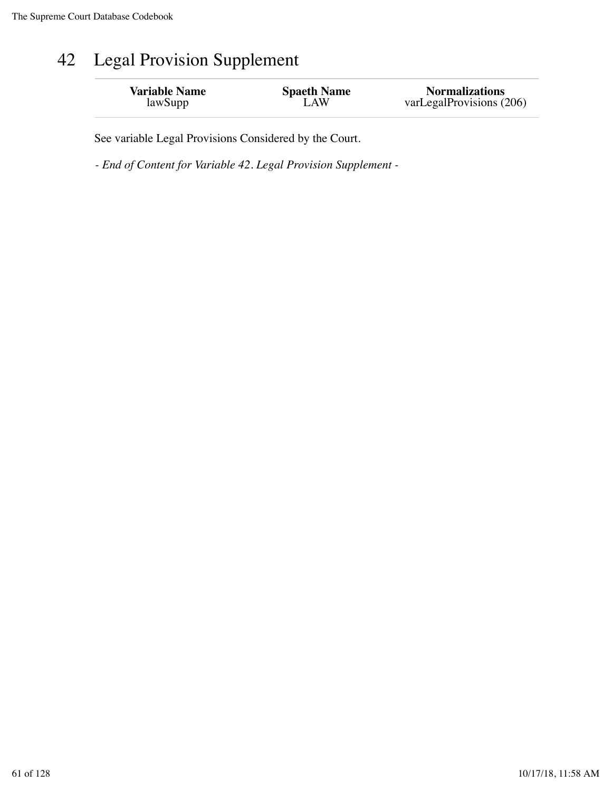# 42 Legal Provision Supplement

| <b>Variable Name</b> | <b>Spaeth Name</b> | <b>Normalizations</b>    |
|----------------------|--------------------|--------------------------|
| lawSupp              | LAW                | varLegalProvisions (206) |

See variable Legal Provisions Considered by the Court.

*- End of Content for Variable 42. Legal Provision Supplement -*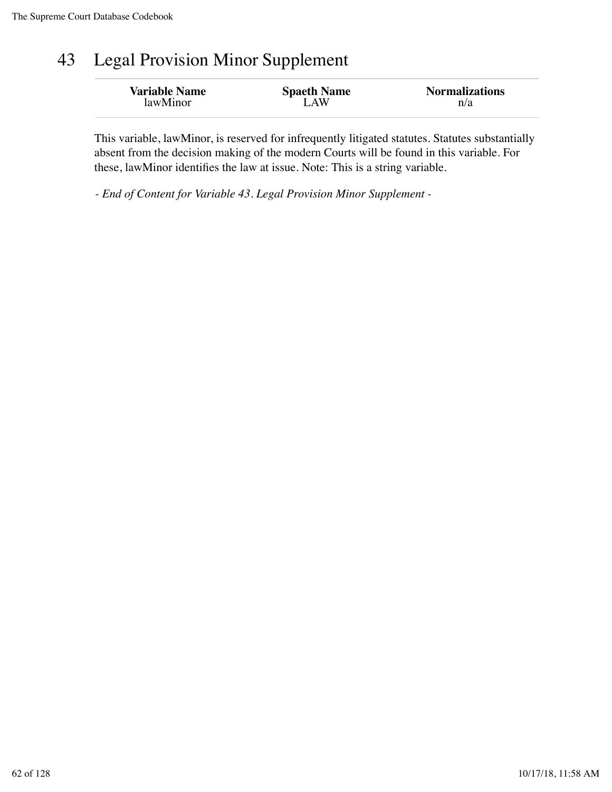## 43 Legal Provision Minor Supplement

| <b>Variable Name</b> | <b>Spaeth Name</b> | <b>Normalizations</b> |
|----------------------|--------------------|-----------------------|
| lawMinor             | LAW                | n/a                   |

This variable, lawMinor, is reserved for infrequently litigated statutes. Statutes substantially absent from the decision making of the modern Courts will be found in this variable. For these, lawMinor identifies the law at issue. Note: This is a string variable.

*- End of Content for Variable 43. Legal Provision Minor Supplement -*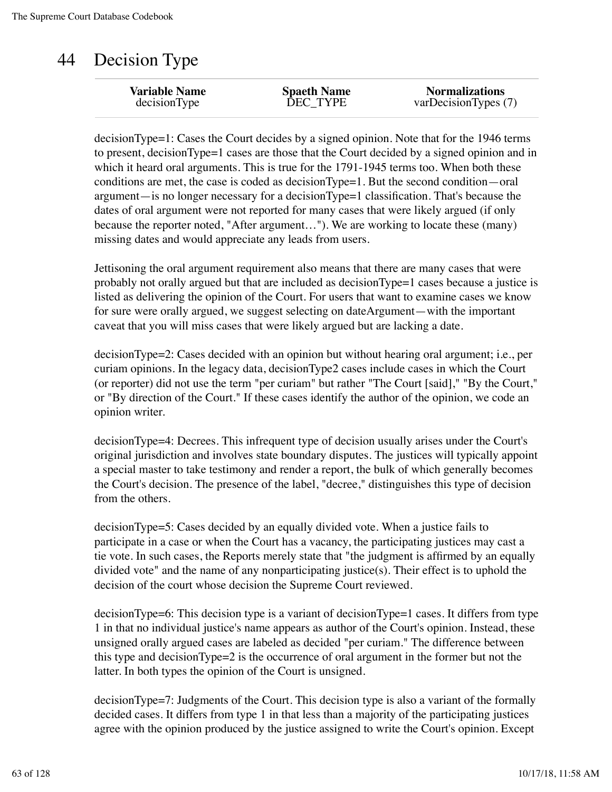### 44 Decision Type

decisionType=1: Cases the Court decides by a signed opinion. Note that for the 1946 terms to present, decisionType=1 cases are those that the Court decided by a signed opinion and in which it heard oral arguments. This is true for the 1791-1945 terms too. When both these conditions are met, the case is coded as decisionType=1. But the second condition—oral argument—is no longer necessary for a decisionType=1 classification. That's because the dates of oral argument were not reported for many cases that were likely argued (if only because the reporter noted, "After argument…"). We are working to locate these (many) missing dates and would appreciate any leads from users.

Jettisoning the oral argument requirement also means that there are many cases that were probably not orally argued but that are included as decisionType=1 cases because a justice is listed as delivering the opinion of the Court. For users that want to examine cases we know for sure were orally argued, we suggest selecting on dateArgument—with the important caveat that you will miss cases that were likely argued but are lacking a date.

decisionType=2: Cases decided with an opinion but without hearing oral argument; i.e., per curiam opinions. In the legacy data, decisionType2 cases include cases in which the Court (or reporter) did not use the term "per curiam" but rather "The Court [said]," "By the Court," or "By direction of the Court." If these cases identify the author of the opinion, we code an opinion writer.

decisionType=4: Decrees. This infrequent type of decision usually arises under the Court's original jurisdiction and involves state boundary disputes. The justices will typically appoint a special master to take testimony and render a report, the bulk of which generally becomes the Court's decision. The presence of the label, "decree," distinguishes this type of decision from the others.

decisionType=5: Cases decided by an equally divided vote. When a justice fails to participate in a case or when the Court has a vacancy, the participating justices may cast a tie vote. In such cases, the Reports merely state that "the judgment is affirmed by an equally divided vote" and the name of any nonparticipating justice(s). Their effect is to uphold the decision of the court whose decision the Supreme Court reviewed.

decisionType=6: This decision type is a variant of decisionType=1 cases. It differs from type 1 in that no individual justice's name appears as author of the Court's opinion. Instead, these unsigned orally argued cases are labeled as decided "per curiam." The difference between this type and decisionType=2 is the occurrence of oral argument in the former but not the latter. In both types the opinion of the Court is unsigned.

decisionType=7: Judgments of the Court. This decision type is also a variant of the formally decided cases. It differs from type 1 in that less than a majority of the participating justices agree with the opinion produced by the justice assigned to write the Court's opinion. Except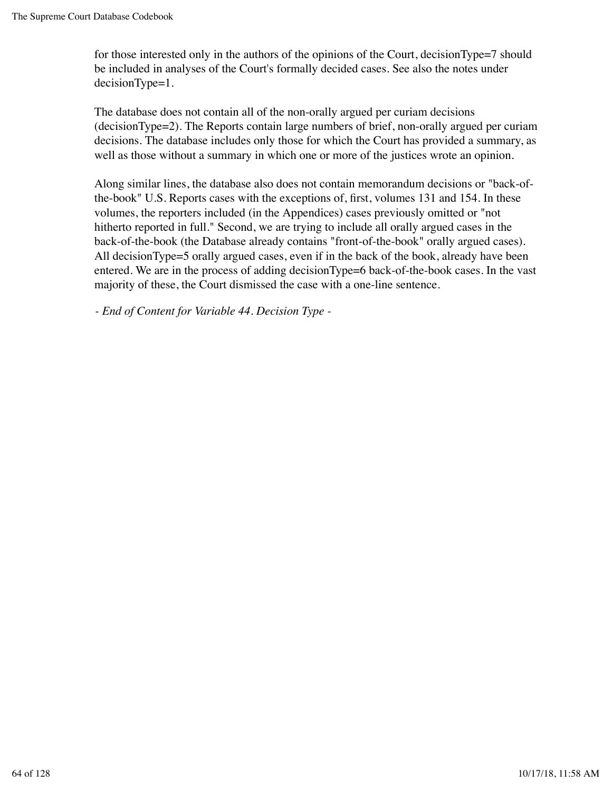for those interested only in the authors of the opinions of the Court, decisionType=7 should be included in analyses of the Court's formally decided cases. See also the notes under decisionType=1.

The database does not contain all of the non-orally argued per curiam decisions (decisionType=2). The Reports contain large numbers of brief, non-orally argued per curiam decisions. The database includes only those for which the Court has provided a summary, as well as those without a summary in which one or more of the justices wrote an opinion.

Along similar lines, the database also does not contain memorandum decisions or "back-ofthe-book" U.S. Reports cases with the exceptions of, first, volumes 131 and 154. In these volumes, the reporters included (in the Appendices) cases previously omitted or "not hitherto reported in full." Second, we are trying to include all orally argued cases in the back-of-the-book (the Database already contains "front-of-the-book" orally argued cases). All decisionType=5 orally argued cases, even if in the back of the book, already have been entered. We are in the process of adding decisionType=6 back-of-the-book cases. In the vast majority of these, the Court dismissed the case with a one-line sentence.

*- End of Content for Variable 44. Decision Type -*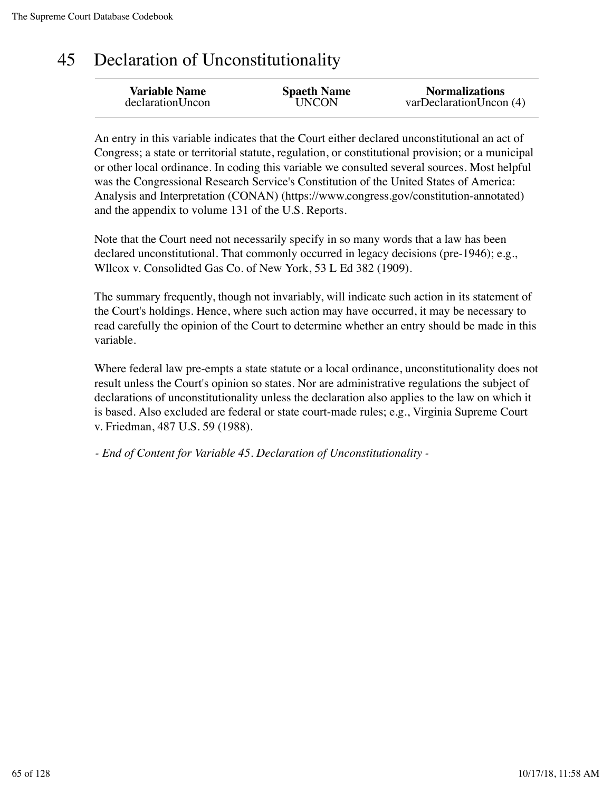### 45 Declaration of Unconstitutionality

An entry in this variable indicates that the Court either declared unconstitutional an act of Congress; a state or territorial statute, regulation, or constitutional provision; or a municipal or other local ordinance. In coding this variable we consulted several sources. Most helpful was the Congressional Research Service's Constitution of the United States of America: Analysis and Interpretation (CONAN) (https://www.congress.gov/constitution-annotated) and the appendix to volume 131 of the U.S. Reports.

Note that the Court need not necessarily specify in so many words that a law has been declared unconstitutional. That commonly occurred in legacy decisions (pre-1946); e.g., Wllcox v. Consolidted Gas Co. of New York, 53 L Ed 382 (1909).

The summary frequently, though not invariably, will indicate such action in its statement of the Court's holdings. Hence, where such action may have occurred, it may be necessary to read carefully the opinion of the Court to determine whether an entry should be made in this variable.

Where federal law pre-empts a state statute or a local ordinance, unconstitutionality does not result unless the Court's opinion so states. Nor are administrative regulations the subject of declarations of unconstitutionality unless the declaration also applies to the law on which it is based. Also excluded are federal or state court-made rules; e.g., Virginia Supreme Court v. Friedman, 487 U.S. 59 (1988).

*- End of Content for Variable 45. Declaration of Unconstitutionality -*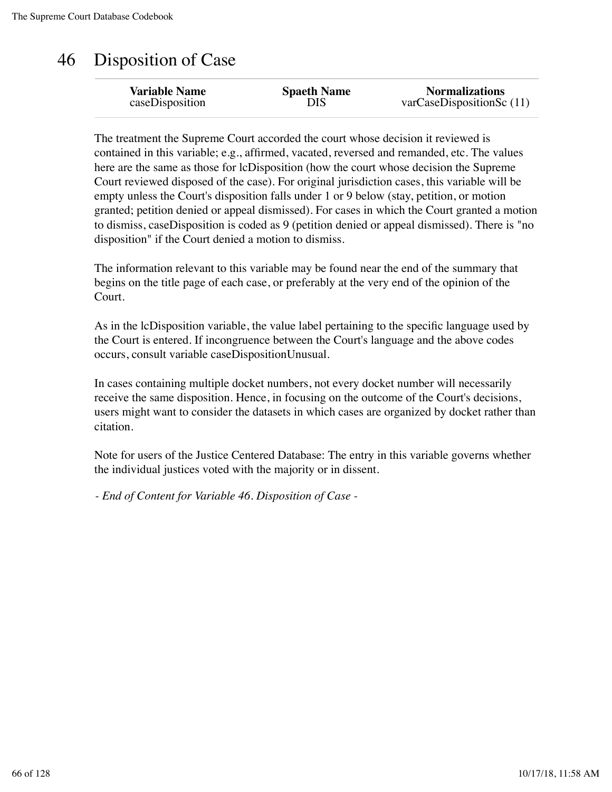### 46 Disposition of Case

The treatment the Supreme Court accorded the court whose decision it reviewed is contained in this variable; e.g., affirmed, vacated, reversed and remanded, etc. The values here are the same as those for lcDisposition (how the court whose decision the Supreme Court reviewed disposed of the case). For original jurisdiction cases, this variable will be empty unless the Court's disposition falls under 1 or 9 below (stay, petition, or motion granted; petition denied or appeal dismissed). For cases in which the Court granted a motion to dismiss, caseDisposition is coded as 9 (petition denied or appeal dismissed). There is "no disposition" if the Court denied a motion to dismiss.

The information relevant to this variable may be found near the end of the summary that begins on the title page of each case, or preferably at the very end of the opinion of the Court.

As in the lcDisposition variable, the value label pertaining to the specific language used by the Court is entered. If incongruence between the Court's language and the above codes occurs, consult variable caseDispositionUnusual.

In cases containing multiple docket numbers, not every docket number will necessarily receive the same disposition. Hence, in focusing on the outcome of the Court's decisions, users might want to consider the datasets in which cases are organized by docket rather than citation.

Note for users of the Justice Centered Database: The entry in this variable governs whether the individual justices voted with the majority or in dissent.

*- End of Content for Variable 46. Disposition of Case -*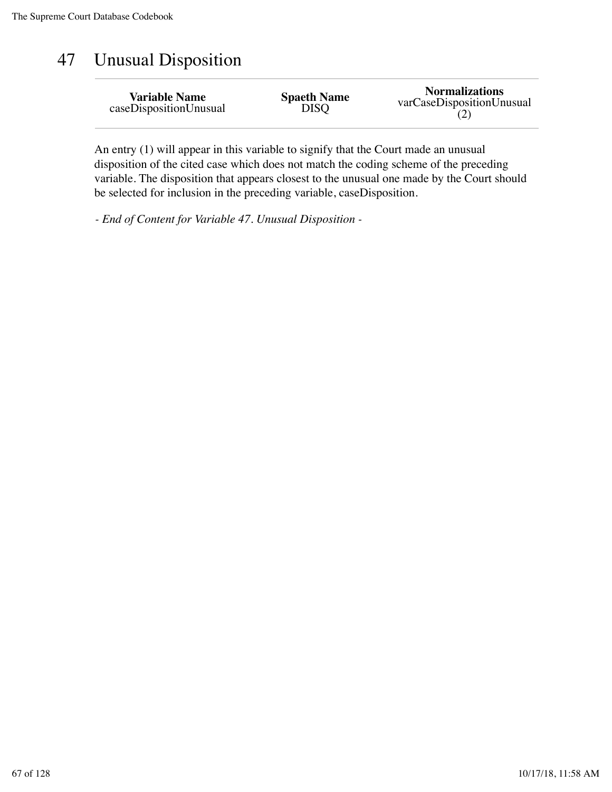### 47 Unusual Disposition

| <b>Variable Name</b>   | <b>Spaeth Name</b> | <b>Normalizations</b>     |
|------------------------|--------------------|---------------------------|
| caseDispositionUnusual | <b>DISQ</b>        | varCaseDispositionUnusual |

An entry (1) will appear in this variable to signify that the Court made an unusual disposition of the cited case which does not match the coding scheme of the preceding variable. The disposition that appears closest to the unusual one made by the Court should be selected for inclusion in the preceding variable, caseDisposition.

*- End of Content for Variable 47. Unusual Disposition -*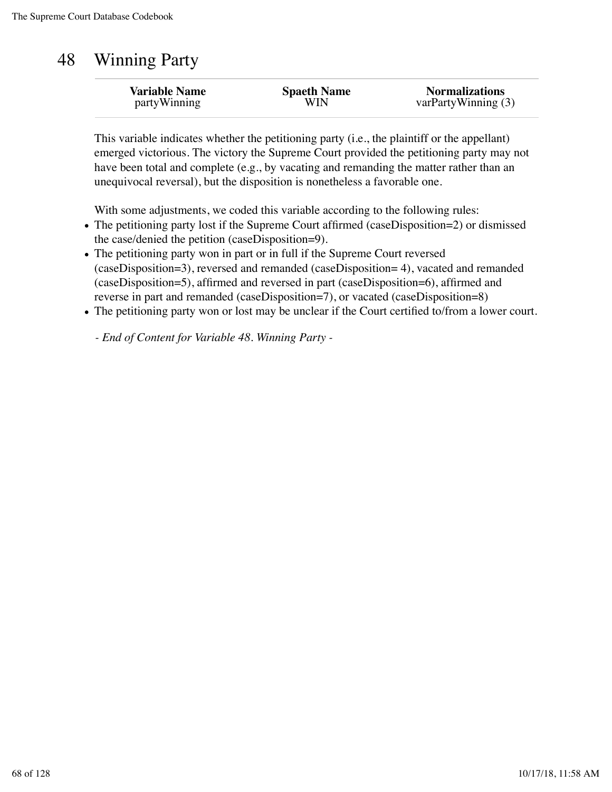#### 48 Winning Party

| <b>Variable Name</b> | <b>Spaeth Name</b> | <b>Normalizations</b> |
|----------------------|--------------------|-----------------------|
| partyWinning         | WIN                | varPartyWinning (3)   |
|                      |                    |                       |

This variable indicates whether the petitioning party (i.e., the plaintiff or the appellant) emerged victorious. The victory the Supreme Court provided the petitioning party may not have been total and complete (e.g., by vacating and remanding the matter rather than an unequivocal reversal), but the disposition is nonetheless a favorable one.

With some adjustments, we coded this variable according to the following rules:

- The petitioning party lost if the Supreme Court affirmed (caseDisposition=2) or dismissed the case/denied the petition (caseDisposition=9).
- The petitioning party won in part or in full if the Supreme Court reversed (caseDisposition=3), reversed and remanded (caseDisposition= 4), vacated and remanded (caseDisposition=5), affirmed and reversed in part (caseDisposition=6), affirmed and reverse in part and remanded (caseDisposition=7), or vacated (caseDisposition=8)
- The petitioning party won or lost may be unclear if the Court certified to/from a lower court.

*- End of Content for Variable 48. Winning Party -*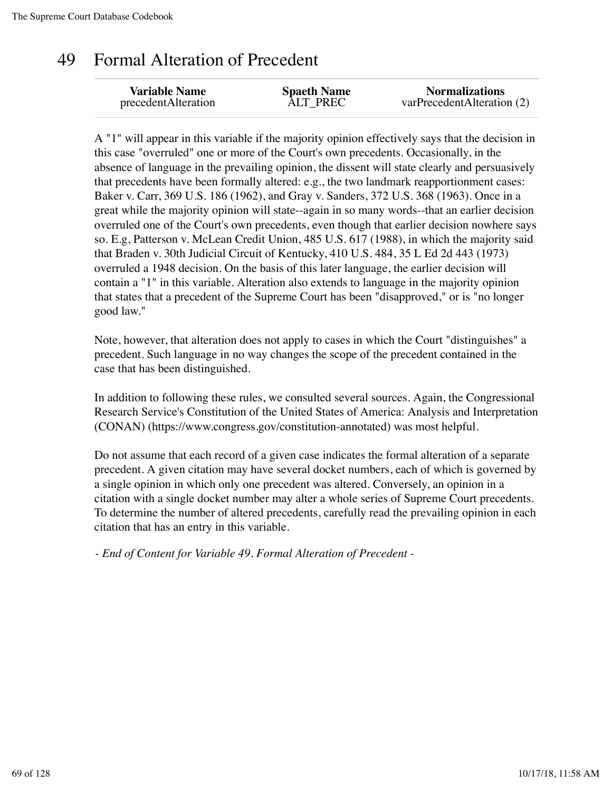### 49 Formal Alteration of Precedent

A "1" will appear in this variable if the majority opinion effectively says that the decision in this case "overruled" one or more of the Court's own precedents. Occasionally, in the absence of language in the prevailing opinion, the dissent will state clearly and persuasively that precedents have been formally altered: e.g., the two landmark reapportionment cases: Baker v. Carr, 369 U.S. 186 (1962), and Gray v. Sanders, 372 U.S. 368 (1963). Once in a great while the majority opinion will state--again in so many words--that an earlier decision overruled one of the Court's own precedents, even though that earlier decision nowhere says so. E.g, Patterson v. McLean Credit Union, 485 U.S. 617 (1988), in which the majority said that Braden v. 30th Judicial Circuit of Kentucky, 410 U.S. 484, 35 L Ed 2d 443 (1973) overruled a 1948 decision. On the basis of this later language, the earlier decision will contain a "1" in this variable. Alteration also extends to language in the majority opinion that states that a precedent of the Supreme Court has been "disapproved," or is "no longer good law."

Note, however, that alteration does not apply to cases in which the Court "distinguishes" a precedent. Such language in no way changes the scope of the precedent contained in the case that has been distinguished.

In addition to following these rules, we consulted several sources. Again, the Congressional Research Service's Constitution of the United States of America: Analysis and Interpretation (CONAN) (https://www.congress.gov/constitution-annotated) was most helpful.

Do not assume that each record of a given case indicates the formal alteration of a separate precedent. A given citation may have several docket numbers, each of which is governed by a single opinion in which only one precedent was altered. Conversely, an opinion in a citation with a single docket number may alter a whole series of Supreme Court precedents. To determine the number of altered precedents, carefully read the prevailing opinion in each citation that has an entry in this variable.

*- End of Content for Variable 49. Formal Alteration of Precedent -*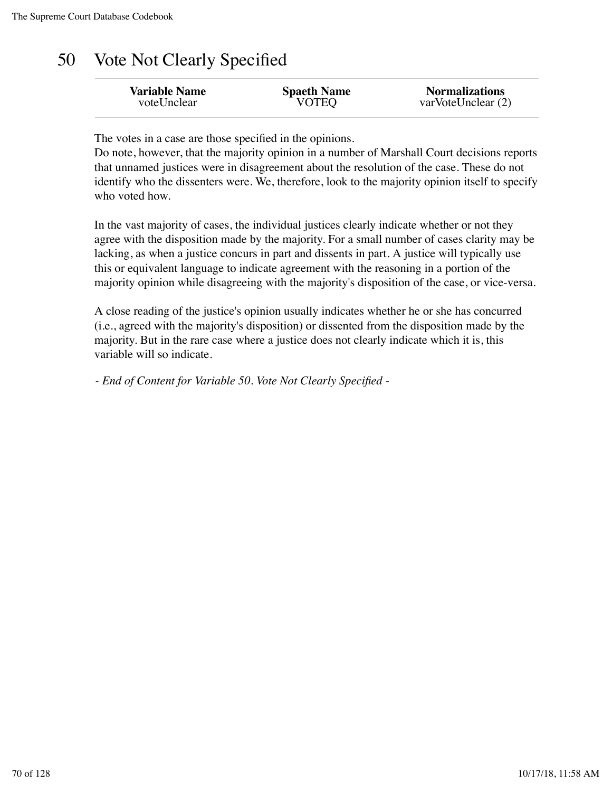## 50 Vote Not Clearly Specified

The votes in a case are those specified in the opinions.

Do note, however, that the majority opinion in a number of Marshall Court decisions reports that unnamed justices were in disagreement about the resolution of the case. These do not identify who the dissenters were. We, therefore, look to the majority opinion itself to specify who voted how.

In the vast majority of cases, the individual justices clearly indicate whether or not they agree with the disposition made by the majority. For a small number of cases clarity may be lacking, as when a justice concurs in part and dissents in part. A justice will typically use this or equivalent language to indicate agreement with the reasoning in a portion of the majority opinion while disagreeing with the majority's disposition of the case, or vice-versa.

A close reading of the justice's opinion usually indicates whether he or she has concurred (i.e., agreed with the majority's disposition) or dissented from the disposition made by the majority. But in the rare case where a justice does not clearly indicate which it is, this variable will so indicate.

*- End of Content for Variable 50. Vote Not Clearly Specified -*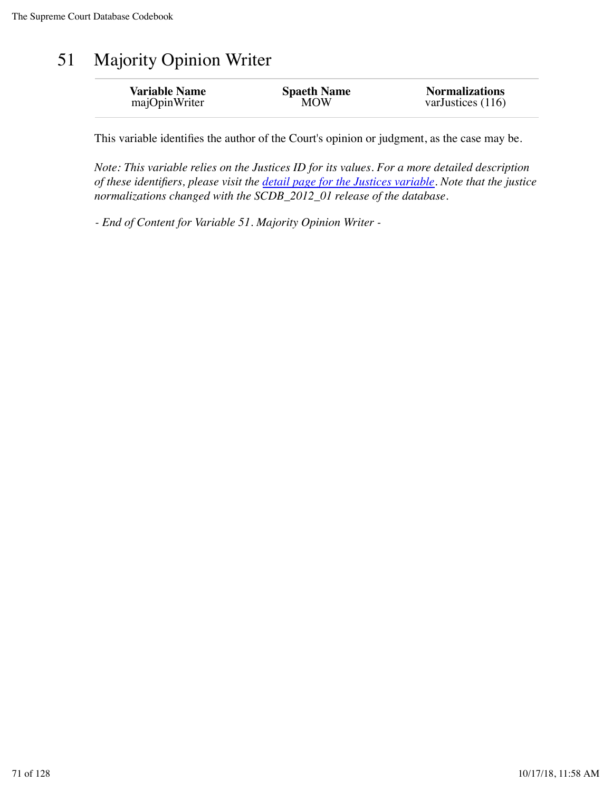## 51 Majority Opinion Writer

| <b>Variable Name</b> | <b>Spaeth Name</b> | <b>Normalizations</b> |
|----------------------|--------------------|-----------------------|
| majOpinWriter        | <b>MOW</b>         | varJustices $(116)$   |
|                      |                    |                       |

This variable identifies the author of the Court's opinion or judgment, as the case may be.

*Note: This variable relies on the Justices ID for its values. For a more detailed description of these identifiers, please visit the detail page for the Justices variable. Note that the justice normalizations changed with the SCDB\_2012\_01 release of the database.*

*- End of Content for Variable 51. Majority Opinion Writer -*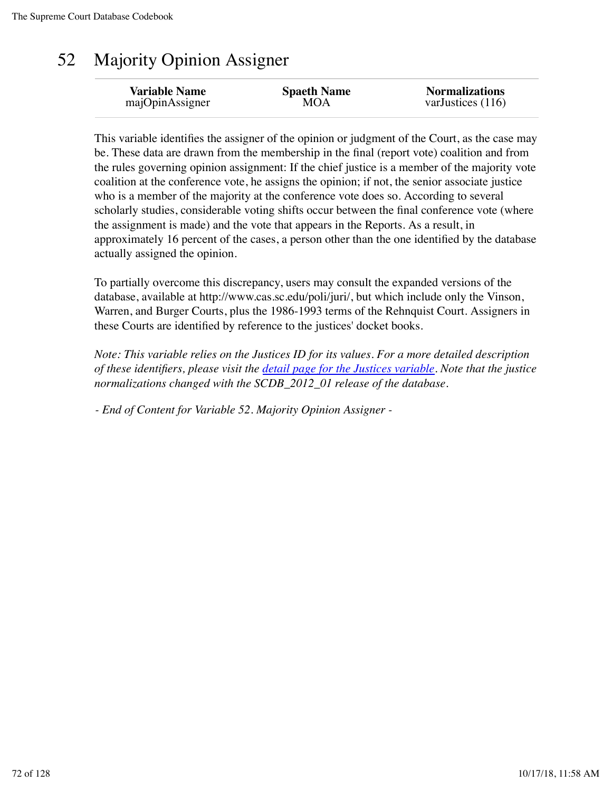## 52 Majority Opinion Assigner

This variable identifies the assigner of the opinion or judgment of the Court, as the case may be. These data are drawn from the membership in the final (report vote) coalition and from the rules governing opinion assignment: If the chief justice is a member of the majority vote coalition at the conference vote, he assigns the opinion; if not, the senior associate justice who is a member of the majority at the conference vote does so. According to several scholarly studies, considerable voting shifts occur between the final conference vote (where the assignment is made) and the vote that appears in the Reports. As a result, in approximately 16 percent of the cases, a person other than the one identified by the database actually assigned the opinion.

To partially overcome this discrepancy, users may consult the expanded versions of the database, available at http://www.cas.sc.edu/poli/juri/, but which include only the Vinson, Warren, and Burger Courts, plus the 1986-1993 terms of the Rehnquist Court. Assigners in these Courts are identified by reference to the justices' docket books.

*Note: This variable relies on the Justices ID for its values. For a more detailed description of these identifiers, please visit the detail page for the Justices variable. Note that the justice normalizations changed with the SCDB\_2012\_01 release of the database.*

*- End of Content for Variable 52. Majority Opinion Assigner -*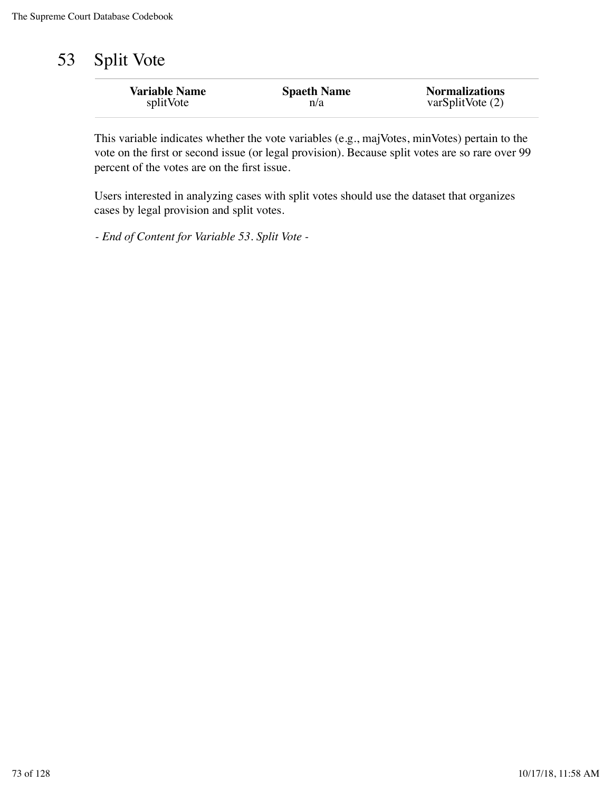# 53 Split Vote

| <b>Variable Name</b> | <b>Spaeth Name</b> | <b>Normalizations</b> |
|----------------------|--------------------|-----------------------|
| splitVote            | n/a                | varSplitVote(2)       |
|                      |                    |                       |

This variable indicates whether the vote variables (e.g., majVotes, minVotes) pertain to the vote on the first or second issue (or legal provision). Because split votes are so rare over 99 percent of the votes are on the first issue.

Users interested in analyzing cases with split votes should use the dataset that organizes cases by legal provision and split votes.

*- End of Content for Variable 53. Split Vote -*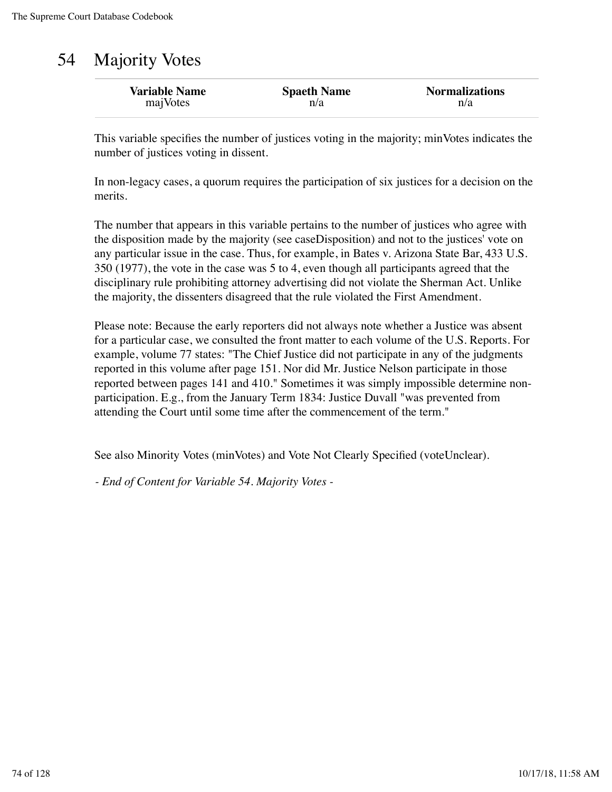# 54 Majority Votes

| <b>Variable Name</b> | <b>Spaeth Name</b> | <b>Normalizations</b> |
|----------------------|--------------------|-----------------------|
| majVotes             | n/a                | n/a                   |

This variable specifies the number of justices voting in the majority; minVotes indicates the number of justices voting in dissent.

In non-legacy cases, a quorum requires the participation of six justices for a decision on the merits.

The number that appears in this variable pertains to the number of justices who agree with the disposition made by the majority (see caseDisposition) and not to the justices' vote on any particular issue in the case. Thus, for example, in Bates v. Arizona State Bar, 433 U.S. 350 (1977), the vote in the case was 5 to 4, even though all participants agreed that the disciplinary rule prohibiting attorney advertising did not violate the Sherman Act. Unlike the majority, the dissenters disagreed that the rule violated the First Amendment.

Please note: Because the early reporters did not always note whether a Justice was absent for a particular case, we consulted the front matter to each volume of the U.S. Reports. For example, volume 77 states: "The Chief Justice did not participate in any of the judgments reported in this volume after page 151. Nor did Mr. Justice Nelson participate in those reported between pages 141 and 410." Sometimes it was simply impossible determine nonparticipation. E.g., from the January Term 1834: Justice Duvall "was prevented from attending the Court until some time after the commencement of the term."

See also Minority Votes (minVotes) and Vote Not Clearly Specified (voteUnclear).

*- End of Content for Variable 54. Majority Votes -*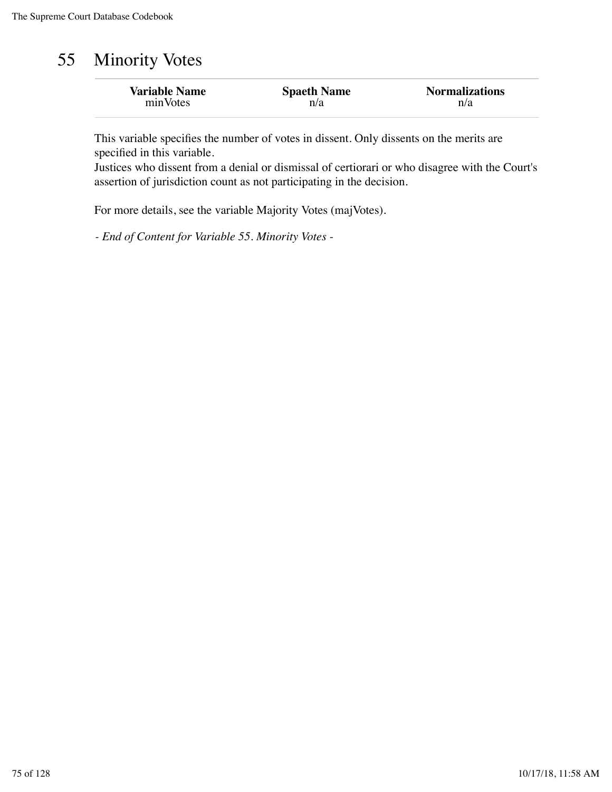# 55 Minority Votes

| <b>Variable Name</b> | <b>Spaeth Name</b> | <b>Normalizations</b> |
|----------------------|--------------------|-----------------------|
| minVotes             | n/a                | n/a                   |

This variable specifies the number of votes in dissent. Only dissents on the merits are specified in this variable.

Justices who dissent from a denial or dismissal of certiorari or who disagree with the Court's assertion of jurisdiction count as not participating in the decision.

For more details, see the variable Majority Votes (majVotes).

*- End of Content for Variable 55. Minority Votes -*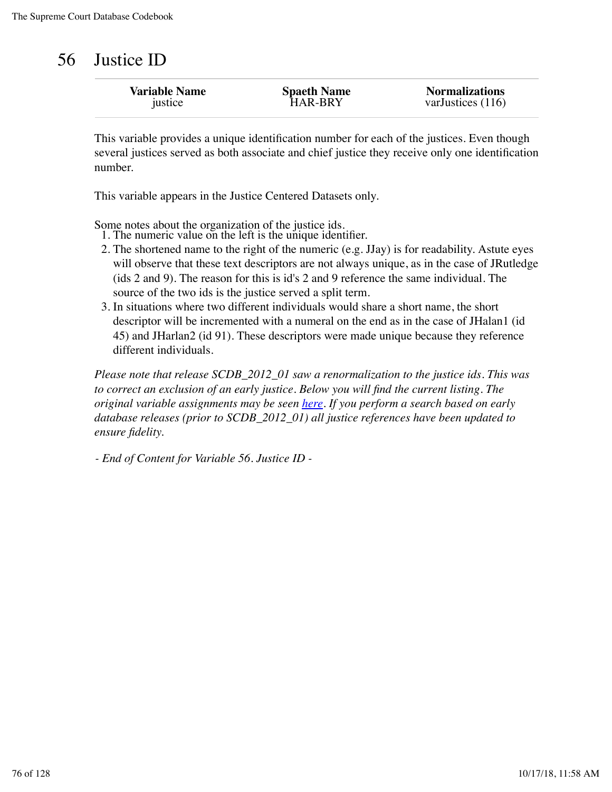| 56 | Justice ID |
|----|------------|
|    |            |

| <b>Variable Name</b> | <b>Spaeth Name</b> | <b>Normalizations</b> |
|----------------------|--------------------|-----------------------|
| justice              | <b>HAR-BRY</b>     | varJustices (116)     |
|                      |                    |                       |

This variable provides a unique identification number for each of the justices. Even though several justices served as both associate and chief justice they receive only one identification number.

This variable appears in the Justice Centered Datasets only.

Some notes about the organization of the justice ids.

- 1. The numeric value on the left is the unique identifier.
- 2. The shortened name to the right of the numeric (e.g. JJay) is for readability. Astute eyes will observe that these text descriptors are not always unique, as in the case of JRutledge (ids 2 and 9). The reason for this is id's 2 and 9 reference the same individual. The source of the two ids is the justice served a split term.
- 3. In situations where two different individuals would share a short name, the short descriptor will be incremented with a numeral on the end as in the case of JHalan1 (id 45) and JHarlan2 (id 91). These descriptors were made unique because they reference different individuals.

*Please note that release SCDB\_2012\_01 saw a renormalization to the justice ids. This was to correct an exclusion of an early justice. Below you will find the current listing. The original variable assignments may be seen here. If you perform a search based on early database releases (prior to SCDB\_2012\_01) all justice references have been updated to ensure fidelity.*

*- End of Content for Variable 56. Justice ID -*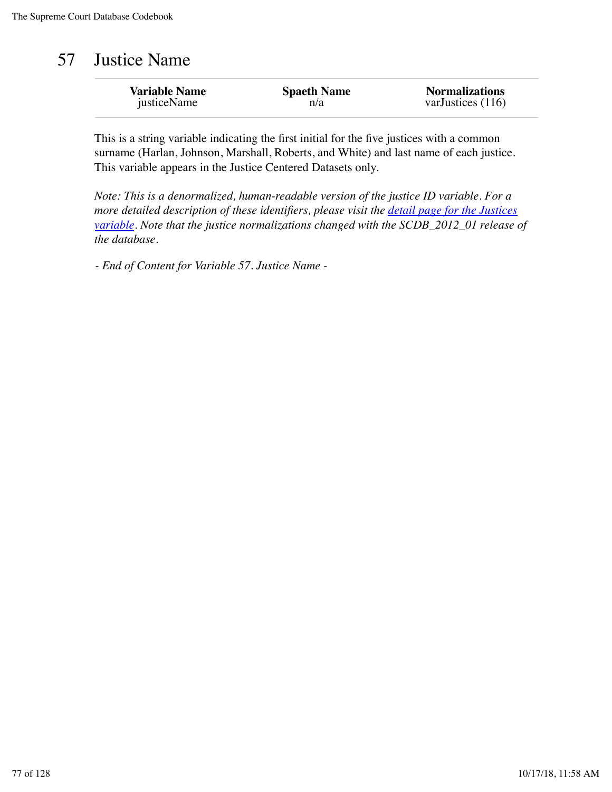## 57 Justice Name

| <b>Variable Name</b> | <b>Spaeth Name</b> | <b>Normalizations</b> |
|----------------------|--------------------|-----------------------|
| justiceName          | n/a                | varJustices $(116)$   |

This is a string variable indicating the first initial for the five justices with a common surname (Harlan, Johnson, Marshall, Roberts, and White) and last name of each justice. This variable appears in the Justice Centered Datasets only.

*Note: This is a denormalized, human-readable version of the justice ID variable. For a more detailed description of these identifiers, please visit the detail page for the Justices variable. Note that the justice normalizations changed with the SCDB\_2012\_01 release of the database.*

*- End of Content for Variable 57. Justice Name -*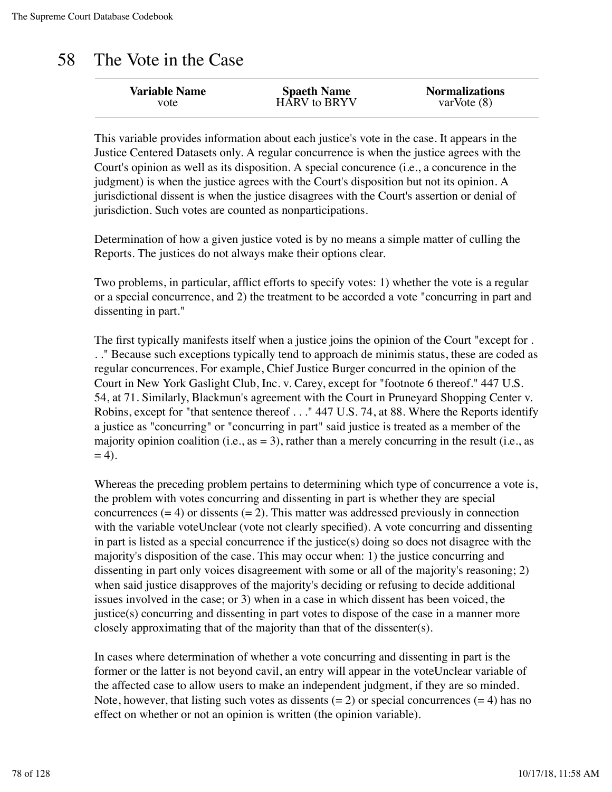## 58 The Vote in the Case

| <b>Variable Name</b> | <b>Spaeth Name</b> | <b>Normalizations</b> |
|----------------------|--------------------|-----------------------|
| vote                 | HARV to BRYV       | varVote $(8)$         |
|                      |                    |                       |

This variable provides information about each justice's vote in the case. It appears in the Justice Centered Datasets only. A regular concurrence is when the justice agrees with the Court's opinion as well as its disposition. A special concurence (i.e., a concurence in the judgment) is when the justice agrees with the Court's disposition but not its opinion. A jurisdictional dissent is when the justice disagrees with the Court's assertion or denial of jurisdiction. Such votes are counted as nonparticipations.

Determination of how a given justice voted is by no means a simple matter of culling the Reports. The justices do not always make their options clear.

Two problems, in particular, afflict efforts to specify votes: 1) whether the vote is a regular or a special concurrence, and 2) the treatment to be accorded a vote "concurring in part and dissenting in part."

The first typically manifests itself when a justice joins the opinion of the Court "except for . . ." Because such exceptions typically tend to approach de minimis status, these are coded as regular concurrences. For example, Chief Justice Burger concurred in the opinion of the Court in New York Gaslight Club, Inc. v. Carey, except for "footnote 6 thereof." 447 U.S. 54, at 71. Similarly, Blackmun's agreement with the Court in Pruneyard Shopping Center v. Robins, except for "that sentence thereof . . ." 447 U.S. 74, at 88. Where the Reports identify a justice as "concurring" or "concurring in part" said justice is treated as a member of the majority opinion coalition (i.e.,  $as = 3$ ), rather than a merely concurring in the result (i.e., as  $= 4$ ).

Whereas the preceding problem pertains to determining which type of concurrence a vote is, the problem with votes concurring and dissenting in part is whether they are special concurrences  $(= 4)$  or dissents  $(= 2)$ . This matter was addressed previously in connection with the variable voteUnclear (vote not clearly specified). A vote concurring and dissenting in part is listed as a special concurrence if the justice(s) doing so does not disagree with the majority's disposition of the case. This may occur when: 1) the justice concurring and dissenting in part only voices disagreement with some or all of the majority's reasoning; 2) when said justice disapproves of the majority's deciding or refusing to decide additional issues involved in the case; or 3) when in a case in which dissent has been voiced, the justice(s) concurring and dissenting in part votes to dispose of the case in a manner more closely approximating that of the majority than that of the dissenter(s).

In cases where determination of whether a vote concurring and dissenting in part is the former or the latter is not beyond cavil, an entry will appear in the voteUnclear variable of the affected case to allow users to make an independent judgment, if they are so minded. Note, however, that listing such votes as dissents  $(= 2)$  or special concurrences  $(= 4)$  has no effect on whether or not an opinion is written (the opinion variable).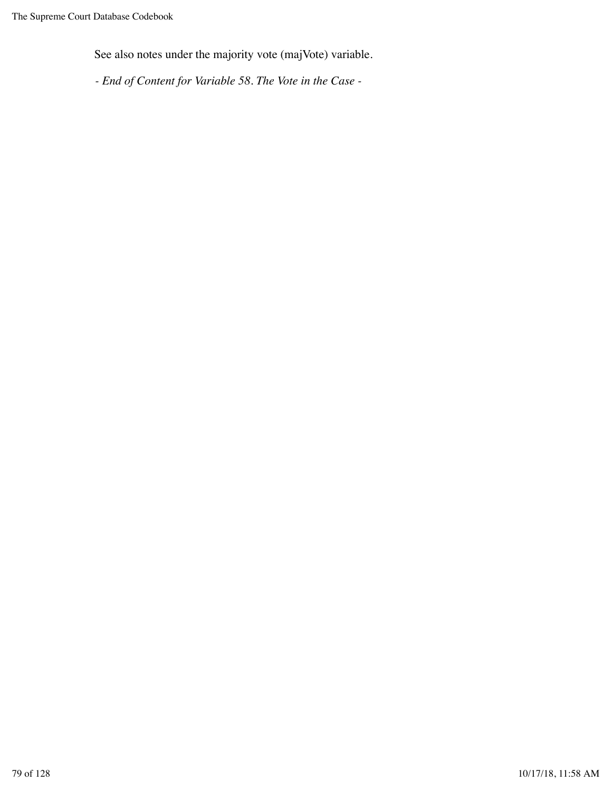See also notes under the majority vote (majVote) variable.

*- End of Content for Variable 58. The Vote in the Case -*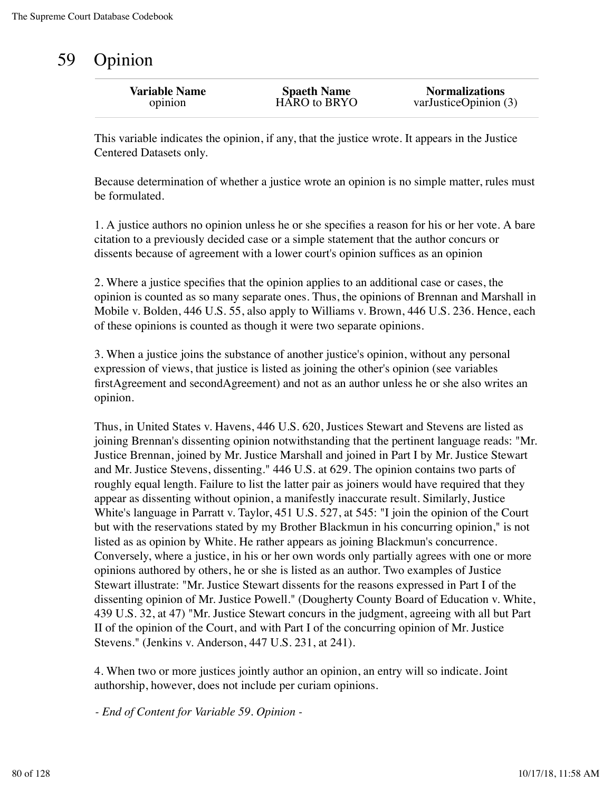# 59 Opinion

| <b>Spaeth Name</b><br>HARO to BRYO | <b>Normalizations</b><br>var Justice Opinion $(3)$ |
|------------------------------------|----------------------------------------------------|
|                                    |                                                    |
|                                    |                                                    |

This variable indicates the opinion, if any, that the justice wrote. It appears in the Justice Centered Datasets only.

Because determination of whether a justice wrote an opinion is no simple matter, rules must be formulated.

1. A justice authors no opinion unless he or she specifies a reason for his or her vote. A bare citation to a previously decided case or a simple statement that the author concurs or dissents because of agreement with a lower court's opinion suffices as an opinion

2. Where a justice specifies that the opinion applies to an additional case or cases, the opinion is counted as so many separate ones. Thus, the opinions of Brennan and Marshall in Mobile v. Bolden, 446 U.S. 55, also apply to Williams v. Brown, 446 U.S. 236. Hence, each of these opinions is counted as though it were two separate opinions.

3. When a justice joins the substance of another justice's opinion, without any personal expression of views, that justice is listed as joining the other's opinion (see variables firstAgreement and secondAgreement) and not as an author unless he or she also writes an opinion.

Thus, in United States v. Havens, 446 U.S. 620, Justices Stewart and Stevens are listed as joining Brennan's dissenting opinion notwithstanding that the pertinent language reads: "Mr. Justice Brennan, joined by Mr. Justice Marshall and joined in Part I by Mr. Justice Stewart and Mr. Justice Stevens, dissenting." 446 U.S. at 629. The opinion contains two parts of roughly equal length. Failure to list the latter pair as joiners would have required that they appear as dissenting without opinion, a manifestly inaccurate result. Similarly, Justice White's language in Parratt v. Taylor, 451 U.S. 527, at 545: "I join the opinion of the Court but with the reservations stated by my Brother Blackmun in his concurring opinion," is not listed as as opinion by White. He rather appears as joining Blackmun's concurrence. Conversely, where a justice, in his or her own words only partially agrees with one or more opinions authored by others, he or she is listed as an author. Two examples of Justice Stewart illustrate: "Mr. Justice Stewart dissents for the reasons expressed in Part I of the dissenting opinion of Mr. Justice Powell." (Dougherty County Board of Education v. White, 439 U.S. 32, at 47) "Mr. Justice Stewart concurs in the judgment, agreeing with all but Part II of the opinion of the Court, and with Part I of the concurring opinion of Mr. Justice Stevens." (Jenkins v. Anderson, 447 U.S. 231, at 241).

4. When two or more justices jointly author an opinion, an entry will so indicate. Joint authorship, however, does not include per curiam opinions.

*- End of Content for Variable 59. Opinion -*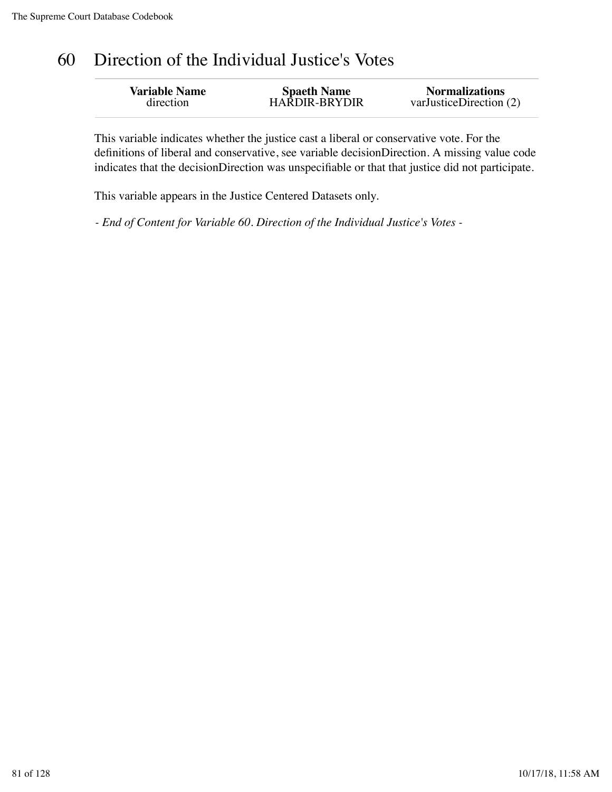# 60 Direction of the Individual Justice's Votes

| <b>Variable Name</b> | <b>Spaeth Name</b>   | <b>Normalizations</b>       |
|----------------------|----------------------|-----------------------------|
| direction            | <b>HARDIR-BRYDIR</b> | var Justice Direction $(2)$ |
|                      |                      |                             |

This variable indicates whether the justice cast a liberal or conservative vote. For the definitions of liberal and conservative, see variable decisionDirection. A missing value code indicates that the decisionDirection was unspecifiable or that that justice did not participate.

This variable appears in the Justice Centered Datasets only.

*- End of Content for Variable 60. Direction of the Individual Justice's Votes -*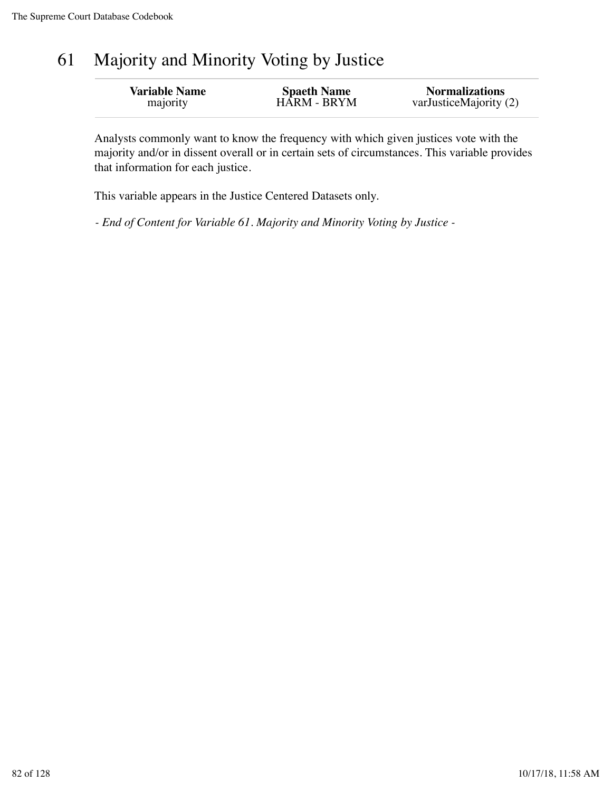# 61 Majority and Minority Voting by Justice

| <b>Variable Name</b> | <b>Spaeth Name</b> | <b>Normalizations</b>  |
|----------------------|--------------------|------------------------|
| majority             | <b>HARM - BRYM</b> | varJusticeMajority (2) |
|                      |                    |                        |

Analysts commonly want to know the frequency with which given justices vote with the majority and/or in dissent overall or in certain sets of circumstances. This variable provides that information for each justice.

This variable appears in the Justice Centered Datasets only.

*- End of Content for Variable 61. Majority and Minority Voting by Justice -*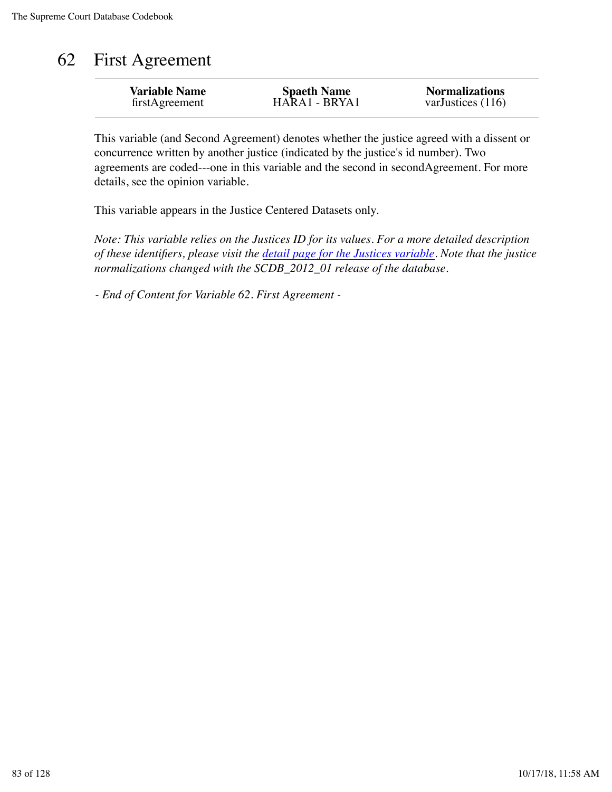# 62 First Agreement

| <b>Variable Name</b> | <b>Spaeth Name</b> | <b>Normalizations</b> |
|----------------------|--------------------|-----------------------|
| firstAgreement       | HARA1 - BRYA1      | varJustices $(116)$   |

This variable (and Second Agreement) denotes whether the justice agreed with a dissent or concurrence written by another justice (indicated by the justice's id number). Two agreements are coded---one in this variable and the second in secondAgreement. For more details, see the opinion variable.

This variable appears in the Justice Centered Datasets only.

*Note: This variable relies on the Justices ID for its values. For a more detailed description of these identifiers, please visit the detail page for the Justices variable. Note that the justice normalizations changed with the SCDB\_2012\_01 release of the database.*

*- End of Content for Variable 62. First Agreement -*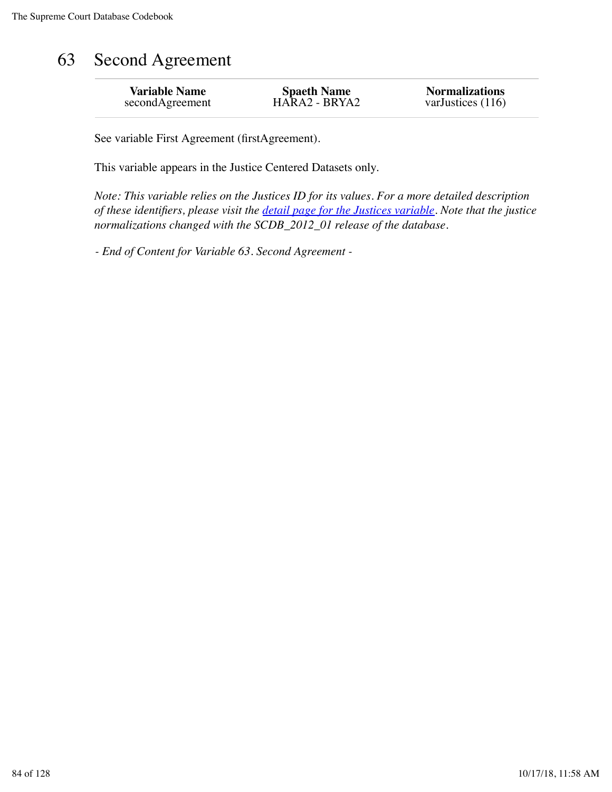# 63 Second Agreement

| <b>Variable Name</b> | <b>Spaeth Name</b> | <b>Normalizations</b> |
|----------------------|--------------------|-----------------------|
| secondAgreement      | HARA2 - BRYA2      | varJustices $(116)$   |
|                      |                    |                       |

See variable First Agreement (firstAgreement).

This variable appears in the Justice Centered Datasets only.

*Note: This variable relies on the Justices ID for its values. For a more detailed description of these identifiers, please visit the detail page for the Justices variable. Note that the justice normalizations changed with the SCDB\_2012\_01 release of the database.*

*- End of Content for Variable 63. Second Agreement -*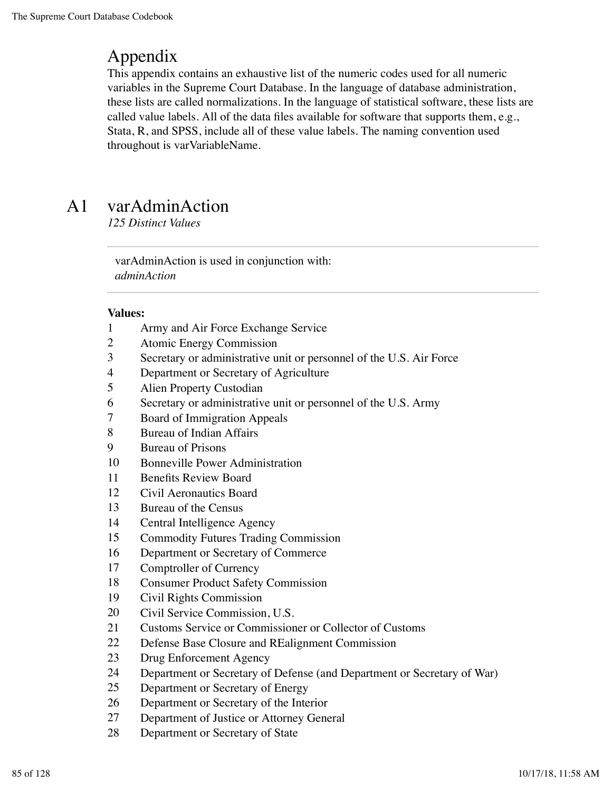## Appendix

This appendix contains an exhaustive list of the numeric codes used for all numeric variables in the Supreme Court Database. In the language of database administration, these lists are called normalizations. In the language of statistical software, these lists are called value labels. All of the data files available for software that supports them, e.g., Stata, R, and SPSS, include all of these value labels. The naming convention used throughout is varVariableName.

# A1 varAdminAction

*125 Distinct Values*

varAdminAction is used in conjunction with: *adminAction*

- Army and Air Force Exchange Service
- Atomic Energy Commission
- Secretary or administrative unit or personnel of the U.S. Air Force
- Department or Secretary of Agriculture
- Alien Property Custodian
- Secretary or administrative unit or personnel of the U.S. Army
- Board of Immigration Appeals
- Bureau of Indian Affairs
- Bureau of Prisons
- Bonneville Power Administration
- Benefits Review Board
- Civil Aeronautics Board
- Bureau of the Census
- Central Intelligence Agency
- Commodity Futures Trading Commission
- Department or Secretary of Commerce
- Comptroller of Currency
- Consumer Product Safety Commission
- Civil Rights Commission
- Civil Service Commission, U.S.
- Customs Service or Commissioner or Collector of Customs
- Defense Base Closure and REalignment Commission
- Drug Enforcement Agency
- Department or Secretary of Defense (and Department or Secretary of War)
- Department or Secretary of Energy
- Department or Secretary of the Interior
- Department of Justice or Attorney General
- Department or Secretary of State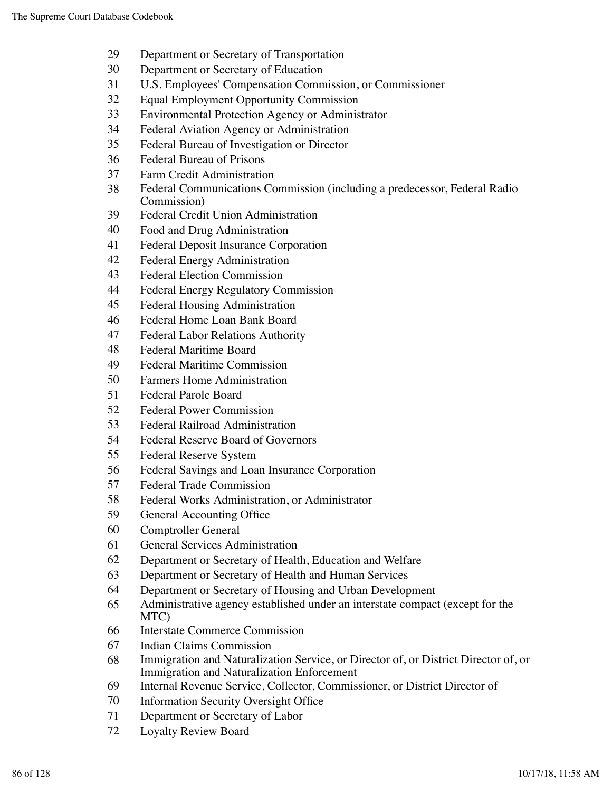- Department or Secretary of Transportation
- Department or Secretary of Education
- U.S. Employees' Compensation Commission, or Commissioner
- Equal Employment Opportunity Commission
- Environmental Protection Agency or Administrator
- Federal Aviation Agency or Administration
- Federal Bureau of Investigation or Director
- Federal Bureau of Prisons
- Farm Credit Administration
- Federal Communications Commission (including a predecessor, Federal Radio Commission)
- Federal Credit Union Administration
- Food and Drug Administration
- Federal Deposit Insurance Corporation
- Federal Energy Administration
- Federal Election Commission
- Federal Energy Regulatory Commission
- Federal Housing Administration
- Federal Home Loan Bank Board
- Federal Labor Relations Authority
- Federal Maritime Board
- Federal Maritime Commission
- Farmers Home Administration
- Federal Parole Board
- Federal Power Commission
- Federal Railroad Administration
- Federal Reserve Board of Governors
- Federal Reserve System
- Federal Savings and Loan Insurance Corporation
- Federal Trade Commission
- Federal Works Administration, or Administrator
- General Accounting Office
- Comptroller General
- General Services Administration
- Department or Secretary of Health, Education and Welfare
- Department or Secretary of Health and Human Services
- Department or Secretary of Housing and Urban Development
- Administrative agency established under an interstate compact (except for the MTC)
- Interstate Commerce Commission
- Indian Claims Commission
- Immigration and Naturalization Service, or Director of, or District Director of, or Immigration and Naturalization Enforcement
- Internal Revenue Service, Collector, Commissioner, or District Director of
- Information Security Oversight Office
- Department or Secretary of Labor
- Loyalty Review Board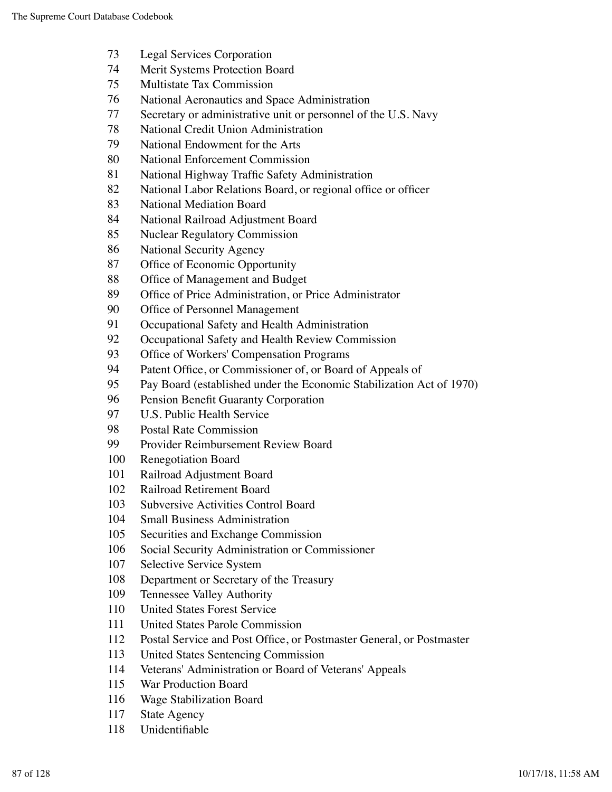- Legal Services Corporation
- Merit Systems Protection Board
- Multistate Tax Commission
- National Aeronautics and Space Administration
- Secretary or administrative unit or personnel of the U.S. Navy
- National Credit Union Administration
- National Endowment for the Arts
- National Enforcement Commission
- National Highway Traffic Safety Administration
- National Labor Relations Board, or regional office or officer
- National Mediation Board
- National Railroad Adjustment Board
- Nuclear Regulatory Commission
- National Security Agency
- Office of Economic Opportunity
- Office of Management and Budget
- Office of Price Administration, or Price Administrator
- Office of Personnel Management
- Occupational Safety and Health Administration
- Occupational Safety and Health Review Commission
- Office of Workers' Compensation Programs
- Patent Office, or Commissioner of, or Board of Appeals of
- Pay Board (established under the Economic Stabilization Act of 1970)
- Pension Benefit Guaranty Corporation
- U.S. Public Health Service
- Postal Rate Commission
- Provider Reimbursement Review Board
- Renegotiation Board
- Railroad Adjustment Board
- Railroad Retirement Board
- Subversive Activities Control Board
- Small Business Administration
- Securities and Exchange Commission
- Social Security Administration or Commissioner
- Selective Service System
- Department or Secretary of the Treasury
- Tennessee Valley Authority
- United States Forest Service
- United States Parole Commission
- Postal Service and Post Office, or Postmaster General, or Postmaster
- United States Sentencing Commission
- Veterans' Administration or Board of Veterans' Appeals
- War Production Board
- Wage Stabilization Board
- State Agency
- Unidentifiable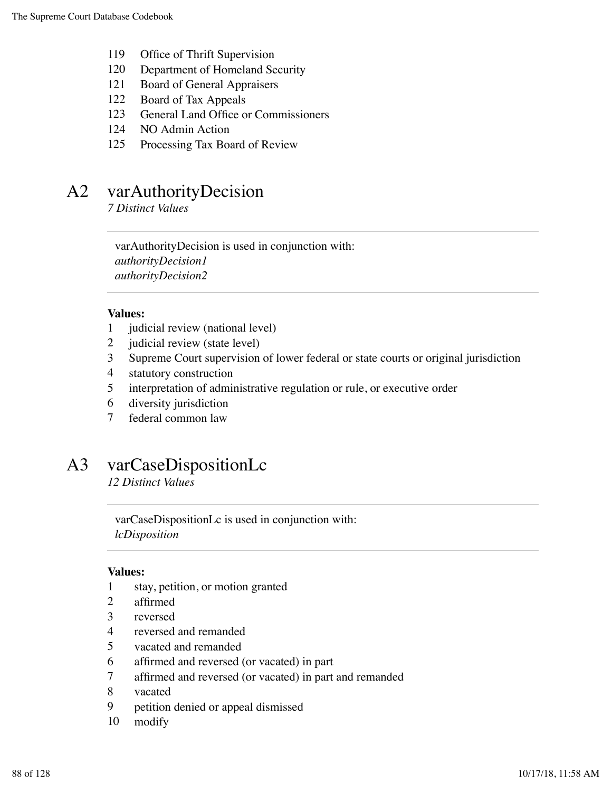- Office of Thrift Supervision
- Department of Homeland Security
- Board of General Appraisers
- Board of Tax Appeals
- General Land Office or Commissioners
- NO Admin Action
- Processing Tax Board of Review

## A2 varAuthorityDecision

*7 Distinct Values*

varAuthorityDecision is used in conjunction with: *authorityDecision1 authorityDecision2*

### **Values:**

- judicial review (national level)
- judicial review (state level)
- Supreme Court supervision of lower federal or state courts or original jurisdiction
- statutory construction
- interpretation of administrative regulation or rule, or executive order
- diversity jurisdiction
- federal common law

### A3 varCaseDispositionLc

*12 Distinct Values*

varCaseDispositionLc is used in conjunction with: *lcDisposition*

- stay, petition, or motion granted
- affirmed
- reversed
- reversed and remanded
- vacated and remanded
- affirmed and reversed (or vacated) in part
- affirmed and reversed (or vacated) in part and remanded
- vacated
- petition denied or appeal dismissed
- modify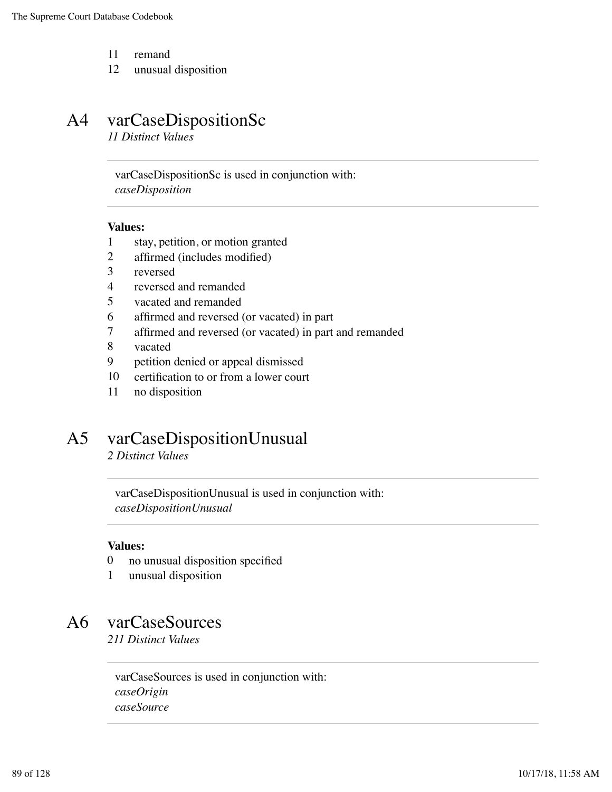- 11 remand
- 12 unusual disposition

## A4 varCaseDispositionSc

*11 Distinct Values*

varCaseDispositionSc is used in conjunction with: *caseDisposition*

#### **Values:**

- 1 stay, petition, or motion granted
- 2 affirmed (includes modified)
- 3 reversed
- 4 reversed and remanded
- 5 vacated and remanded
- 6 affirmed and reversed (or vacated) in part
- 7 affirmed and reversed (or vacated) in part and remanded
- 8 vacated
- 9 petition denied or appeal dismissed
- 10 certification to or from a lower court
- 11 no disposition

# A5 varCaseDispositionUnusual

*2 Distinct Values*

varCaseDispositionUnusual is used in conjunction with: *caseDispositionUnusual*

### **Values:**

- 0 no unusual disposition specified
- 1 unusual disposition

# A6 varCaseSources

*211 Distinct Values*

varCaseSources is used in conjunction with: *caseOrigin caseSource*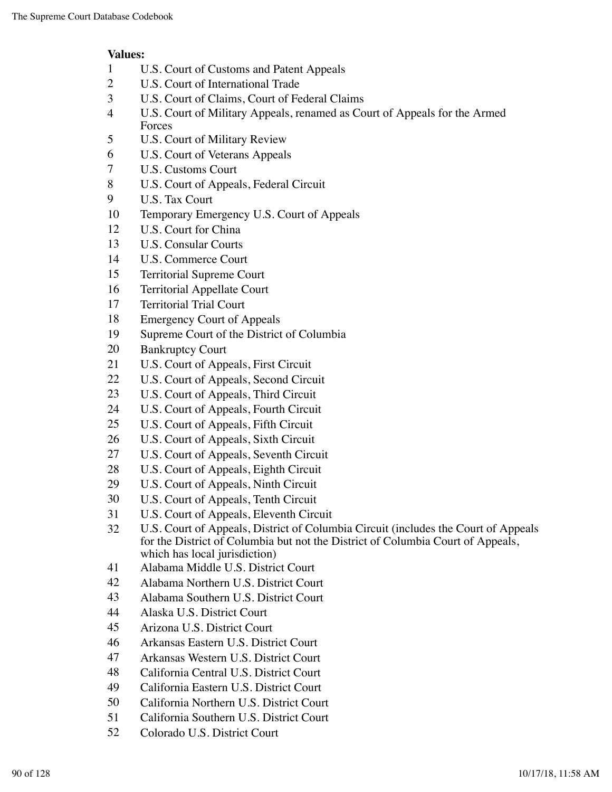- U.S. Court of Customs and Patent Appeals
- U.S. Court of International Trade
- U.S. Court of Claims, Court of Federal Claims
- U.S. Court of Military Appeals, renamed as Court of Appeals for the Armed Forces
- U.S. Court of Military Review
- U.S. Court of Veterans Appeals
- U.S. Customs Court
- U.S. Court of Appeals, Federal Circuit
- U.S. Tax Court
- Temporary Emergency U.S. Court of Appeals
- U.S. Court for China
- U.S. Consular Courts
- U.S. Commerce Court
- Territorial Supreme Court
- Territorial Appellate Court
- Territorial Trial Court
- Emergency Court of Appeals
- Supreme Court of the District of Columbia
- Bankruptcy Court
- U.S. Court of Appeals, First Circuit
- U.S. Court of Appeals, Second Circuit
- U.S. Court of Appeals, Third Circuit
- U.S. Court of Appeals, Fourth Circuit
- U.S. Court of Appeals, Fifth Circuit
- U.S. Court of Appeals, Sixth Circuit
- U.S. Court of Appeals, Seventh Circuit
- U.S. Court of Appeals, Eighth Circuit
- U.S. Court of Appeals, Ninth Circuit
- U.S. Court of Appeals, Tenth Circuit
- U.S. Court of Appeals, Eleventh Circuit
- U.S. Court of Appeals, District of Columbia Circuit (includes the Court of Appeals for the District of Columbia but not the District of Columbia Court of Appeals, which has local jurisdiction)
- Alabama Middle U.S. District Court
- Alabama Northern U.S. District Court
- Alabama Southern U.S. District Court
- Alaska U.S. District Court
- Arizona U.S. District Court
- Arkansas Eastern U.S. District Court
- Arkansas Western U.S. District Court
- California Central U.S. District Court
- California Eastern U.S. District Court
- California Northern U.S. District Court
- California Southern U.S. District Court
- Colorado U.S. District Court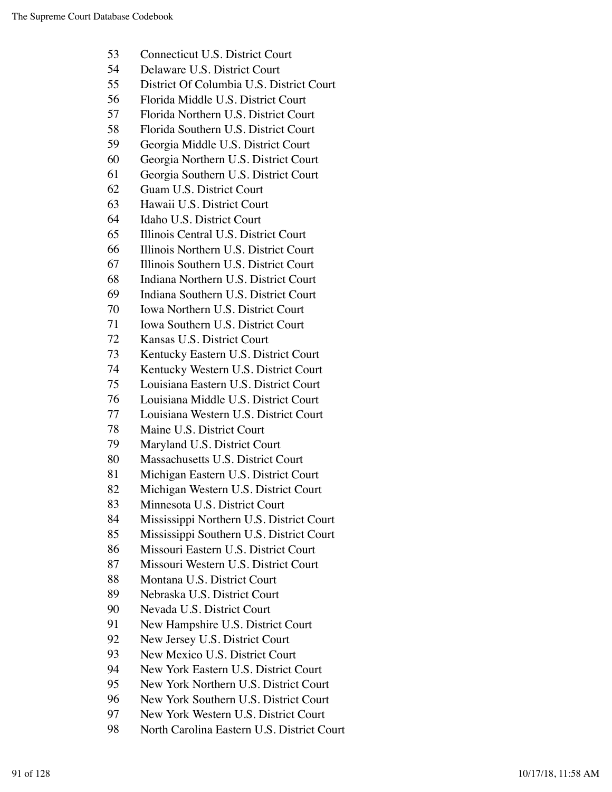- Connecticut U.S. District Court
- Delaware U.S. District Court
- District Of Columbia U.S. District Court
- Florida Middle U.S. District Court
- Florida Northern U.S. District Court
- Florida Southern U.S. District Court
- Georgia Middle U.S. District Court
- Georgia Northern U.S. District Court
- Georgia Southern U.S. District Court
- Guam U.S. District Court
- Hawaii U.S. District Court
- Idaho U.S. District Court
- Illinois Central U.S. District Court
- Illinois Northern U.S. District Court
- Illinois Southern U.S. District Court
- Indiana Northern U.S. District Court
- Indiana Southern U.S. District Court
- Iowa Northern U.S. District Court
- Iowa Southern U.S. District Court
- Kansas U.S. District Court
- Kentucky Eastern U.S. District Court
- Kentucky Western U.S. District Court
- Louisiana Eastern U.S. District Court
- Louisiana Middle U.S. District Court
- Louisiana Western U.S. District Court
- Maine U.S. District Court
- Maryland U.S. District Court
- Massachusetts U.S. District Court
- Michigan Eastern U.S. District Court
- Michigan Western U.S. District Court
- Minnesota U.S. District Court
- Mississippi Northern U.S. District Court
- Mississippi Southern U.S. District Court
- Missouri Eastern U.S. District Court
- Missouri Western U.S. District Court
- Montana U.S. District Court
- Nebraska U.S. District Court
- Nevada U.S. District Court
- New Hampshire U.S. District Court
- New Jersey U.S. District Court
- New Mexico U.S. District Court
- New York Eastern U.S. District Court
- New York Northern U.S. District Court
- New York Southern U.S. District Court
- New York Western U.S. District Court
- North Carolina Eastern U.S. District Court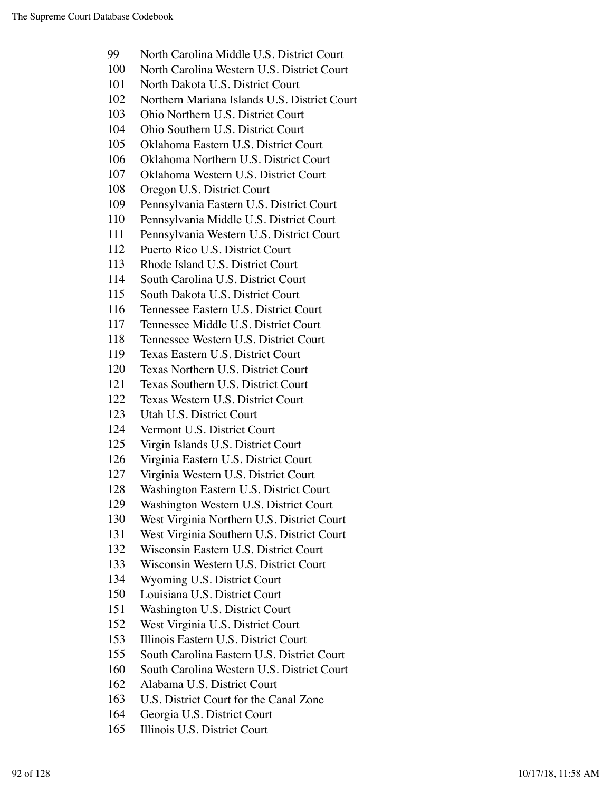- North Carolina Middle U.S. District Court
- North Carolina Western U.S. District Court
- North Dakota U.S. District Court
- Northern Mariana Islands U.S. District Court
- Ohio Northern U.S. District Court
- Ohio Southern U.S. District Court
- Oklahoma Eastern U.S. District Court
- Oklahoma Northern U.S. District Court
- Oklahoma Western U.S. District Court
- Oregon U.S. District Court
- Pennsylvania Eastern U.S. District Court
- Pennsylvania Middle U.S. District Court
- Pennsylvania Western U.S. District Court
- Puerto Rico U.S. District Court
- Rhode Island U.S. District Court
- South Carolina U.S. District Court
- South Dakota U.S. District Court
- Tennessee Eastern U.S. District Court
- Tennessee Middle U.S. District Court
- Tennessee Western U.S. District Court
- Texas Eastern U.S. District Court
- Texas Northern U.S. District Court
- Texas Southern U.S. District Court
- Texas Western U.S. District Court
- Utah U.S. District Court
- Vermont U.S. District Court
- Virgin Islands U.S. District Court
- Virginia Eastern U.S. District Court
- Virginia Western U.S. District Court
- Washington Eastern U.S. District Court
- Washington Western U.S. District Court
- West Virginia Northern U.S. District Court
- West Virginia Southern U.S. District Court
- Wisconsin Eastern U.S. District Court
- Wisconsin Western U.S. District Court
- Wyoming U.S. District Court
- Louisiana U.S. District Court
- Washington U.S. District Court
- West Virginia U.S. District Court
- Illinois Eastern U.S. District Court
- South Carolina Eastern U.S. District Court
- South Carolina Western U.S. District Court
- Alabama U.S. District Court
- U.S. District Court for the Canal Zone
- Georgia U.S. District Court
- Illinois U.S. District Court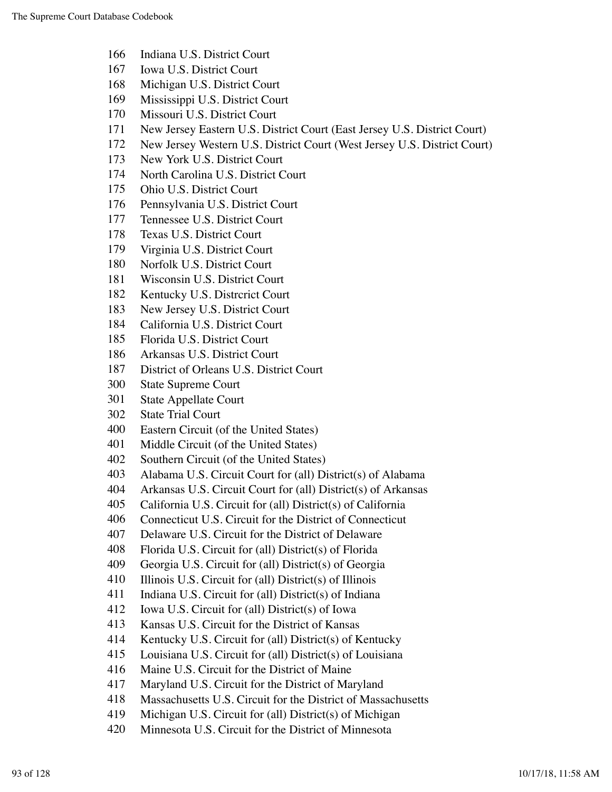- Indiana U.S. District Court
- Iowa U.S. District Court
- Michigan U.S. District Court
- Mississippi U.S. District Court
- Missouri U.S. District Court
- New Jersey Eastern U.S. District Court (East Jersey U.S. District Court)
- New Jersey Western U.S. District Court (West Jersey U.S. District Court)
- New York U.S. District Court
- North Carolina U.S. District Court
- Ohio U.S. District Court
- Pennsylvania U.S. District Court
- Tennessee U.S. District Court
- Texas U.S. District Court
- Virginia U.S. District Court
- Norfolk U.S. District Court
- Wisconsin U.S. District Court
- Kentucky U.S. Distrcrict Court
- New Jersey U.S. District Court
- California U.S. District Court
- Florida U.S. District Court
- Arkansas U.S. District Court
- District of Orleans U.S. District Court
- State Supreme Court
- State Appellate Court
- State Trial Court
- Eastern Circuit (of the United States)
- Middle Circuit (of the United States)
- Southern Circuit (of the United States)
- Alabama U.S. Circuit Court for (all) District(s) of Alabama
- Arkansas U.S. Circuit Court for (all) District(s) of Arkansas
- California U.S. Circuit for (all) District(s) of California
- Connecticut U.S. Circuit for the District of Connecticut
- Delaware U.S. Circuit for the District of Delaware
- Florida U.S. Circuit for (all) District(s) of Florida
- Georgia U.S. Circuit for (all) District(s) of Georgia
- Illinois U.S. Circuit for (all) District(s) of Illinois
- Indiana U.S. Circuit for (all) District(s) of Indiana
- Iowa U.S. Circuit for (all) District(s) of Iowa
- Kansas U.S. Circuit for the District of Kansas
- Kentucky U.S. Circuit for (all) District(s) of Kentucky
- Louisiana U.S. Circuit for (all) District(s) of Louisiana
- Maine U.S. Circuit for the District of Maine
- Maryland U.S. Circuit for the District of Maryland
- Massachusetts U.S. Circuit for the District of Massachusetts
- Michigan U.S. Circuit for (all) District(s) of Michigan
- Minnesota U.S. Circuit for the District of Minnesota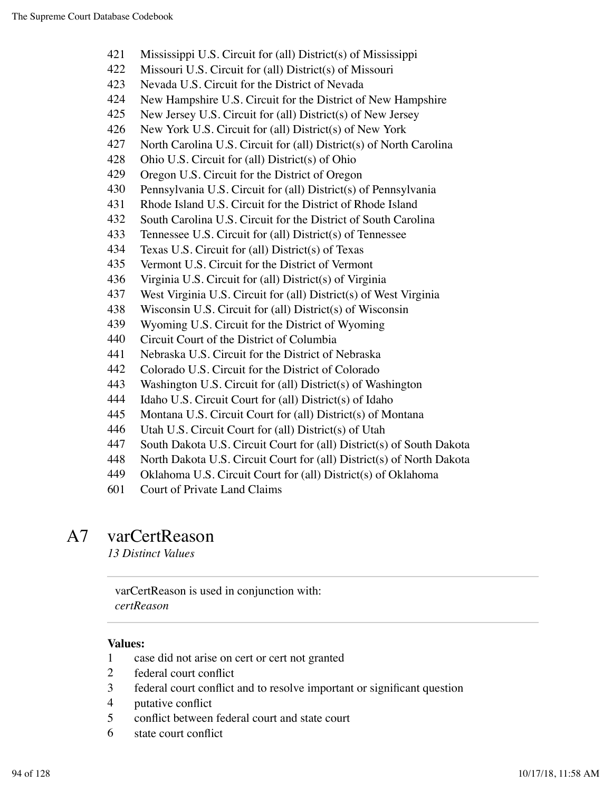- Mississippi U.S. Circuit for (all) District(s) of Mississippi
- Missouri U.S. Circuit for (all) District(s) of Missouri
- Nevada U.S. Circuit for the District of Nevada
- New Hampshire U.S. Circuit for the District of New Hampshire
- New Jersey U.S. Circuit for (all) District(s) of New Jersey
- New York U.S. Circuit for (all) District(s) of New York
- North Carolina U.S. Circuit for (all) District(s) of North Carolina
- Ohio U.S. Circuit for (all) District(s) of Ohio
- Oregon U.S. Circuit for the District of Oregon
- Pennsylvania U.S. Circuit for (all) District(s) of Pennsylvania
- Rhode Island U.S. Circuit for the District of Rhode Island
- South Carolina U.S. Circuit for the District of South Carolina
- Tennessee U.S. Circuit for (all) District(s) of Tennessee
- Texas U.S. Circuit for (all) District(s) of Texas
- Vermont U.S. Circuit for the District of Vermont
- Virginia U.S. Circuit for (all) District(s) of Virginia
- West Virginia U.S. Circuit for (all) District(s) of West Virginia
- Wisconsin U.S. Circuit for (all) District(s) of Wisconsin
- Wyoming U.S. Circuit for the District of Wyoming
- Circuit Court of the District of Columbia
- Nebraska U.S. Circuit for the District of Nebraska
- Colorado U.S. Circuit for the District of Colorado
- Washington U.S. Circuit for (all) District(s) of Washington
- Idaho U.S. Circuit Court for (all) District(s) of Idaho
- Montana U.S. Circuit Court for (all) District(s) of Montana
- Utah U.S. Circuit Court for (all) District(s) of Utah
- South Dakota U.S. Circuit Court for (all) District(s) of South Dakota
- North Dakota U.S. Circuit Court for (all) District(s) of North Dakota
- Oklahoma U.S. Circuit Court for (all) District(s) of Oklahoma
- Court of Private Land Claims

### A7 varCertReason

*13 Distinct Values*

varCertReason is used in conjunction with: *certReason*

- case did not arise on cert or cert not granted
- federal court conflict
- federal court conflict and to resolve important or significant question
- putative conflict
- conflict between federal court and state court
- state court conflict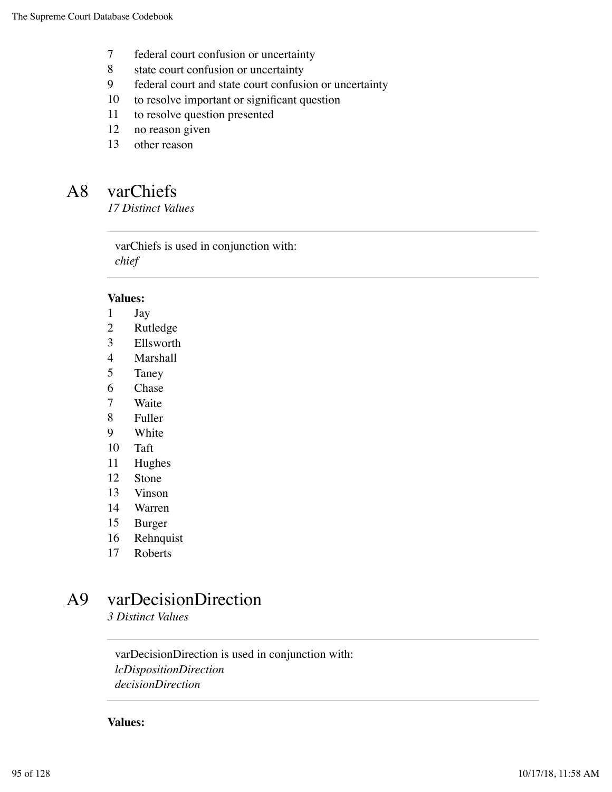- federal court confusion or uncertainty
- 8 state court confusion or uncertainty
- federal court and state court confusion or uncertainty
- to resolve important or significant question
- to resolve question presented
- no reason given
- other reason

### A8 varChiefs

*17 Distinct Values*

varChiefs is used in conjunction with: *chief*

#### **Values:**

- Jay
- Rutledge
- Ellsworth
- Marshall
- Taney
- Chase
- Waite
- Fuller
- White
- Taft
- Hughes
- Stone
- Vinson
- Warren
- Burger
- Rehnquist
- Roberts

# A9 varDecisionDirection

*3 Distinct Values*

varDecisionDirection is used in conjunction with: *lcDispositionDirection decisionDirection*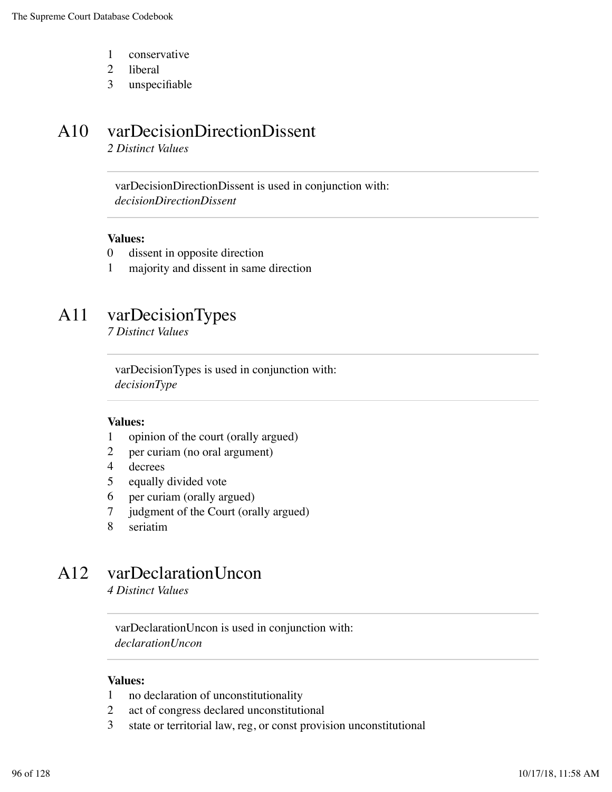- 1 conservative
- 2 liberal
- 3 unspecifiable

# A10 varDecisionDirectionDissent

*2 Distinct Values*

varDecisionDirectionDissent is used in conjunction with: *decisionDirectionDissent*

#### **Values:**

- 0 dissent in opposite direction
- 1 majority and dissent in same direction

## A11 varDecisionTypes

*7 Distinct Values*

varDecisionTypes is used in conjunction with: *decisionType*

#### **Values:**

- 1 opinion of the court (orally argued)
- 2 per curiam (no oral argument)
- 4 decrees
- 5 equally divided vote
- 6 per curiam (orally argued)
- 7 judgment of the Court (orally argued)
- 8 seriatim

## A12 varDeclarationUncon

*4 Distinct Values*

varDeclarationUncon is used in conjunction with: *declarationUncon*

- 1 no declaration of unconstitutionality
- 2 act of congress declared unconstitutional
- 3 state or territorial law, reg, or const provision unconstitutional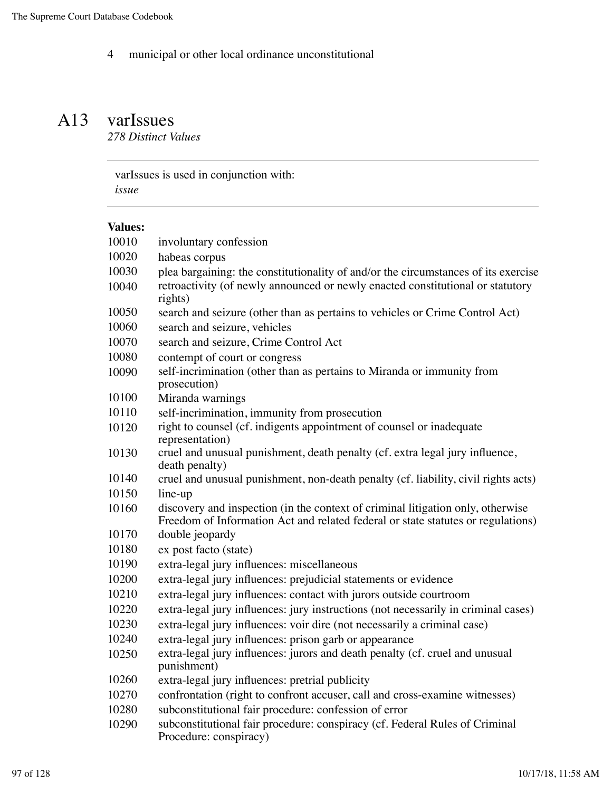municipal or other local ordinance unconstitutional

### A13 varIssues *278 Distinct Values*

varIssues is used in conjunction with: *issue*

| 10010 | involuntary confession                                                                                                                                              |
|-------|---------------------------------------------------------------------------------------------------------------------------------------------------------------------|
| 10020 | habeas corpus                                                                                                                                                       |
| 10030 | plea bargaining: the constitutionality of and/or the circumstances of its exercise                                                                                  |
| 10040 | retroactivity (of newly announced or newly enacted constitutional or statutory<br>rights)                                                                           |
| 10050 | search and seizure (other than as pertains to vehicles or Crime Control Act)                                                                                        |
| 10060 | search and seizure, vehicles                                                                                                                                        |
| 10070 | search and seizure, Crime Control Act                                                                                                                               |
| 10080 | contempt of court or congress                                                                                                                                       |
| 10090 | self-incrimination (other than as pertains to Miranda or immunity from<br>prosecution)                                                                              |
| 10100 | Miranda warnings                                                                                                                                                    |
| 10110 | self-incrimination, immunity from prosecution                                                                                                                       |
| 10120 | right to counsel (cf. indigents appointment of counsel or inadequate<br>representation)                                                                             |
| 10130 | cruel and unusual punishment, death penalty (cf. extra legal jury influence,<br>death penalty)                                                                      |
| 10140 | cruel and unusual punishment, non-death penalty (cf. liability, civil rights acts)                                                                                  |
| 10150 | line-up                                                                                                                                                             |
| 10160 | discovery and inspection (in the context of criminal litigation only, otherwise<br>Freedom of Information Act and related federal or state statutes or regulations) |
| 10170 | double jeopardy                                                                                                                                                     |
| 10180 | ex post facto (state)                                                                                                                                               |
| 10190 | extra-legal jury influences: miscellaneous                                                                                                                          |
| 10200 | extra-legal jury influences: prejudicial statements or evidence                                                                                                     |
| 10210 | extra-legal jury influences: contact with jurors outside courtroom                                                                                                  |
| 10220 | extra-legal jury influences: jury instructions (not necessarily in criminal cases)                                                                                  |
| 10230 | extra-legal jury influences: voir dire (not necessarily a criminal case)                                                                                            |
| 10240 | extra-legal jury influences: prison garb or appearance                                                                                                              |
| 10250 | extra-legal jury influences: jurors and death penalty (cf. cruel and unusual<br>punishment)                                                                         |
| 10260 | extra-legal jury influences: pretrial publicity                                                                                                                     |
| 10270 | confrontation (right to confront accuser, call and cross-examine witnesses)                                                                                         |
| 10280 | subconstitutional fair procedure: confession of error                                                                                                               |
| 10290 | subconstitutional fair procedure: conspiracy (cf. Federal Rules of Criminal<br>Procedure: conspiracy)                                                               |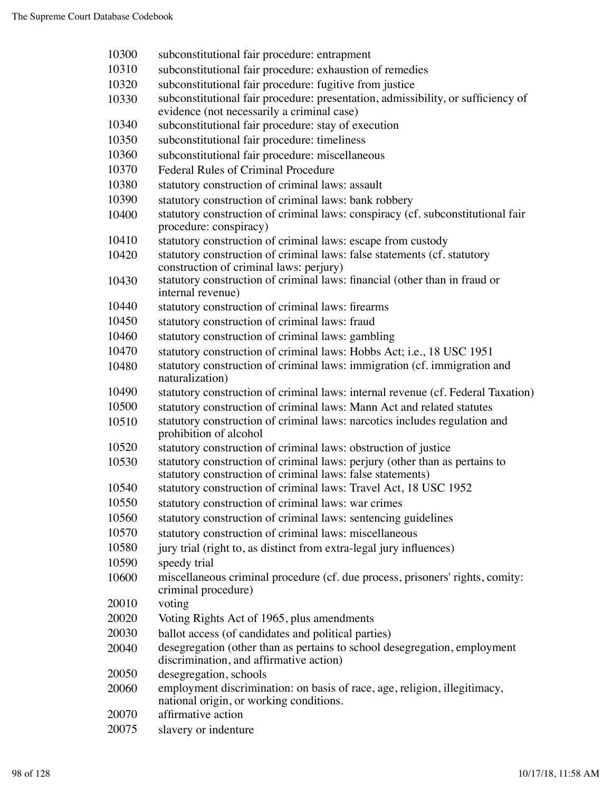| 10300 | subconstitutional fair procedure: entrapment                                                                                   |
|-------|--------------------------------------------------------------------------------------------------------------------------------|
| 10310 | subconstitutional fair procedure: exhaustion of remedies                                                                       |
| 10320 | subconstitutional fair procedure: fugitive from justice                                                                        |
| 10330 | subconstitutional fair procedure: presentation, admissibility, or sufficiency of                                               |
|       | evidence (not necessarily a criminal case)                                                                                     |
| 10340 | subconstitutional fair procedure: stay of execution                                                                            |
| 10350 | subconstitutional fair procedure: timeliness                                                                                   |
| 10360 | subconstitutional fair procedure: miscellaneous                                                                                |
| 10370 | Federal Rules of Criminal Procedure                                                                                            |
| 10380 | statutory construction of criminal laws: assault                                                                               |
| 10390 | statutory construction of criminal laws: bank robbery                                                                          |
| 10400 | statutory construction of criminal laws: conspiracy (cf. subconstitutional fair                                                |
|       | procedure: conspiracy)                                                                                                         |
| 10410 | statutory construction of criminal laws: escape from custody                                                                   |
| 10420 | statutory construction of criminal laws: false statements (cf. statutory                                                       |
| 10430 | construction of criminal laws: perjury)<br>statutory construction of criminal laws: financial (other than in fraud or          |
|       | internal revenue)                                                                                                              |
| 10440 | statutory construction of criminal laws: firearms                                                                              |
| 10450 | statutory construction of criminal laws: fraud                                                                                 |
| 10460 | statutory construction of criminal laws: gambling                                                                              |
| 10470 | statutory construction of criminal laws: Hobbs Act; i.e., 18 USC 1951                                                          |
| 10480 | statutory construction of criminal laws: immigration (cf. immigration and                                                      |
|       | naturalization)                                                                                                                |
| 10490 | statutory construction of criminal laws: internal revenue (cf. Federal Taxation)                                               |
| 10500 | statutory construction of criminal laws: Mann Act and related statutes                                                         |
| 10510 | statutory construction of criminal laws: narcotics includes regulation and                                                     |
|       | prohibition of alcohol                                                                                                         |
| 10520 | statutory construction of criminal laws: obstruction of justice                                                                |
| 10530 | statutory construction of criminal laws: perjury (other than as pertains to                                                    |
| 10540 | statutory construction of criminal laws: false statements)<br>statutory construction of criminal laws: Travel Act, 18 USC 1952 |
| 10550 |                                                                                                                                |
|       | statutory construction of criminal laws: war crimes                                                                            |
| 10560 | statutory construction of criminal laws: sentencing guidelines                                                                 |
| 10570 | statutory construction of criminal laws: miscellaneous                                                                         |
| 10580 | jury trial (right to, as distinct from extra-legal jury influences)                                                            |
| 10590 | speedy trial                                                                                                                   |
| 10600 | miscellaneous criminal procedure (cf. due process, prisoners' rights, comity:<br>criminal procedure)                           |
| 20010 | voting                                                                                                                         |
| 20020 | Voting Rights Act of 1965, plus amendments                                                                                     |
| 20030 | ballot access (of candidates and political parties)                                                                            |
| 20040 | desegregation (other than as pertains to school desegregation, employment                                                      |
|       | discrimination, and affirmative action)                                                                                        |
| 20050 | desegregation, schools                                                                                                         |
| 20060 | employment discrimination: on basis of race, age, religion, illegitimacy,<br>national origin, or working conditions.           |
| 20070 | affirmative action                                                                                                             |
| 20075 | slavery or indenture                                                                                                           |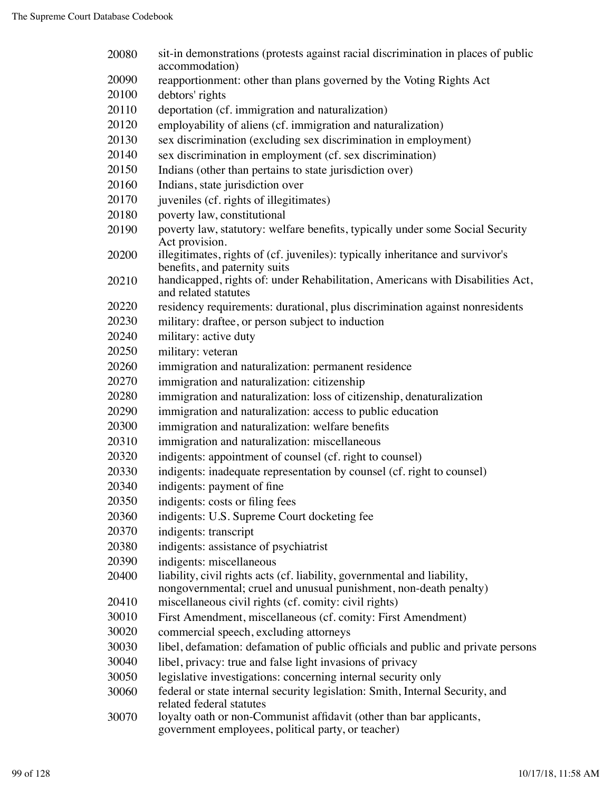| 20080 | sit-in demonstrations (protests against racial discrimination in places of public<br>accommodation)                                           |
|-------|-----------------------------------------------------------------------------------------------------------------------------------------------|
| 20090 | reapportionment: other than plans governed by the Voting Rights Act                                                                           |
| 20100 | debtors' rights                                                                                                                               |
| 20110 | deportation (cf. immigration and naturalization)                                                                                              |
| 20120 | employability of aliens (cf. immigration and naturalization)                                                                                  |
| 20130 | sex discrimination (excluding sex discrimination in employment)                                                                               |
| 20140 | sex discrimination in employment (cf. sex discrimination)                                                                                     |
| 20150 | Indians (other than pertains to state jurisdiction over)                                                                                      |
| 20160 | Indians, state jurisdiction over                                                                                                              |
| 20170 | juveniles (cf. rights of illegitimates)                                                                                                       |
| 20180 | poverty law, constitutional                                                                                                                   |
| 20190 | poverty law, statutory: welfare benefits, typically under some Social Security                                                                |
|       | Act provision.                                                                                                                                |
| 20200 | illegitimates, rights of (cf. juveniles): typically inheritance and survivor's<br>benefits, and paternity suits                               |
| 20210 | handicapped, rights of: under Rehabilitation, Americans with Disabilities Act,<br>and related statutes                                        |
| 20220 | residency requirements: durational, plus discrimination against nonresidents                                                                  |
| 20230 | military: draftee, or person subject to induction                                                                                             |
| 20240 | military: active duty                                                                                                                         |
| 20250 | military: veteran                                                                                                                             |
| 20260 | immigration and naturalization: permanent residence                                                                                           |
| 20270 | immigration and naturalization: citizenship                                                                                                   |
| 20280 | immigration and naturalization: loss of citizenship, denaturalization                                                                         |
| 20290 | immigration and naturalization: access to public education                                                                                    |
| 20300 | immigration and naturalization: welfare benefits                                                                                              |
| 20310 | immigration and naturalization: miscellaneous                                                                                                 |
| 20320 | indigents: appointment of counsel (cf. right to counsel)                                                                                      |
| 20330 | indigents: inadequate representation by counsel (cf. right to counsel)                                                                        |
| 20340 | indigents: payment of fine                                                                                                                    |
| 20350 | indigents: costs or filing fees                                                                                                               |
| 20360 | indigents: U.S. Supreme Court docketing fee                                                                                                   |
| 20370 | indigents: transcript                                                                                                                         |
| 20380 | indigents: assistance of psychiatrist                                                                                                         |
| 20390 | indigents: miscellaneous                                                                                                                      |
| 20400 | liability, civil rights acts (cf. liability, governmental and liability,<br>nongovernmental; cruel and unusual punishment, non-death penalty) |
| 20410 | miscellaneous civil rights (cf. comity: civil rights)                                                                                         |
| 30010 | First Amendment, miscellaneous (cf. comity: First Amendment)                                                                                  |
| 30020 | commercial speech, excluding attorneys                                                                                                        |
| 30030 | libel, defamation: defamation of public officials and public and private persons                                                              |
| 30040 | libel, privacy: true and false light invasions of privacy                                                                                     |
| 30050 | legislative investigations: concerning internal security only                                                                                 |
| 30060 | federal or state internal security legislation: Smith, Internal Security, and<br>related federal statutes                                     |
| 30070 | loyalty oath or non-Communist affidavit (other than bar applicants,<br>government employees, political party, or teacher)                     |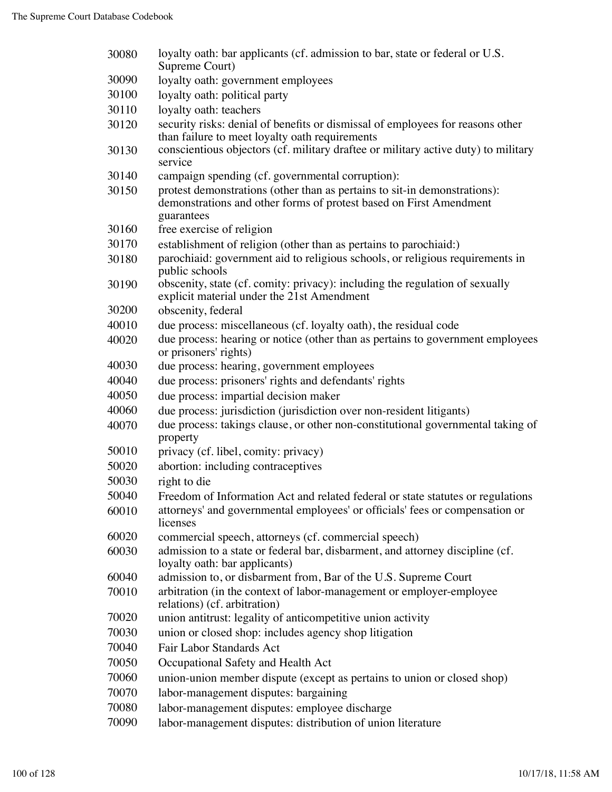| 30080 | loyalty oath: bar applicants (cf. admission to bar, state or federal or U.S.<br>Supreme Court)                                                                |
|-------|---------------------------------------------------------------------------------------------------------------------------------------------------------------|
| 30090 | loyalty oath: government employees                                                                                                                            |
| 30100 | loyalty oath: political party                                                                                                                                 |
| 30110 | loyalty oath: teachers                                                                                                                                        |
| 30120 | security risks: denial of benefits or dismissal of employees for reasons other<br>than failure to meet loyalty oath requirements                              |
| 30130 | conscientious objectors (cf. military draftee or military active duty) to military<br>service                                                                 |
| 30140 | campaign spending (cf. governmental corruption):                                                                                                              |
| 30150 | protest demonstrations (other than as pertains to sit-in demonstrations):<br>demonstrations and other forms of protest based on First Amendment<br>guarantees |
| 30160 | free exercise of religion                                                                                                                                     |
| 30170 | establishment of religion (other than as pertains to parochiaid:)                                                                                             |
| 30180 | parochiaid: government aid to religious schools, or religious requirements in<br>public schools                                                               |
| 30190 | obscenity, state (cf. comity: privacy): including the regulation of sexually<br>explicit material under the 21st Amendment                                    |
| 30200 | obscenity, federal                                                                                                                                            |
| 40010 | due process: miscellaneous (cf. loyalty oath), the residual code                                                                                              |
| 40020 | due process: hearing or notice (other than as pertains to government employees<br>or prisoners' rights)                                                       |
| 40030 | due process: hearing, government employees                                                                                                                    |
| 40040 | due process: prisoners' rights and defendants' rights                                                                                                         |
| 40050 | due process: impartial decision maker                                                                                                                         |
| 40060 | due process: jurisdiction (jurisdiction over non-resident litigants)                                                                                          |
| 40070 | due process: takings clause, or other non-constitutional governmental taking of<br>property                                                                   |
| 50010 | privacy (cf. libel, comity: privacy)                                                                                                                          |
| 50020 | abortion: including contraceptives                                                                                                                            |
| 50030 | right to die                                                                                                                                                  |
| 50040 | Freedom of Information Act and related federal or state statutes or regulations                                                                               |
| 60010 | attorneys' and governmental employees' or officials' fees or compensation or<br>licenses                                                                      |
| 60020 | commercial speech, attorneys (cf. commercial speech)                                                                                                          |
| 60030 | admission to a state or federal bar, disbarment, and attorney discipline (cf.<br>loyalty oath: bar applicants)                                                |
| 60040 | admission to, or disbarment from, Bar of the U.S. Supreme Court                                                                                               |
| 70010 | arbitration (in the context of labor-management or employer-employee<br>relations) (cf. arbitration)                                                          |
| 70020 | union antitrust: legality of anticompetitive union activity                                                                                                   |
| 70030 | union or closed shop: includes agency shop litigation                                                                                                         |
| 70040 | Fair Labor Standards Act                                                                                                                                      |
| 70050 | Occupational Safety and Health Act                                                                                                                            |
| 70060 | union-union member dispute (except as pertains to union or closed shop)                                                                                       |
| 70070 | labor-management disputes: bargaining                                                                                                                         |
| 70080 | labor-management disputes: employee discharge                                                                                                                 |
| 70090 | labor-management disputes: distribution of union literature                                                                                                   |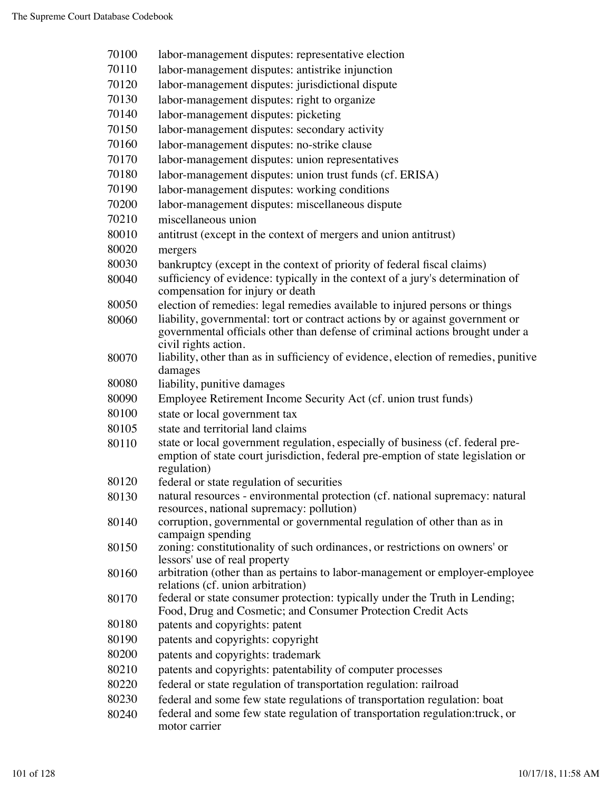| 70100 | labor-management disputes: representative election                                                                                                                                     |  |
|-------|----------------------------------------------------------------------------------------------------------------------------------------------------------------------------------------|--|
| 70110 | labor-management disputes: antistrike injunction                                                                                                                                       |  |
| 70120 | labor-management disputes: jurisdictional dispute                                                                                                                                      |  |
| 70130 | labor-management disputes: right to organize                                                                                                                                           |  |
| 70140 | labor-management disputes: picketing                                                                                                                                                   |  |
| 70150 | labor-management disputes: secondary activity                                                                                                                                          |  |
| 70160 | labor-management disputes: no-strike clause                                                                                                                                            |  |
| 70170 | labor-management disputes: union representatives                                                                                                                                       |  |
| 70180 | labor-management disputes: union trust funds (cf. ERISA)                                                                                                                               |  |
| 70190 | labor-management disputes: working conditions                                                                                                                                          |  |
| 70200 | labor-management disputes: miscellaneous dispute                                                                                                                                       |  |
| 70210 | miscellaneous union                                                                                                                                                                    |  |
| 80010 | antitrust (except in the context of mergers and union antitrust)                                                                                                                       |  |
| 80020 | mergers                                                                                                                                                                                |  |
| 80030 | bankruptcy (except in the context of priority of federal fiscal claims)                                                                                                                |  |
| 80040 | sufficiency of evidence: typically in the context of a jury's determination of                                                                                                         |  |
|       | compensation for injury or death                                                                                                                                                       |  |
| 80050 | election of remedies: legal remedies available to injured persons or things                                                                                                            |  |
| 80060 | liability, governmental: tort or contract actions by or against government or<br>governmental officials other than defense of criminal actions brought under a<br>civil rights action. |  |
| 80070 | liability, other than as in sufficiency of evidence, election of remedies, punitive<br>damages                                                                                         |  |
| 80080 | liability, punitive damages                                                                                                                                                            |  |
| 80090 | Employee Retirement Income Security Act (cf. union trust funds)                                                                                                                        |  |
| 80100 | state or local government tax                                                                                                                                                          |  |
| 80105 | state and territorial land claims                                                                                                                                                      |  |
| 80110 | state or local government regulation, especially of business (cf. federal pre-                                                                                                         |  |
|       | emption of state court jurisdiction, federal pre-emption of state legislation or<br>regulation)                                                                                        |  |
| 80120 | federal or state regulation of securities                                                                                                                                              |  |
| 80130 | natural resources - environmental protection (cf. national supremacy: natural<br>resources, national supremacy: pollution)                                                             |  |
| 80140 | corruption, governmental or governmental regulation of other than as in<br>campaign spending                                                                                           |  |
| 80150 | zoning: constitutionality of such ordinances, or restrictions on owners' or                                                                                                            |  |
| 80160 | lessors' use of real property<br>arbitration (other than as pertains to labor-management or employer-employee                                                                          |  |
|       | relations (cf. union arbitration)                                                                                                                                                      |  |
| 80170 | federal or state consumer protection: typically under the Truth in Lending;                                                                                                            |  |
|       | Food, Drug and Cosmetic; and Consumer Protection Credit Acts                                                                                                                           |  |
| 80180 | patents and copyrights: patent                                                                                                                                                         |  |
| 80190 | patents and copyrights: copyright                                                                                                                                                      |  |
| 80200 | patents and copyrights: trademark                                                                                                                                                      |  |
| 80210 | patents and copyrights: patentability of computer processes                                                                                                                            |  |
| 80220 | federal or state regulation of transportation regulation: railroad                                                                                                                     |  |
| 80230 | federal and some few state regulations of transportation regulation: boat                                                                                                              |  |
| 80240 | federal and some few state regulation of transportation regulation: truck, or<br>motor carrier                                                                                         |  |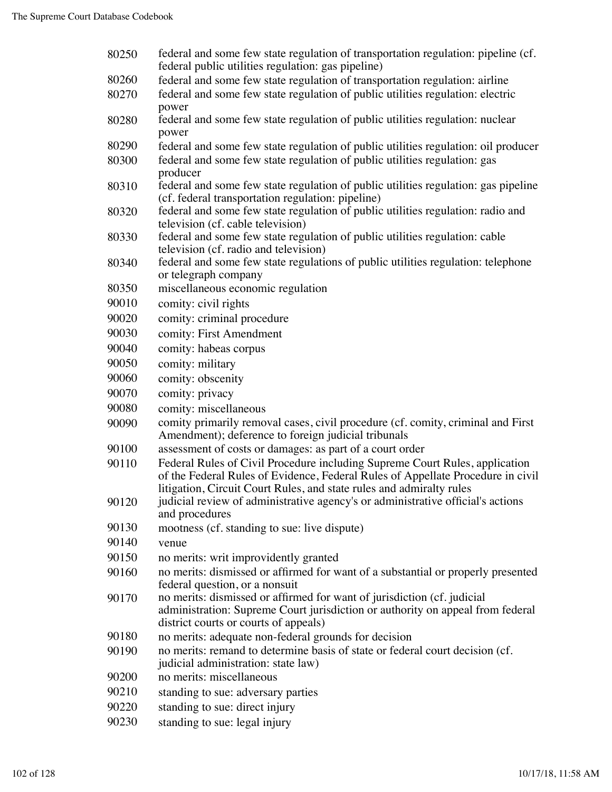| 80250 | federal and some few state regulation of transportation regulation: pipeline (cf.<br>federal public utilities regulation: gas pipeline)                                                                                                |  |
|-------|----------------------------------------------------------------------------------------------------------------------------------------------------------------------------------------------------------------------------------------|--|
| 80260 | federal and some few state regulation of transportation regulation: airline                                                                                                                                                            |  |
| 80270 | federal and some few state regulation of public utilities regulation: electric<br>power                                                                                                                                                |  |
| 80280 | federal and some few state regulation of public utilities regulation: nuclear<br>power                                                                                                                                                 |  |
| 80290 | federal and some few state regulation of public utilities regulation: oil producer                                                                                                                                                     |  |
| 80300 | federal and some few state regulation of public utilities regulation: gas<br>producer                                                                                                                                                  |  |
| 80310 | federal and some few state regulation of public utilities regulation: gas pipeline<br>(cf. federal transportation regulation: pipeline)                                                                                                |  |
| 80320 | federal and some few state regulation of public utilities regulation: radio and                                                                                                                                                        |  |
|       | television (cf. cable television)                                                                                                                                                                                                      |  |
| 80330 | federal and some few state regulation of public utilities regulation: cable<br>television (cf. radio and television)                                                                                                                   |  |
| 80340 | federal and some few state regulations of public utilities regulation: telephone<br>or telegraph company                                                                                                                               |  |
| 80350 | miscellaneous economic regulation                                                                                                                                                                                                      |  |
| 90010 | comity: civil rights                                                                                                                                                                                                                   |  |
| 90020 | comity: criminal procedure                                                                                                                                                                                                             |  |
| 90030 | comity: First Amendment                                                                                                                                                                                                                |  |
| 90040 | comity: habeas corpus                                                                                                                                                                                                                  |  |
| 90050 | comity: military                                                                                                                                                                                                                       |  |
| 90060 | comity: obscenity                                                                                                                                                                                                                      |  |
| 90070 | comity: privacy                                                                                                                                                                                                                        |  |
| 90080 | comity: miscellaneous                                                                                                                                                                                                                  |  |
| 90090 | comity primarily removal cases, civil procedure (cf. comity, criminal and First                                                                                                                                                        |  |
|       | Amendment); deference to foreign judicial tribunals                                                                                                                                                                                    |  |
| 90100 | assessment of costs or damages: as part of a court order                                                                                                                                                                               |  |
| 90110 | Federal Rules of Civil Procedure including Supreme Court Rules, application<br>of the Federal Rules of Evidence, Federal Rules of Appellate Procedure in civil<br>litigation, Circuit Court Rules, and state rules and admiralty rules |  |
| 90120 | judicial review of administrative agency's or administrative official's actions<br>and procedures                                                                                                                                      |  |
| 90130 | mootness (cf. standing to sue: live dispute)                                                                                                                                                                                           |  |
| 90140 | venue                                                                                                                                                                                                                                  |  |
| 90150 | no merits: writ improvidently granted                                                                                                                                                                                                  |  |
| 90160 | no merits: dismissed or affirmed for want of a substantial or properly presented<br>federal question, or a nonsuit                                                                                                                     |  |
| 90170 | no merits: dismissed or affirmed for want of jurisdiction (cf. judicial<br>administration: Supreme Court jurisdiction or authority on appeal from federal                                                                              |  |
| 90180 | district courts or courts of appeals)                                                                                                                                                                                                  |  |
| 90190 | no merits: adequate non-federal grounds for decision<br>no merits: remand to determine basis of state or federal court decision (cf.                                                                                                   |  |
| 90200 | judicial administration: state law)<br>no merits: miscellaneous                                                                                                                                                                        |  |
| 90210 | standing to sue: adversary parties                                                                                                                                                                                                     |  |
| 90220 | standing to sue: direct injury                                                                                                                                                                                                         |  |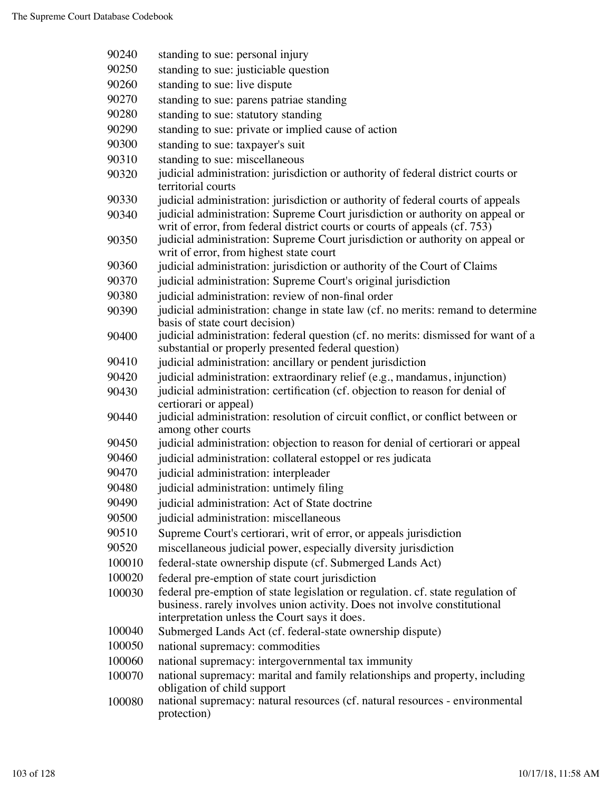| 90240  | standing to sue: personal injury                                                                                                                            |  |
|--------|-------------------------------------------------------------------------------------------------------------------------------------------------------------|--|
| 90250  | standing to sue: justiciable question                                                                                                                       |  |
| 90260  | standing to sue: live dispute                                                                                                                               |  |
| 90270  | standing to sue: parens patriae standing                                                                                                                    |  |
| 90280  | standing to sue: statutory standing                                                                                                                         |  |
| 90290  | standing to sue: private or implied cause of action                                                                                                         |  |
| 90300  | standing to sue: taxpayer's suit                                                                                                                            |  |
| 90310  | standing to sue: miscellaneous                                                                                                                              |  |
| 90320  | judicial administration: jurisdiction or authority of federal district courts or<br>territorial courts                                                      |  |
| 90330  | judicial administration: jurisdiction or authority of federal courts of appeals                                                                             |  |
| 90340  | judicial administration: Supreme Court jurisdiction or authority on appeal or<br>writ of error, from federal district courts or courts of appeals (cf. 753) |  |
| 90350  | judicial administration: Supreme Court jurisdiction or authority on appeal or<br>writ of error, from highest state court                                    |  |
| 90360  | judicial administration: jurisdiction or authority of the Court of Claims                                                                                   |  |
| 90370  | judicial administration: Supreme Court's original jurisdiction                                                                                              |  |
| 90380  | judicial administration: review of non-final order                                                                                                          |  |
| 90390  | judicial administration: change in state law (cf. no merits: remand to determine<br>basis of state court decision)                                          |  |
| 90400  | judicial administration: federal question (cf. no merits: dismissed for want of a<br>substantial or properly presented federal question)                    |  |
| 90410  | judicial administration: ancillary or pendent jurisdiction                                                                                                  |  |
| 90420  | judicial administration: extraordinary relief (e.g., mandamus, injunction)                                                                                  |  |
| 90430  | judicial administration: certification (cf. objection to reason for denial of<br>certiorari or appeal)                                                      |  |
| 90440  | judicial administration: resolution of circuit conflict, or conflict between or<br>among other courts                                                       |  |
| 90450  | judicial administration: objection to reason for denial of certiorari or appeal                                                                             |  |
| 90460  | judicial administration: collateral estoppel or res judicata                                                                                                |  |
| 90470  | judicial administration: interpleader                                                                                                                       |  |
| 90480  | judicial administration: untimely filing                                                                                                                    |  |
| 90490  | judicial administration: Act of State doctrine                                                                                                              |  |
| 90500  | judicial administration: miscellaneous                                                                                                                      |  |
| 90510  | Supreme Court's certiorari, writ of error, or appeals jurisdiction                                                                                          |  |
| 90520  | miscellaneous judicial power, especially diversity jurisdiction                                                                                             |  |
| 100010 | federal-state ownership dispute (cf. Submerged Lands Act)                                                                                                   |  |
| 100020 | federal pre-emption of state court jurisdiction                                                                                                             |  |
| 100030 | federal pre-emption of state legislation or regulation. cf. state regulation of                                                                             |  |
|        | business. rarely involves union activity. Does not involve constitutional<br>interpretation unless the Court says it does.                                  |  |
| 100040 | Submerged Lands Act (cf. federal-state ownership dispute)                                                                                                   |  |
| 100050 | national supremacy: commodities                                                                                                                             |  |
| 100060 | national supremacy: intergovernmental tax immunity                                                                                                          |  |
| 100070 | national supremacy: marital and family relationships and property, including<br>obligation of child support                                                 |  |
| 100080 | national supremacy: natural resources (cf. natural resources - environmental<br>protection)                                                                 |  |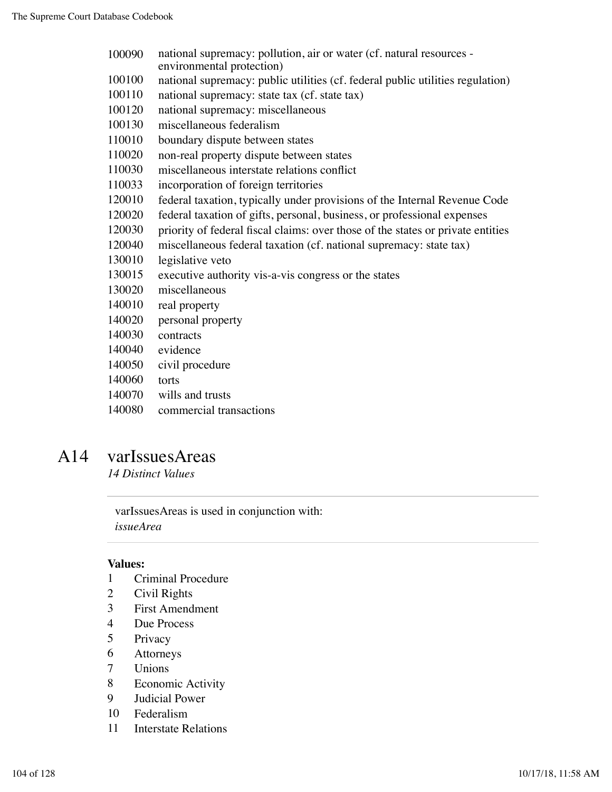- national supremacy: pollution, air or water (cf. natural resources environmental protection)
- national supremacy: public utilities (cf. federal public utilities regulation)
- national supremacy: state tax (cf. state tax)
- national supremacy: miscellaneous
- miscellaneous federalism
- boundary dispute between states
- non-real property dispute between states
- miscellaneous interstate relations conflict
- incorporation of foreign territories
- federal taxation, typically under provisions of the Internal Revenue Code
- federal taxation of gifts, personal, business, or professional expenses
- priority of federal fiscal claims: over those of the states or private entities
- miscellaneous federal taxation (cf. national supremacy: state tax)
- legislative veto
- executive authority vis-a-vis congress or the states
- miscellaneous
- real property
- personal property
- contracts
- evidence
- civil procedure
- torts
- wills and trusts
- commercial transactions

### A14 varIssuesAreas

*14 Distinct Values*

varIssuesAreas is used in conjunction with: *issueArea*

- Criminal Procedure
- Civil Rights
- First Amendment
- Due Process
- Privacy
- Attorneys
- Unions
- Economic Activity
- Judicial Power
- Federalism
- Interstate Relations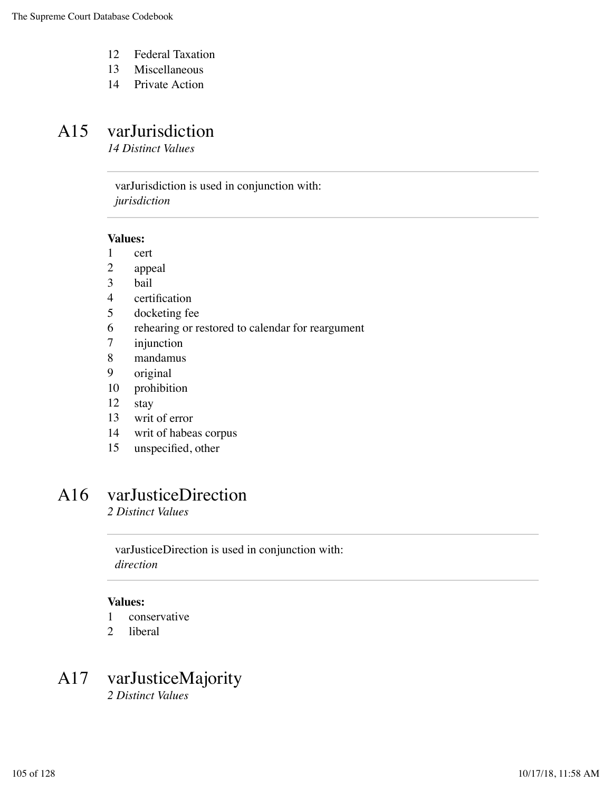- 12 Federal Taxation
- 13 Miscellaneous
- 14 Private Action

### A15 varJurisdiction

*14 Distinct Values*

varJurisdiction is used in conjunction with: *jurisdiction*

#### **Values:**

- 1 cert
- 2 appeal
- 3 bail
- 4 certification
- 5 docketing fee
- 6 rehearing or restored to calendar for reargument
- 7 injunction
- 8 mandamus
- 9 original
- 10 prohibition
- 12 stay
- 13 writ of error
- 14 writ of habeas corpus
- 15 unspecified, other

## A16 varJusticeDirection

*2 Distinct Values*

varJusticeDirection is used in conjunction with: *direction*

### **Values:**

- 1 conservative
- 2 liberal

# A17 varJusticeMajority

*2 Distinct Values*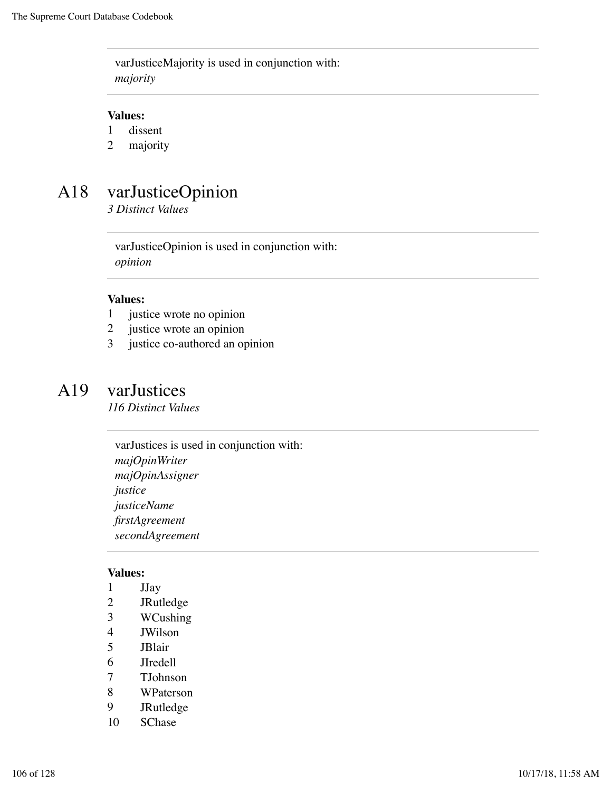varJusticeMajority is used in conjunction with: *majority*

### **Values:**

- 1 dissent
- 2 majority

# A18 varJusticeOpinion

*3 Distinct Values*

varJusticeOpinion is used in conjunction with: *opinion*

#### **Values:**

- 1 justice wrote no opinion
- 2 justice wrote an opinion
- 3 justice co-authored an opinion

### A19 varJustices

*116 Distinct Values*

varJustices is used in conjunction with: *majOpinWriter majOpinAssigner justice justiceName firstAgreement secondAgreement*

- 1 JJay
- 2 JRutledge
- 3 WCushing
- 4 JWilson
- 5 JBlair
- 6 JIredell
- 7 TJohnson
- 8 WPaterson
- 9 JRutledge
- 10 SChase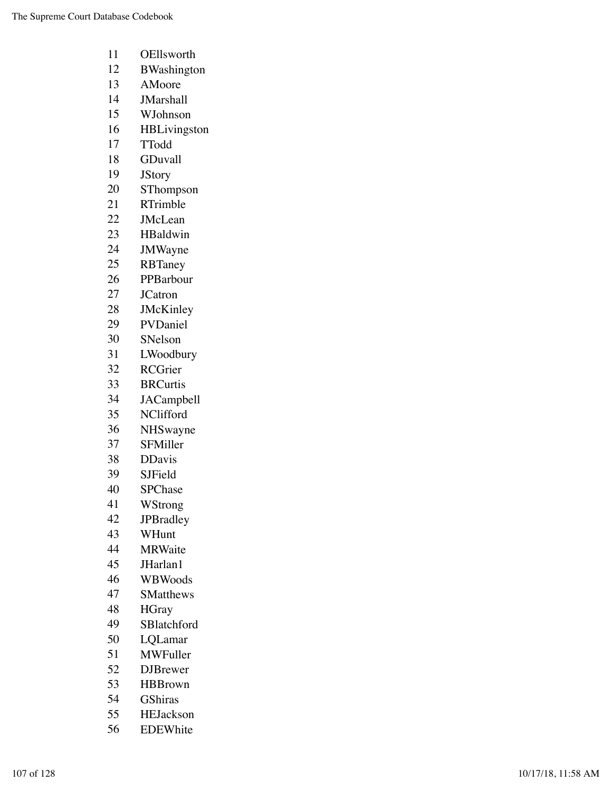- OEllsworth
- BWashington
- AMoore
- JMarshall
- WJohnson
- HBLivingston
- TTodd
- GDuvall
- JStory
- SThompson
- RTrimble
- JMcLean
- HBaldwin
- JMWayne
- RBTaney
- PPBarbour
- JCatron
- JMcKinley
- PVDaniel
- SNelson
- LWoodbury
- RCGrier
- BRCurtis
- JACampbell
- NClifford
- NHSwayne
- SFMiller
- DDavis
- SJField
- SPChase
- WStrong
- JPBradley
- WHunt
- MRWaite
- JHarlan1
- WBWoods
- SMatthews
- HGray
- SBlatchford
- LQLamar
- MWFuller
- DJBrewer
- HBBrown
- GShiras
- HEJackson
- EDEWhite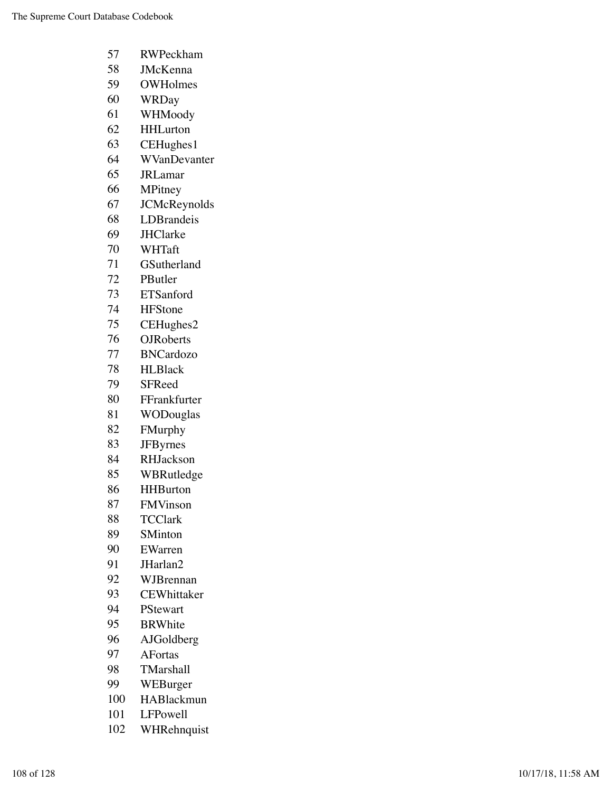| 57  | RWPeckham           |
|-----|---------------------|
| 58  | <b>JMcKenna</b>     |
| 59  | <b>OWHolmes</b>     |
| 60  | <b>WRDay</b>        |
| 61  | WHMoody             |
| 62  | <b>HHLurton</b>     |
| 63  | CEHughes1           |
| 64  | WVanDevanter        |
| 65  | <b>JRLamar</b>      |
| 66  | MPitney             |
| 67  | <b>JCMcReynolds</b> |
| 68  | LDBrandeis          |
| 69  | <b>JHClarke</b>     |
| 70  | WHTaft              |
| 71  | GSutherland         |
| 72  | PButler             |
| 73  | <b>ETSanford</b>    |
| 74  | <b>HFStone</b>      |
| 75  | CEHughes2           |
| 76  | <b>OJRoberts</b>    |
| 77  | <b>BNCardozo</b>    |
| 78  | <b>HLBlack</b>      |
| 79  | SFReed              |
| 80  | FFrankfurter        |
| 81  | WODouglas           |
| 82  | FMurphy             |
| 83  | <b>JFB</b> yrnes    |
| 84  | RHJackson           |
| 85  | WBRutledge          |
| 86  | <b>HHBurton</b>     |
| 87  | <b>FMVinson</b>     |
| 88  | <b>TCClark</b>      |
| 89  | <b>SMinton</b>      |
| 90  | EWarren             |
| 91  | JHarlan2            |
| 92  | WJBrennan           |
| 93  | <b>CEWhittaker</b>  |
| 94  | PStewart            |
| 95  | <b>BRWhite</b>      |
| 96  | AJGoldberg          |
| 97  | <b>AFortas</b>      |
| 98  | TMarshall           |
| 99  | WEBurger            |
| 100 | HABlackmun          |
| 101 | LFPowell            |

WHRehnquist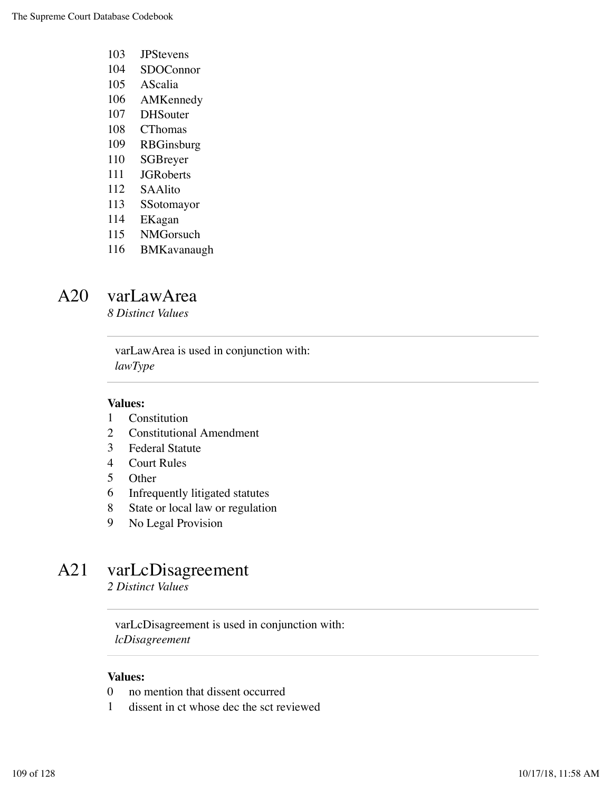- JPStevens
- SDOConnor
- AScalia
- AMKennedy
- DHSouter
- CThomas
- RBGinsburg
- SGBreyer
- JGRoberts
- SAAlito
- SSotomayor
- EKagan
- NMGorsuch
- BMKavanaugh

### A20 varLawArea

*8 Distinct Values*

varLawArea is used in conjunction with: *lawType*

#### **Values:**

- Constitution
- Constitutional Amendment
- Federal Statute
- Court Rules
- Other
- Infrequently litigated statutes
- State or local law or regulation
- No Legal Provision

# A21 varLcDisagreement

*2 Distinct Values*

varLcDisagreement is used in conjunction with: *lcDisagreement*

- no mention that dissent occurred
- dissent in ct whose dec the sct reviewed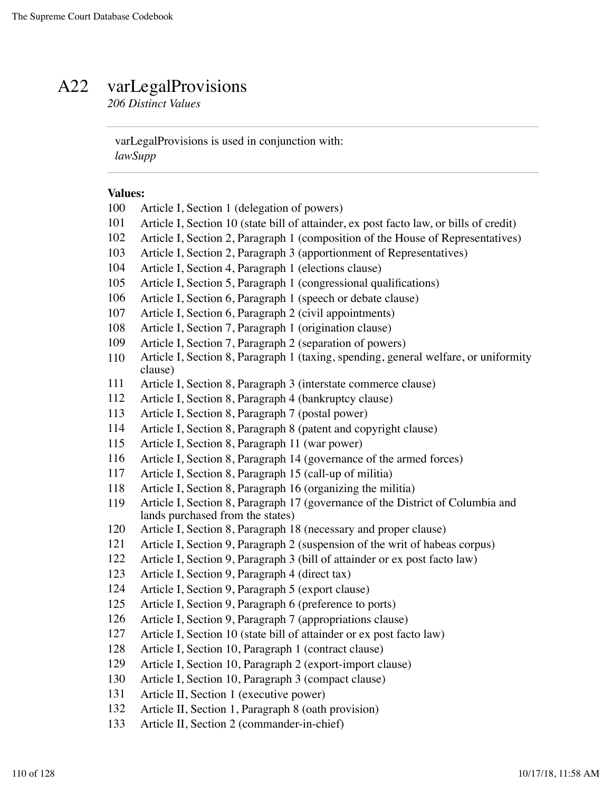## A22 varLegalProvisions

*206 Distinct Values*

varLegalProvisions is used in conjunction with: *lawSupp*

- Article I, Section 1 (delegation of powers)
- Article I, Section 10 (state bill of attainder, ex post facto law, or bills of credit)
- Article I, Section 2, Paragraph 1 (composition of the House of Representatives)
- Article I, Section 2, Paragraph 3 (apportionment of Representatives)
- Article I, Section 4, Paragraph 1 (elections clause)
- Article I, Section 5, Paragraph 1 (congressional qualifications)
- Article I, Section 6, Paragraph 1 (speech or debate clause)
- Article I, Section 6, Paragraph 2 (civil appointments)
- Article I, Section 7, Paragraph 1 (origination clause)
- Article I, Section 7, Paragraph 2 (separation of powers)
- Article I, Section 8, Paragraph 1 (taxing, spending, general welfare, or uniformity clause)
- Article I, Section 8, Paragraph 3 (interstate commerce clause)
- Article I, Section 8, Paragraph 4 (bankruptcy clause)
- Article I, Section 8, Paragraph 7 (postal power)
- Article I, Section 8, Paragraph 8 (patent and copyright clause)
- Article I, Section 8, Paragraph 11 (war power)
- Article I, Section 8, Paragraph 14 (governance of the armed forces)
- Article I, Section 8, Paragraph 15 (call-up of militia)
- Article I, Section 8, Paragraph 16 (organizing the militia)
- Article I, Section 8, Paragraph 17 (governance of the District of Columbia and lands purchased from the states)
- Article I, Section 8, Paragraph 18 (necessary and proper clause)
- Article I, Section 9, Paragraph 2 (suspension of the writ of habeas corpus)
- Article I, Section 9, Paragraph 3 (bill of attainder or ex post facto law)
- Article I, Section 9, Paragraph 4 (direct tax)
- Article I, Section 9, Paragraph 5 (export clause)
- Article I, Section 9, Paragraph 6 (preference to ports)
- Article I, Section 9, Paragraph 7 (appropriations clause)
- Article I, Section 10 (state bill of attainder or ex post facto law)
- Article I, Section 10, Paragraph 1 (contract clause)
- Article I, Section 10, Paragraph 2 (export-import clause)
- Article I, Section 10, Paragraph 3 (compact clause)
- Article II, Section 1 (executive power)
- Article II, Section 1, Paragraph 8 (oath provision)
- Article II, Section 2 (commander-in-chief)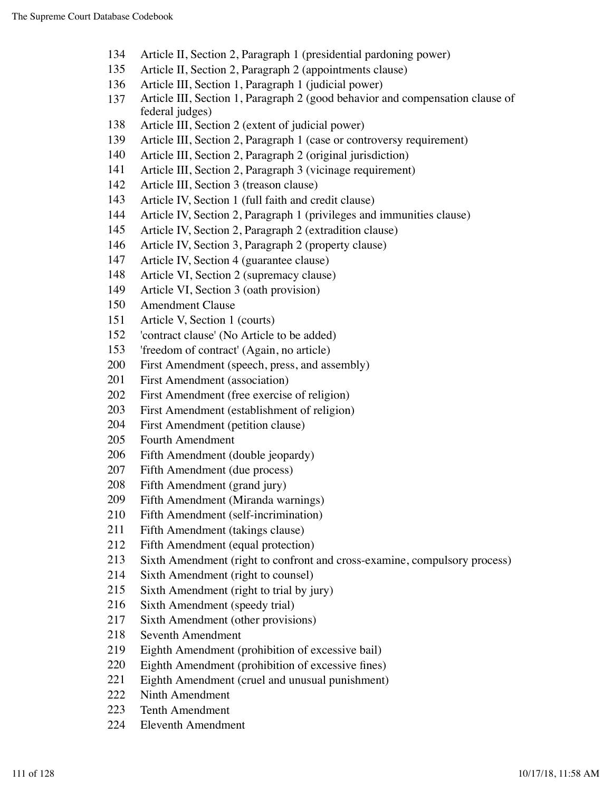- Article II, Section 2, Paragraph 1 (presidential pardoning power)
- Article II, Section 2, Paragraph 2 (appointments clause)
- Article III, Section 1, Paragraph 1 (judicial power)
- Article III, Section 1, Paragraph 2 (good behavior and compensation clause of federal judges)
- Article III, Section 2 (extent of judicial power)
- Article III, Section 2, Paragraph 1 (case or controversy requirement)
- Article III, Section 2, Paragraph 2 (original jurisdiction)
- Article III, Section 2, Paragraph 3 (vicinage requirement)
- Article III, Section 3 (treason clause)
- Article IV, Section 1 (full faith and credit clause)
- Article IV, Section 2, Paragraph 1 (privileges and immunities clause)
- Article IV, Section 2, Paragraph 2 (extradition clause)
- Article IV, Section 3, Paragraph 2 (property clause)
- Article IV, Section 4 (guarantee clause)
- Article VI, Section 2 (supremacy clause)
- Article VI, Section 3 (oath provision)
- Amendment Clause
- Article V, Section 1 (courts)
- 'contract clause' (No Article to be added)
- 'freedom of contract' (Again, no article)
- First Amendment (speech, press, and assembly)
- First Amendment (association)
- First Amendment (free exercise of religion)
- First Amendment (establishment of religion)
- First Amendment (petition clause)
- Fourth Amendment
- Fifth Amendment (double jeopardy)
- Fifth Amendment (due process)
- Fifth Amendment (grand jury)
- Fifth Amendment (Miranda warnings)
- Fifth Amendment (self-incrimination)
- Fifth Amendment (takings clause)
- Fifth Amendment (equal protection)
- Sixth Amendment (right to confront and cross-examine, compulsory process)
- Sixth Amendment (right to counsel)
- Sixth Amendment (right to trial by jury)
- Sixth Amendment (speedy trial)
- Sixth Amendment (other provisions)
- Seventh Amendment
- Eighth Amendment (prohibition of excessive bail)
- Eighth Amendment (prohibition of excessive fines)
- Eighth Amendment (cruel and unusual punishment)
- Ninth Amendment
- Tenth Amendment
- Eleventh Amendment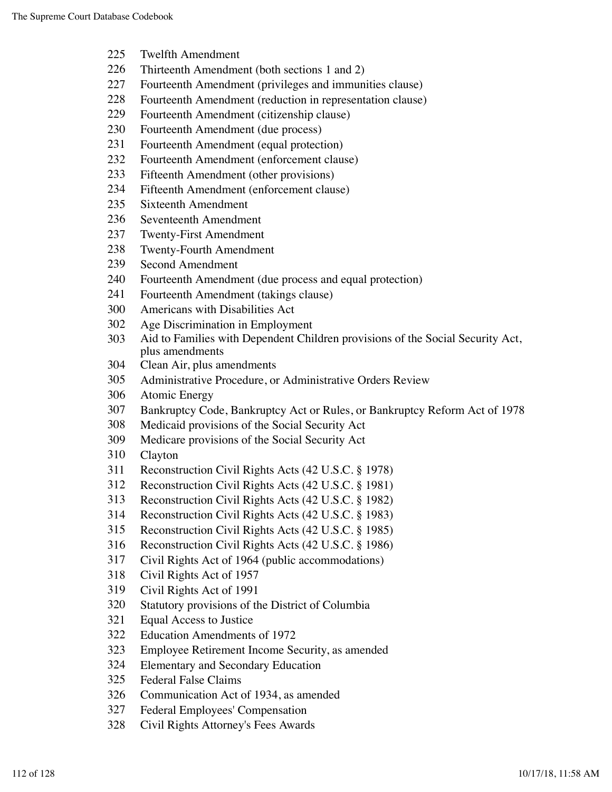- Twelfth Amendment
- Thirteenth Amendment (both sections 1 and 2)
- Fourteenth Amendment (privileges and immunities clause)
- Fourteenth Amendment (reduction in representation clause)
- Fourteenth Amendment (citizenship clause)
- Fourteenth Amendment (due process)
- Fourteenth Amendment (equal protection)
- Fourteenth Amendment (enforcement clause)
- Fifteenth Amendment (other provisions)
- Fifteenth Amendment (enforcement clause)
- Sixteenth Amendment
- Seventeenth Amendment
- Twenty-First Amendment
- Twenty-Fourth Amendment
- Second Amendment
- Fourteenth Amendment (due process and equal protection)
- Fourteenth Amendment (takings clause)
- Americans with Disabilities Act
- Age Discrimination in Employment
- Aid to Families with Dependent Children provisions of the Social Security Act, plus amendments
- Clean Air, plus amendments
- Administrative Procedure, or Administrative Orders Review
- Atomic Energy
- Bankruptcy Code, Bankruptcy Act or Rules, or Bankruptcy Reform Act of 1978
- Medicaid provisions of the Social Security Act
- Medicare provisions of the Social Security Act
- Clayton
- Reconstruction Civil Rights Acts (42 U.S.C. § 1978)
- Reconstruction Civil Rights Acts (42 U.S.C. § 1981)
- Reconstruction Civil Rights Acts (42 U.S.C. § 1982)
- Reconstruction Civil Rights Acts (42 U.S.C. § 1983)
- Reconstruction Civil Rights Acts (42 U.S.C. § 1985)
- Reconstruction Civil Rights Acts (42 U.S.C. § 1986)
- Civil Rights Act of 1964 (public accommodations)
- Civil Rights Act of 1957
- Civil Rights Act of 1991
- Statutory provisions of the District of Columbia
- Equal Access to Justice
- Education Amendments of 1972
- Employee Retirement Income Security, as amended
- Elementary and Secondary Education
- Federal False Claims
- Communication Act of 1934, as amended
- Federal Employees' Compensation
- Civil Rights Attorney's Fees Awards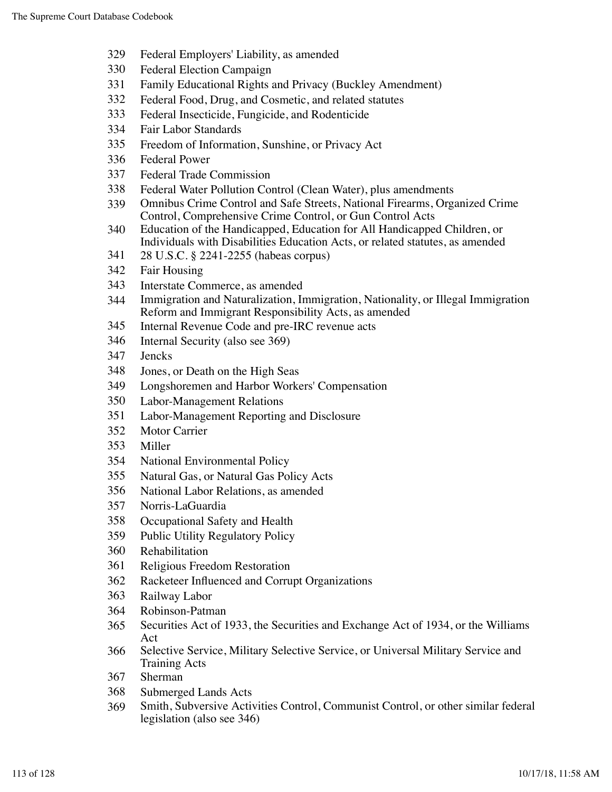- Federal Employers' Liability, as amended
- Federal Election Campaign
- Family Educational Rights and Privacy (Buckley Amendment)
- Federal Food, Drug, and Cosmetic, and related statutes
- Federal Insecticide, Fungicide, and Rodenticide
- Fair Labor Standards
- Freedom of Information, Sunshine, or Privacy Act
- Federal Power
- Federal Trade Commission
- Federal Water Pollution Control (Clean Water), plus amendments
- Omnibus Crime Control and Safe Streets, National Firearms, Organized Crime Control, Comprehensive Crime Control, or Gun Control Acts
- Education of the Handicapped, Education for All Handicapped Children, or Individuals with Disabilities Education Acts, or related statutes, as amended
- 28 U.S.C. § 2241-2255 (habeas corpus)
- Fair Housing
- Interstate Commerce, as amended
- Immigration and Naturalization, Immigration, Nationality, or Illegal Immigration Reform and Immigrant Responsibility Acts, as amended
- Internal Revenue Code and pre-IRC revenue acts
- Internal Security (also see 369)
- Jencks
- Jones, or Death on the High Seas
- Longshoremen and Harbor Workers' Compensation
- Labor-Management Relations
- Labor-Management Reporting and Disclosure
- Motor Carrier
- Miller
- National Environmental Policy
- Natural Gas, or Natural Gas Policy Acts
- National Labor Relations, as amended
- Norris-LaGuardia
- Occupational Safety and Health
- Public Utility Regulatory Policy
- Rehabilitation
- Religious Freedom Restoration
- Racketeer Influenced and Corrupt Organizations
- Railway Labor
- Robinson-Patman
- Securities Act of 1933, the Securities and Exchange Act of 1934, or the Williams Act
- Selective Service, Military Selective Service, or Universal Military Service and Training Acts
- Sherman
- Submerged Lands Acts
- Smith, Subversive Activities Control, Communist Control, or other similar federal legislation (also see 346)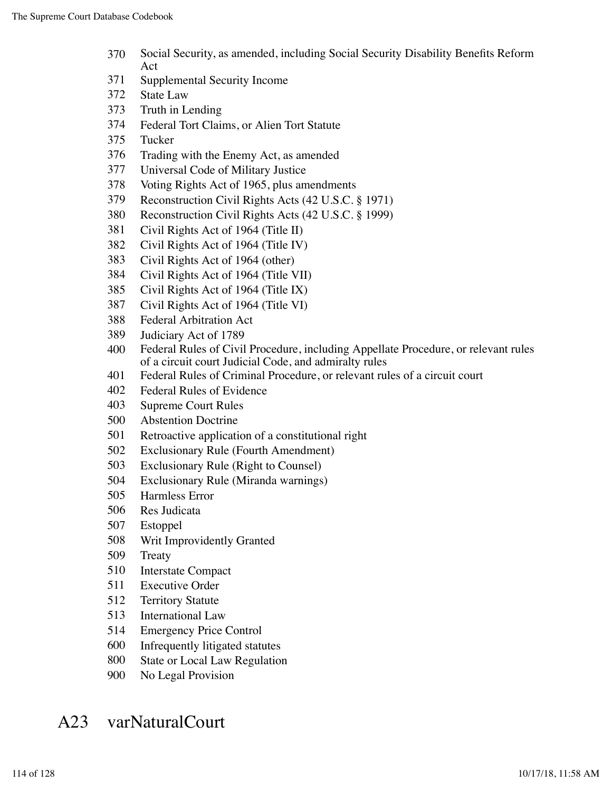- Social Security, as amended, including Social Security Disability Benefits Reform Act
- Supplemental Security Income
- State Law
- Truth in Lending
- Federal Tort Claims, or Alien Tort Statute
- Tucker
- Trading with the Enemy Act, as amended
- Universal Code of Military Justice
- Voting Rights Act of 1965, plus amendments
- Reconstruction Civil Rights Acts (42 U.S.C. § 1971)
- Reconstruction Civil Rights Acts (42 U.S.C. § 1999)
- Civil Rights Act of 1964 (Title II)
- Civil Rights Act of 1964 (Title IV)
- Civil Rights Act of 1964 (other)
- Civil Rights Act of 1964 (Title VII)
- Civil Rights Act of 1964 (Title IX)
- Civil Rights Act of 1964 (Title VI)
- Federal Arbitration Act
- Judiciary Act of 1789
- Federal Rules of Civil Procedure, including Appellate Procedure, or relevant rules of a circuit court Judicial Code, and admiralty rules
- Federal Rules of Criminal Procedure, or relevant rules of a circuit court
- Federal Rules of Evidence
- Supreme Court Rules
- Abstention Doctrine
- Retroactive application of a constitutional right
- Exclusionary Rule (Fourth Amendment)
- Exclusionary Rule (Right to Counsel)
- Exclusionary Rule (Miranda warnings)
- Harmless Error
- Res Judicata
- Estoppel
- Writ Improvidently Granted
- Treaty
- Interstate Compact
- Executive Order
- Territory Statute
- International Law
- Emergency Price Control
- Infrequently litigated statutes
- State or Local Law Regulation
- No Legal Provision

# A23 varNaturalCourt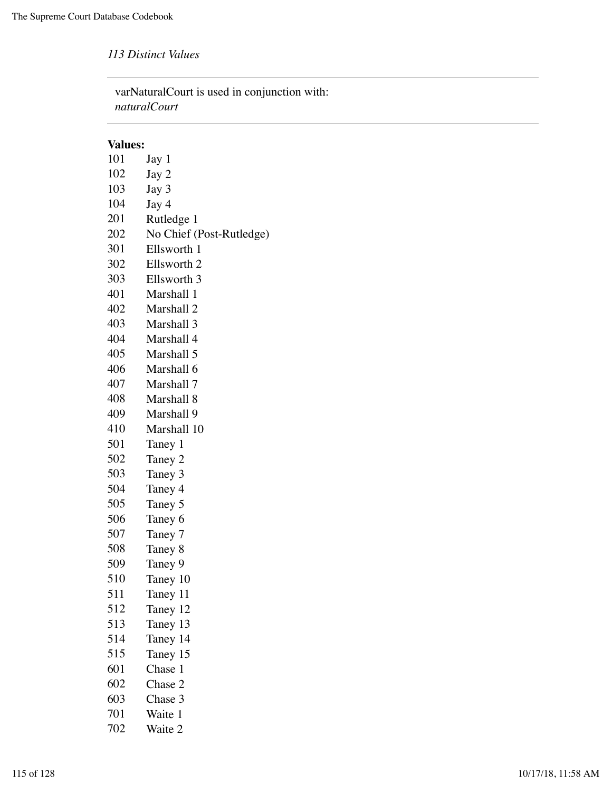*113 Distinct Values*

varNaturalCourt is used in conjunction with: *naturalCourt*

| 101 | Jay 1                    |
|-----|--------------------------|
| 102 | Jay 2                    |
| 103 | Jay 3                    |
| 104 | Jay 4                    |
| 201 | Rutledge 1               |
| 202 | No Chief (Post-Rutledge) |
| 301 | Ellsworth 1              |
| 302 | Ellsworth 2              |
| 303 | Ellsworth 3              |
| 401 | Marshall 1               |
| 402 | Marshall 2               |
| 403 | Marshall 3               |
| 404 | Marshall 4               |
| 405 | Marshall 5               |
| 406 | Marshall 6               |
| 407 | Marshall 7               |
| 408 | Marshall 8               |
| 409 | Marshall 9               |
| 410 | Marshall 10              |
| 501 | Taney 1                  |
| 502 | Taney 2                  |
| 503 | Taney 3                  |
| 504 | Taney 4                  |
| 505 | Taney 5                  |
| 506 | Taney 6                  |
| 507 | Taney 7                  |
| 508 | Taney 8                  |
| 509 | Taney 9                  |
| 510 | Taney 10                 |
| 511 | Taney 11                 |
| 512 | Taney 12                 |
| 513 | Taney 13                 |
| 514 | Taney 14                 |
| 515 | Taney 15                 |
| 601 | Chase 1                  |
| 602 | Chase 2                  |
| 603 | Chase 3                  |
| 701 | Waite 1                  |
| 702 | Waite 2                  |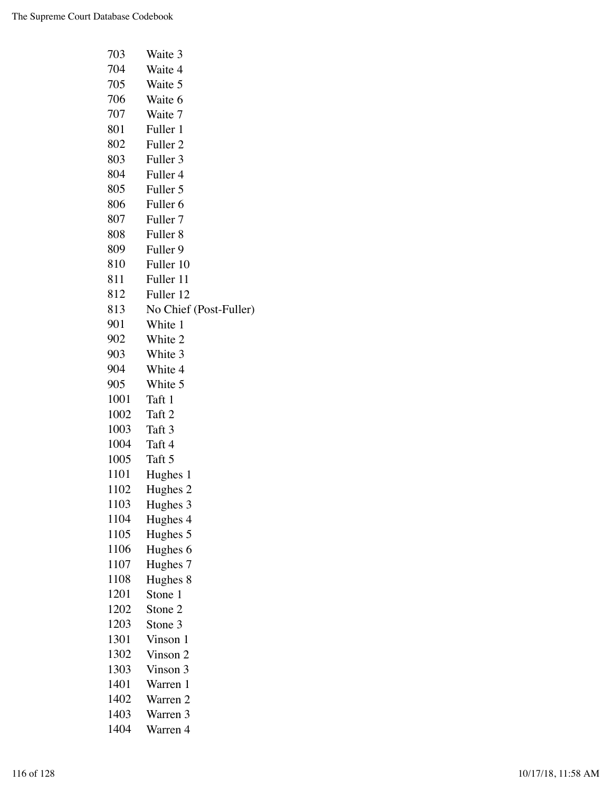| 703  | Waite 3                |
|------|------------------------|
| 704  | Waite 4                |
| 705  | Waite 5                |
| 706  | Waite 6                |
| 707  | Waite 7                |
| 801  | Fuller 1               |
| 802  | Fuller <sub>2</sub>    |
| 803  | Fuller 3               |
| 804  | Fuller 4               |
| 805  | Fuller 5               |
| 806  | Fuller <sub>6</sub>    |
| 807  | Fuller <sub>7</sub>    |
| 808  | Fuller <sub>8</sub>    |
| 809  | Fuller 9               |
| 810  | Fuller 10              |
| 811  | Fuller 11              |
| 812  | Fuller 12              |
| 813  | No Chief (Post-Fuller) |
| 901  | White 1                |
| 902  | White 2                |
| 903  | White 3                |
| 904  | White 4                |
| 905  | White 5                |
| 1001 | Taft 1                 |
| 1002 | Taft 2                 |
| 1003 | Taft 3                 |
| 1004 | Taft 4                 |
| 1005 | Taft 5                 |
| 1101 | Hughes 1               |
| 1102 | Hughes <sub>2</sub>    |
| 1103 | Hughes 3               |
| 1104 | Hughes 4               |
| 1105 | Hughes 5               |
| 1106 | Hughes 6               |
| 1107 | Hughes 7               |
| 1108 | Hughes 8               |
| 1201 | Stone 1                |
| 1202 | Stone 2                |
| 1203 | Stone 3                |
| 1301 | Vinson 1               |
| 1302 | Vinson 2               |
| 1303 | Vinson 3               |
| 1401 | Warren 1               |
| 1402 | Warren 2               |
| 1403 | Warren 3               |
| 1404 | Warren 4               |
|      |                        |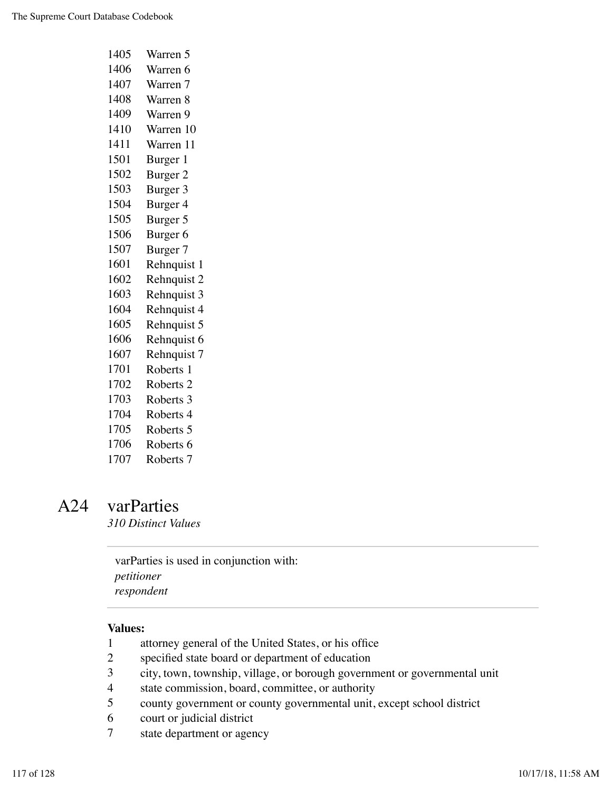| 1405 | Warren 5             |
|------|----------------------|
| 1406 | Warren 6             |
| 1407 | Warren 7             |
| 1408 | Warren 8             |
| 1409 | Warren 9             |
| 1410 | Warren 10            |
| 1411 | Warren 11            |
| 1501 | Burger 1             |
| 1502 | Burger 2             |
| 1503 | Burger 3             |
| 1504 | Burger 4             |
| 1505 | Burger 5             |
| 1506 | Burger <sub>6</sub>  |
| 1507 | Burger 7             |
| 1601 | Rehnquist 1          |
| 1602 | Rehnquist 2          |
| 1603 | Rehnquist 3          |
| 1604 | Rehnquist 4          |
| 1605 | Rehnquist 5          |
| 1606 | Rehnquist 6          |
| 1607 | Rehnquist 7          |
| 1701 | Roberts 1            |
| 1702 | Roberts <sub>2</sub> |
| 1703 | Roberts 3            |
| 1704 | Roberts 4            |
| 1705 | Roberts 5            |
| 1706 | Roberts 6            |
| 1707 | Roberts <sub>7</sub> |

# A24 varParties

*310 Distinct Values*

varParties is used in conjunction with: *petitioner respondent*

- attorney general of the United States, or his office
- specified state board or department of education
- city, town, township, village, or borough government or governmental unit
- state commission, board, committee, or authority
- county government or county governmental unit, except school district
- court or judicial district
- state department or agency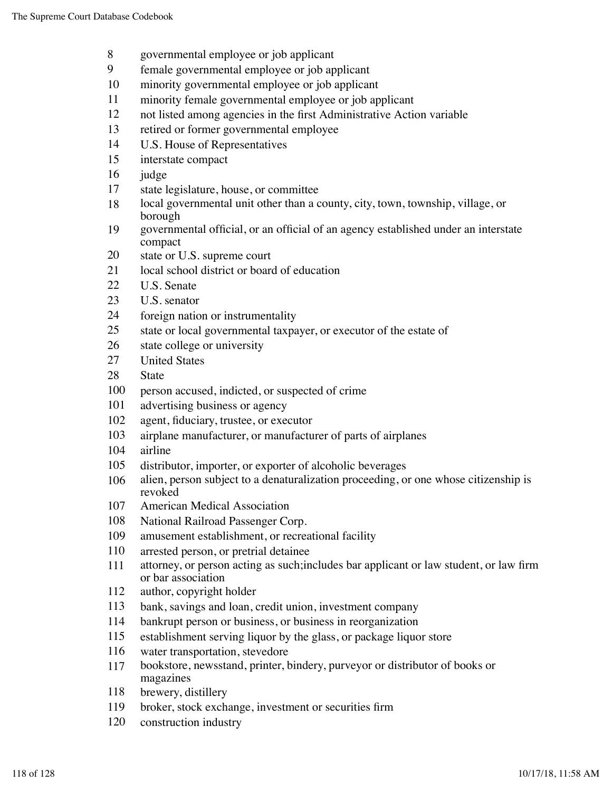- governmental employee or job applicant
- female governmental employee or job applicant
- minority governmental employee or job applicant
- minority female governmental employee or job applicant
- not listed among agencies in the first Administrative Action variable
- retired or former governmental employee
- U.S. House of Representatives
- interstate compact
- judge
- state legislature, house, or committee
- local governmental unit other than a county, city, town, township, village, or borough
- governmental official, or an official of an agency established under an interstate compact
- state or U.S. supreme court
- 21 local school district or board of education
- U.S. Senate
- U.S. senator
- foreign nation or instrumentality
- state or local governmental taxpayer, or executor of the estate of
- state college or university
- United States
- State
- person accused, indicted, or suspected of crime
- advertising business or agency
- agent, fiduciary, trustee, or executor
- airplane manufacturer, or manufacturer of parts of airplanes
- airline
- distributor, importer, or exporter of alcoholic beverages
- alien, person subject to a denaturalization proceeding, or one whose citizenship is revoked
- American Medical Association
- National Railroad Passenger Corp.
- amusement establishment, or recreational facility
- arrested person, or pretrial detainee
- attorney, or person acting as such;includes bar applicant or law student, or law firm or bar association
- author, copyright holder
- bank, savings and loan, credit union, investment company
- bankrupt person or business, or business in reorganization
- establishment serving liquor by the glass, or package liquor store
- water transportation, stevedore
- bookstore, newsstand, printer, bindery, purveyor or distributor of books or magazines
- brewery, distillery
- broker, stock exchange, investment or securities firm
- construction industry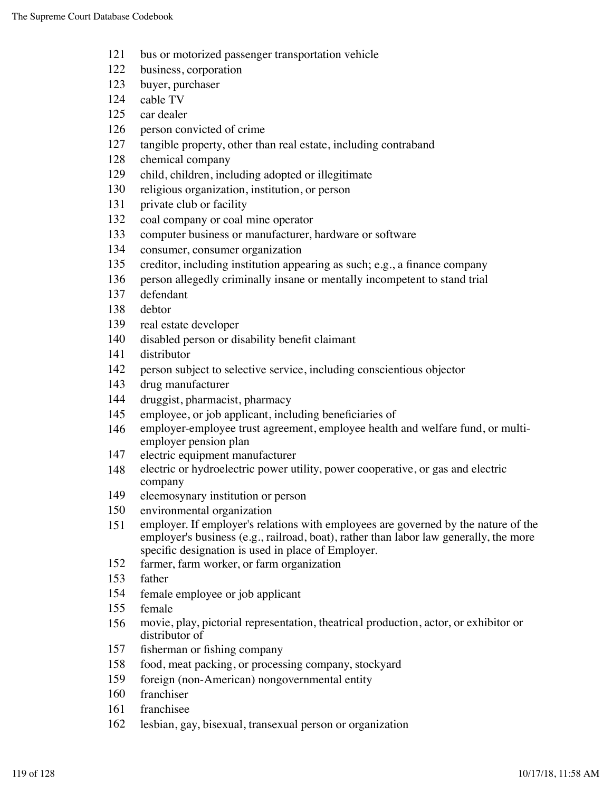- bus or motorized passenger transportation vehicle
- business, corporation
- buyer, purchaser
- cable TV
- car dealer
- person convicted of crime
- tangible property, other than real estate, including contraband
- chemical company
- child, children, including adopted or illegitimate
- religious organization, institution, or person
- private club or facility
- coal company or coal mine operator
- computer business or manufacturer, hardware or software
- consumer, consumer organization
- creditor, including institution appearing as such; e.g., a finance company
- person allegedly criminally insane or mentally incompetent to stand trial
- defendant
- debtor
- real estate developer
- disabled person or disability benefit claimant
- distributor
- person subject to selective service, including conscientious objector
- drug manufacturer
- druggist, pharmacist, pharmacy
- employee, or job applicant, including beneficiaries of
- employer-employee trust agreement, employee health and welfare fund, or multiemployer pension plan
- electric equipment manufacturer
- electric or hydroelectric power utility, power cooperative, or gas and electric company
- eleemosynary institution or person
- environmental organization
- employer. If employer's relations with employees are governed by the nature of the employer's business (e.g., railroad, boat), rather than labor law generally, the more specific designation is used in place of Employer.
- farmer, farm worker, or farm organization
- father
- female employee or job applicant
- female
- movie, play, pictorial representation, theatrical production, actor, or exhibitor or distributor of
- fisherman or fishing company
- food, meat packing, or processing company, stockyard
- foreign (non-American) nongovernmental entity
- franchiser
- franchisee
- lesbian, gay, bisexual, transexual person or organization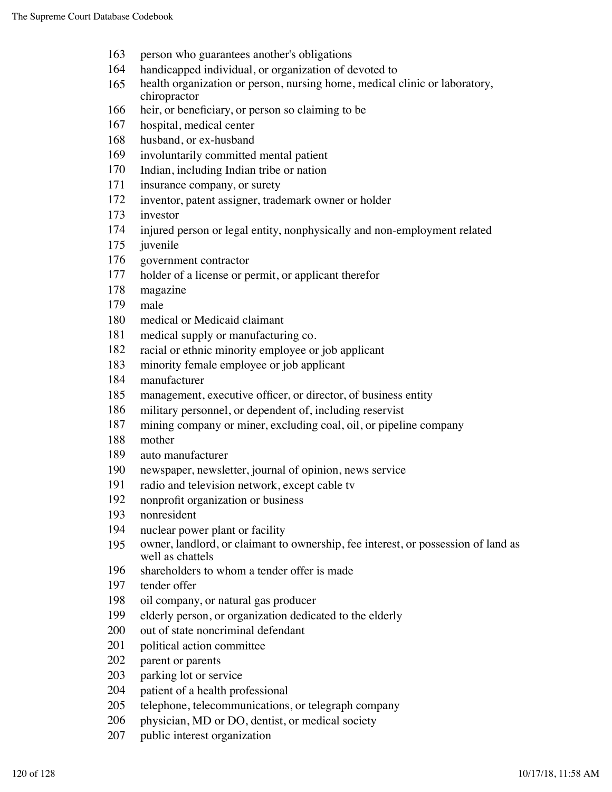- person who guarantees another's obligations
- handicapped individual, or organization of devoted to
- health organization or person, nursing home, medical clinic or laboratory, chiropractor
- heir, or beneficiary, or person so claiming to be
- hospital, medical center
- husband, or ex-husband
- involuntarily committed mental patient
- Indian, including Indian tribe or nation
- insurance company, or surety
- inventor, patent assigner, trademark owner or holder
- investor
- injured person or legal entity, nonphysically and non-employment related
- juvenile
- government contractor
- holder of a license or permit, or applicant therefor
- magazine
- male
- medical or Medicaid claimant
- medical supply or manufacturing co.
- racial or ethnic minority employee or job applicant
- minority female employee or job applicant
- manufacturer
- management, executive officer, or director, of business entity
- military personnel, or dependent of, including reservist
- mining company or miner, excluding coal, oil, or pipeline company
- mother
- auto manufacturer
- newspaper, newsletter, journal of opinion, news service
- radio and television network, except cable tv
- nonprofit organization or business
- nonresident
- nuclear power plant or facility
- owner, landlord, or claimant to ownership, fee interest, or possession of land as well as chattels
- shareholders to whom a tender offer is made
- tender offer
- oil company, or natural gas producer
- elderly person, or organization dedicated to the elderly
- out of state noncriminal defendant
- political action committee
- parent or parents
- parking lot or service
- patient of a health professional
- telephone, telecommunications, or telegraph company
- physician, MD or DO, dentist, or medical society
- public interest organization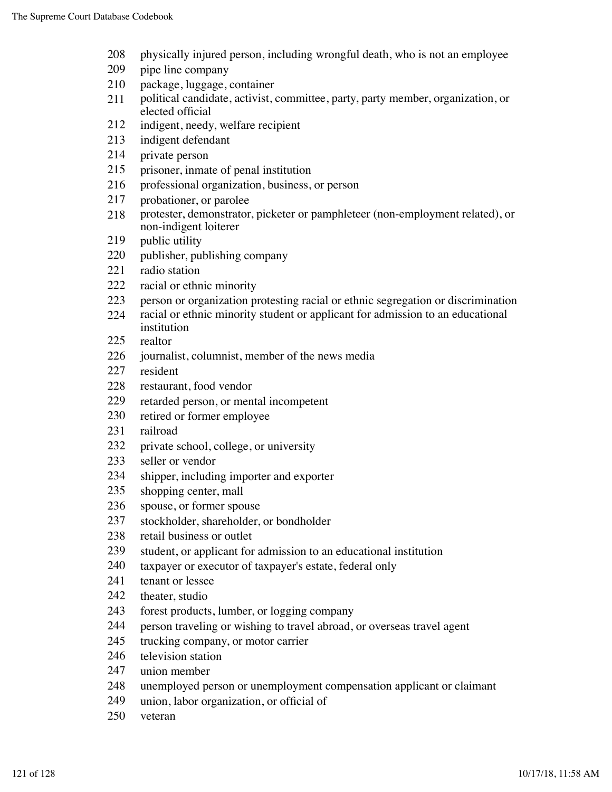- physically injured person, including wrongful death, who is not an employee
- pipe line company
- package, luggage, container
- political candidate, activist, committee, party, party member, organization, or elected official
- indigent, needy, welfare recipient
- indigent defendant
- private person
- prisoner, inmate of penal institution
- professional organization, business, or person
- probationer, or parolee
- protester, demonstrator, picketer or pamphleteer (non-employment related), or non-indigent loiterer
- 219 public utility
- publisher, publishing company
- radio station
- racial or ethnic minority
- person or organization protesting racial or ethnic segregation or discrimination
- racial or ethnic minority student or applicant for admission to an educational institution
- realtor
- journalist, columnist, member of the news media
- resident
- restaurant, food vendor
- retarded person, or mental incompetent
- retired or former employee
- railroad
- private school, college, or university
- seller or vendor
- shipper, including importer and exporter
- shopping center, mall
- spouse, or former spouse
- stockholder, shareholder, or bondholder
- retail business or outlet
- student, or applicant for admission to an educational institution
- taxpayer or executor of taxpayer's estate, federal only
- tenant or lessee
- theater, studio
- forest products, lumber, or logging company
- person traveling or wishing to travel abroad, or overseas travel agent
- trucking company, or motor carrier
- television station
- union member
- unemployed person or unemployment compensation applicant or claimant
- union, labor organization, or official of
- veteran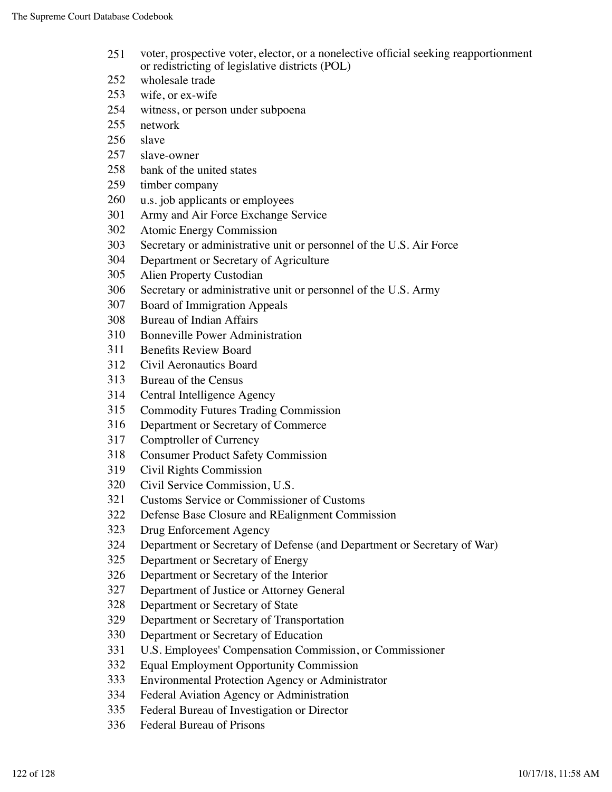- voter, prospective voter, elector, or a nonelective official seeking reapportionment or redistricting of legislative districts (POL)
- wholesale trade
- wife, or ex-wife
- witness, or person under subpoena
- network
- slave
- slave-owner
- bank of the united states
- timber company
- u.s. job applicants or employees
- Army and Air Force Exchange Service
- Atomic Energy Commission
- Secretary or administrative unit or personnel of the U.S. Air Force
- Department or Secretary of Agriculture
- Alien Property Custodian
- Secretary or administrative unit or personnel of the U.S. Army
- Board of Immigration Appeals
- Bureau of Indian Affairs
- Bonneville Power Administration
- Benefits Review Board
- Civil Aeronautics Board
- Bureau of the Census
- Central Intelligence Agency
- Commodity Futures Trading Commission
- Department or Secretary of Commerce
- Comptroller of Currency
- Consumer Product Safety Commission
- Civil Rights Commission
- Civil Service Commission, U.S.
- Customs Service or Commissioner of Customs
- Defense Base Closure and REalignment Commission
- Drug Enforcement Agency
- Department or Secretary of Defense (and Department or Secretary of War)
- Department or Secretary of Energy
- Department or Secretary of the Interior
- Department of Justice or Attorney General
- Department or Secretary of State
- Department or Secretary of Transportation
- Department or Secretary of Education
- U.S. Employees' Compensation Commission, or Commissioner
- Equal Employment Opportunity Commission
- Environmental Protection Agency or Administrator
- Federal Aviation Agency or Administration
- Federal Bureau of Investigation or Director
- Federal Bureau of Prisons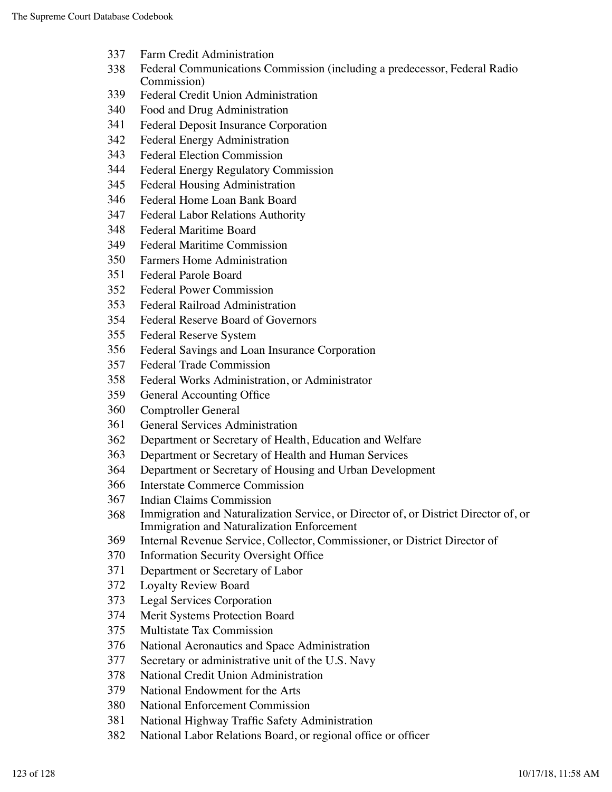- Farm Credit Administration
- Federal Communications Commission (including a predecessor, Federal Radio Commission)
- Federal Credit Union Administration
- Food and Drug Administration
- Federal Deposit Insurance Corporation
- Federal Energy Administration
- Federal Election Commission
- Federal Energy Regulatory Commission
- Federal Housing Administration
- Federal Home Loan Bank Board
- Federal Labor Relations Authority
- Federal Maritime Board
- Federal Maritime Commission
- Farmers Home Administration
- Federal Parole Board
- Federal Power Commission
- Federal Railroad Administration
- Federal Reserve Board of Governors
- Federal Reserve System
- Federal Savings and Loan Insurance Corporation
- Federal Trade Commission
- Federal Works Administration, or Administrator
- General Accounting Office
- Comptroller General
- General Services Administration
- Department or Secretary of Health, Education and Welfare
- Department or Secretary of Health and Human Services
- Department or Secretary of Housing and Urban Development
- Interstate Commerce Commission
- Indian Claims Commission
- Immigration and Naturalization Service, or Director of, or District Director of, or Immigration and Naturalization Enforcement
- Internal Revenue Service, Collector, Commissioner, or District Director of
- Information Security Oversight Office
- Department or Secretary of Labor
- Loyalty Review Board
- Legal Services Corporation
- Merit Systems Protection Board
- Multistate Tax Commission
- National Aeronautics and Space Administration
- Secretary or administrative unit of the U.S. Navy
- National Credit Union Administration
- National Endowment for the Arts
- National Enforcement Commission
- National Highway Traffic Safety Administration
- National Labor Relations Board, or regional office or officer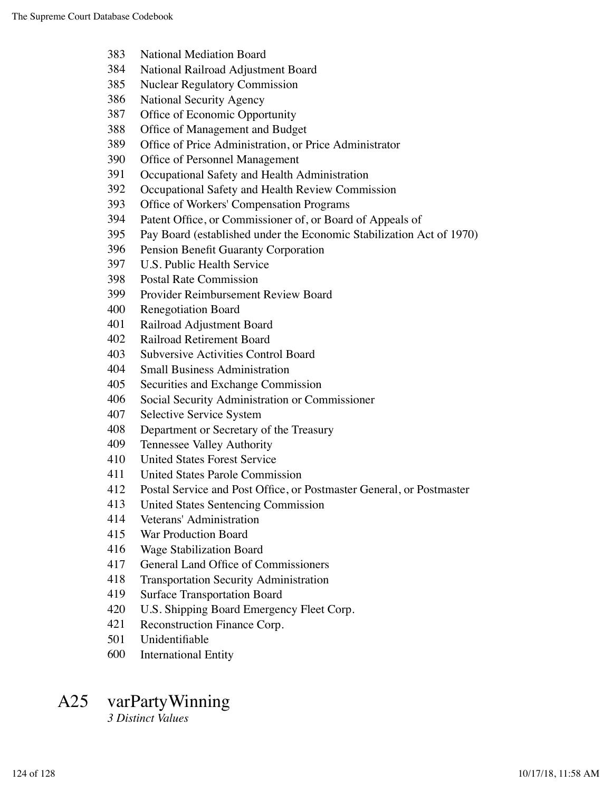- National Mediation Board
- National Railroad Adjustment Board
- Nuclear Regulatory Commission
- National Security Agency
- Office of Economic Opportunity
- Office of Management and Budget
- Office of Price Administration, or Price Administrator
- Office of Personnel Management
- Occupational Safety and Health Administration
- Occupational Safety and Health Review Commission
- Office of Workers' Compensation Programs
- Patent Office, or Commissioner of, or Board of Appeals of
- Pay Board (established under the Economic Stabilization Act of 1970)
- Pension Benefit Guaranty Corporation
- U.S. Public Health Service
- Postal Rate Commission
- Provider Reimbursement Review Board
- Renegotiation Board
- Railroad Adjustment Board
- Railroad Retirement Board
- Subversive Activities Control Board
- Small Business Administration
- Securities and Exchange Commission
- Social Security Administration or Commissioner
- Selective Service System
- Department or Secretary of the Treasury
- Tennessee Valley Authority
- United States Forest Service
- United States Parole Commission
- Postal Service and Post Office, or Postmaster General, or Postmaster
- United States Sentencing Commission
- Veterans' Administration
- War Production Board
- Wage Stabilization Board
- General Land Office of Commissioners
- Transportation Security Administration
- Surface Transportation Board
- U.S. Shipping Board Emergency Fleet Corp.
- Reconstruction Finance Corp.
- Unidentifiable
- International Entity

# A25 varPartyWinning

*3 Distinct Values*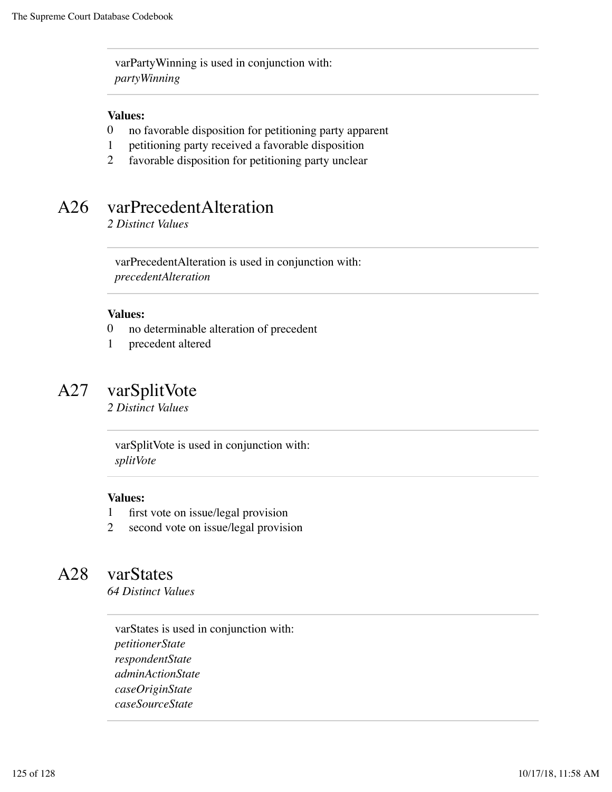varPartyWinning is used in conjunction with: *partyWinning*

#### **Values:**

- 0 no favorable disposition for petitioning party apparent
- 1 petitioning party received a favorable disposition
- 2 favorable disposition for petitioning party unclear

# A26 varPrecedentAlteration

*2 Distinct Values*

varPrecedentAlteration is used in conjunction with: *precedentAlteration*

#### **Values:**

- 0 no determinable alteration of precedent
- 1 precedent altered

### A27 varSplitVote

*2 Distinct Values*

varSplitVote is used in conjunction with: *splitVote*

#### **Values:**

- 1 first vote on issue/legal provision
- 2 second vote on issue/legal provision

## A28 varStates

*64 Distinct Values*

varStates is used in conjunction with: *petitionerState respondentState adminActionState caseOriginState caseSourceState*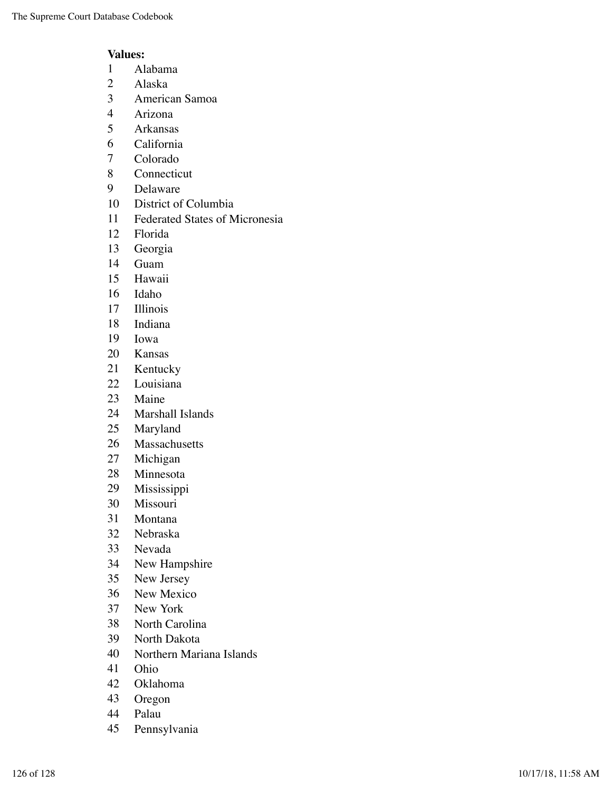- Alabama
- Alaska
- American Samoa
- Arizona
- Arkansas
- California
- Colorado
- Connecticut
- Delaware
- District of Columbia
- Federated States of Micronesia
- Florida
- Georgia
- Guam
- Hawaii
- Idaho
- Illinois
- Indiana
- Iowa
- Kansas
- Kentucky
- Louisiana
- Maine
- Marshall Islands
- Maryland
- Massachusetts
- Michigan
- Minnesota
- Mississippi
- Missouri
- Montana
- Nebraska
- Nevada
- New Hampshire
- New Jersey
- New Mexico
- New York
- North Carolina
- North Dakota
- Northern Mariana Islands
- Ohio
- Oklahoma
- Oregon
- Palau
- Pennsylvania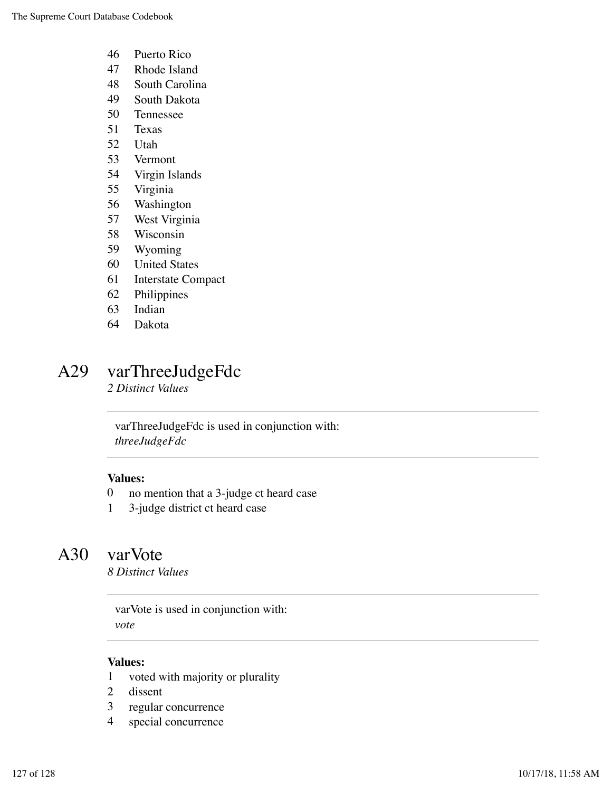- Puerto Rico
- Rhode Island
- South Carolina
- South Dakota
- Tennessee
- Texas
- Utah
- Vermont
- Virgin Islands
- Virginia
- Washington
- West Virginia
- Wisconsin
- Wyoming
- United States
- Interstate Compact
- Philippines
- Indian
- Dakota

## A29 varThreeJudgeFdc

*2 Distinct Values*

varThreeJudgeFdc is used in conjunction with: *threeJudgeFdc*

#### **Values:**

- no mention that a 3-judge ct heard case
- 3-judge district ct heard case

### A30 varVote

*8 Distinct Values*

varVote is used in conjunction with: *vote*

- voted with majority or plurality
- dissent
- regular concurrence
- special concurrence